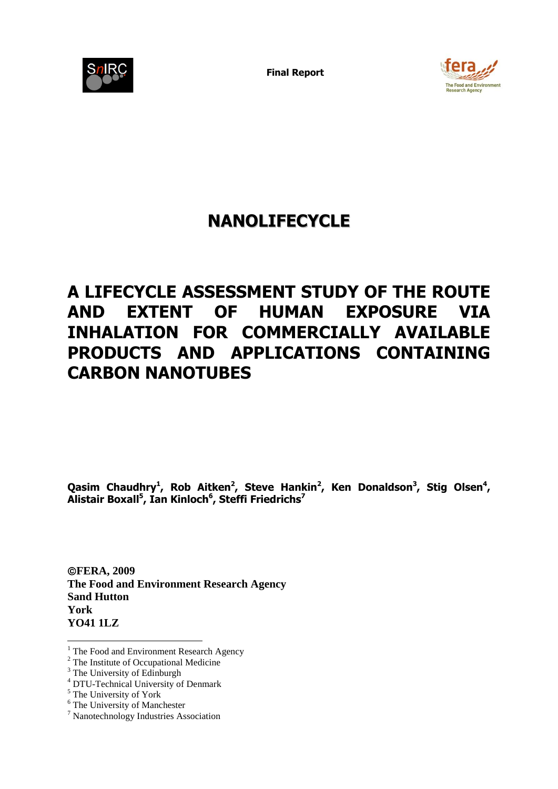

**Final Report** 



# **NANOLIFECYCLE**

# **A LIFECYCLE ASSESSMENT STUDY OF THE ROUTE AND EXTENT OF HUMAN EXPOSURE VIA INHALATION FOR COMMERCIALLY AVAILABLE PRODUCTS AND APPLICATIONS CONTAINING CARBON NANOTUBES**

Qasim Chaudhry<sup>1</sup>, Rob Aitken<sup>2</sup>, Steve Hankin<sup>2</sup>, Ken Donaldson<sup>3</sup>, Stig Olsen<sup>4</sup>, **Alistair Boxall<sup>5</sup> , Ian Kinloch<sup>6</sup> , Steffi Friedrichs<sup>7</sup>**

**FERA, 2009 The Food and Environment Research Agency Sand Hutton York YO41 1LZ**

1

<sup>&</sup>lt;sup>1</sup> The Food and Environment Research Agency

<sup>&</sup>lt;sup>2</sup> The Institute of Occupational Medicine

 $3$  The University of Edinburgh

<sup>4</sup> DTU-Technical University of Denmark

 $5 \text{ The University of York}$ 

<sup>&</sup>lt;sup>6</sup> The University of Manchester

<sup>7</sup> Nanotechnology Industries Association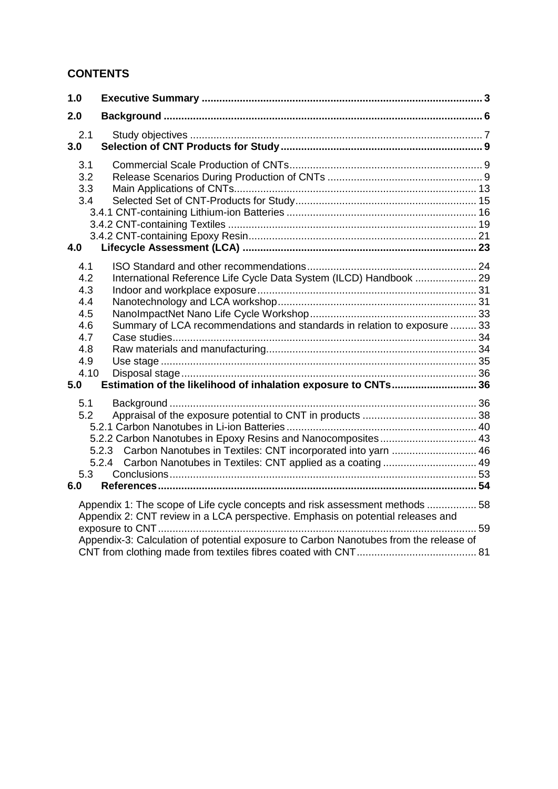### **CONTENTS**

| 1.0                                                                        |                                                                                                                                                                                                                                                          |  |
|----------------------------------------------------------------------------|----------------------------------------------------------------------------------------------------------------------------------------------------------------------------------------------------------------------------------------------------------|--|
| 2.0                                                                        |                                                                                                                                                                                                                                                          |  |
| 2.1<br>3.0                                                                 |                                                                                                                                                                                                                                                          |  |
| 3.1<br>3.2<br>3.3<br>3.4<br>4.0                                            |                                                                                                                                                                                                                                                          |  |
| 4.1<br>4.2<br>4.3<br>4.4<br>4.5<br>4.6<br>4.7<br>4.8<br>4.9<br>4.10<br>5.0 | International Reference Life Cycle Data System (ILCD) Handbook  29<br>Summary of LCA recommendations and standards in relation to exposure  33<br>Estimation of the likelihood of inhalation exposure to CNTs 36                                         |  |
| 5.1<br>5.2<br>5.3<br>6.0                                                   | 5.2.2 Carbon Nanotubes in Epoxy Resins and Nanocomposites 43<br>5.2.3 Carbon Nanotubes in Textiles: CNT incorporated into yarn  46<br>Carbon Nanotubes in Textiles: CNT applied as a coating  49<br>5.2.4                                                |  |
|                                                                            | Appendix 1: The scope of Life cycle concepts and risk assessment methods  58<br>Appendix 2: CNT review in a LCA perspective. Emphasis on potential releases and<br>Appendix-3: Calculation of potential exposure to Carbon Nanotubes from the release of |  |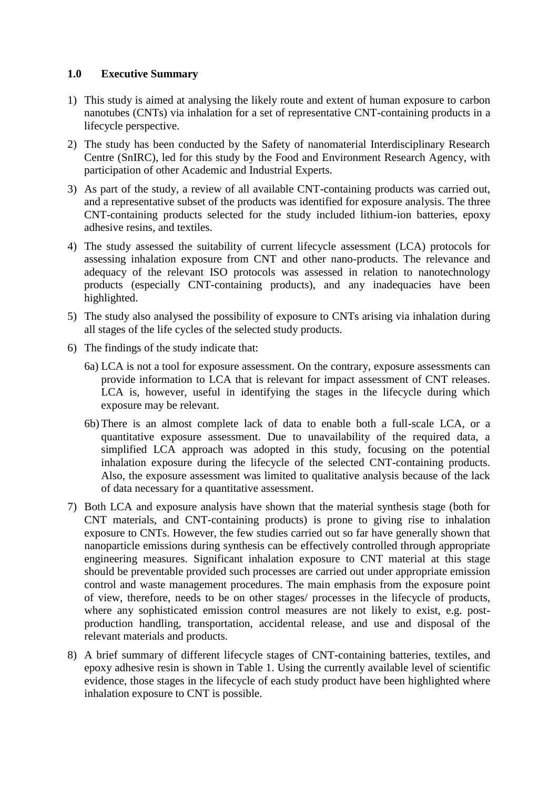#### **1.0 Executive Summary**

- 1) This study is aimed at analysing the likely route and extent of human exposure to carbon nanotubes (CNTs) via inhalation for a set of representative CNT-containing products in a lifecycle perspective.
- 2) The study has been conducted by the Safety of nanomaterial Interdisciplinary Research Centre (SnIRC), led for this study by the Food and Environment Research Agency, with participation of other Academic and Industrial Experts.
- 3) As part of the study, a review of all available CNT-containing products was carried out, and a representative subset of the products was identified for exposure analysis. The three CNT-containing products selected for the study included lithium-ion batteries, epoxy adhesive resins, and textiles.
- 4) The study assessed the suitability of current lifecycle assessment (LCA) protocols for assessing inhalation exposure from CNT and other nano-products. The relevance and adequacy of the relevant ISO protocols was assessed in relation to nanotechnology products (especially CNT-containing products), and any inadequacies have been highlighted.
- 5) The study also analysed the possibility of exposure to CNTs arising via inhalation during all stages of the life cycles of the selected study products.
- 6) The findings of the study indicate that:
	- 6a) LCA is not a tool for exposure assessment. On the contrary, exposure assessments can provide information to LCA that is relevant for impact assessment of CNT releases. LCA is, however, useful in identifying the stages in the lifecycle during which exposure may be relevant.
	- 6b) There is an almost complete lack of data to enable both a full-scale LCA, or a quantitative exposure assessment. Due to unavailability of the required data, a simplified LCA approach was adopted in this study, focusing on the potential inhalation exposure during the lifecycle of the selected CNT-containing products. Also, the exposure assessment was limited to qualitative analysis because of the lack of data necessary for a quantitative assessment.
- 7) Both LCA and exposure analysis have shown that the material synthesis stage (both for CNT materials, and CNT-containing products) is prone to giving rise to inhalation exposure to CNTs. However, the few studies carried out so far have generally shown that nanoparticle emissions during synthesis can be effectively controlled through appropriate engineering measures. Significant inhalation exposure to CNT material at this stage should be preventable provided such processes are carried out under appropriate emission control and waste management procedures. The main emphasis from the exposure point of view, therefore, needs to be on other stages/ processes in the lifecycle of products, where any sophisticated emission control measures are not likely to exist, e.g. postproduction handling, transportation, accidental release, and use and disposal of the relevant materials and products.
- 8) A brief summary of different lifecycle stages of CNT-containing batteries, textiles, and epoxy adhesive resin is shown in Table 1. Using the currently available level of scientific evidence, those stages in the lifecycle of each study product have been highlighted where inhalation exposure to CNT is possible.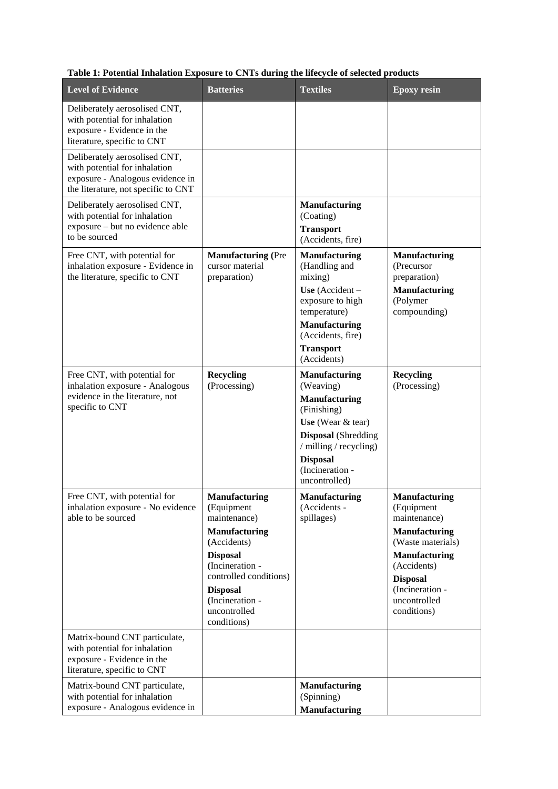| Table 1: Potential Inhalation Exposure to CNTs during the lifecycle of selected products |  |  |
|------------------------------------------------------------------------------------------|--|--|
|                                                                                          |  |  |

| <b>Level of Evidence</b>                                                                                                                  | <b>Batteries</b>                                                                                                                                                                                                               | <b>Textiles</b>                                                                                                                                                                                                | <b>Epoxy resin</b>                                                                                                                                                                                          |
|-------------------------------------------------------------------------------------------------------------------------------------------|--------------------------------------------------------------------------------------------------------------------------------------------------------------------------------------------------------------------------------|----------------------------------------------------------------------------------------------------------------------------------------------------------------------------------------------------------------|-------------------------------------------------------------------------------------------------------------------------------------------------------------------------------------------------------------|
| Deliberately aerosolised CNT,<br>with potential for inhalation<br>exposure - Evidence in the<br>literature, specific to CNT               |                                                                                                                                                                                                                                |                                                                                                                                                                                                                |                                                                                                                                                                                                             |
| Deliberately aerosolised CNT,<br>with potential for inhalation<br>exposure - Analogous evidence in<br>the literature, not specific to CNT |                                                                                                                                                                                                                                |                                                                                                                                                                                                                |                                                                                                                                                                                                             |
| Deliberately aerosolised CNT,<br>with potential for inhalation<br>exposure – but no evidence able<br>to be sourced                        |                                                                                                                                                                                                                                | <b>Manufacturing</b><br>(Coating)<br><b>Transport</b><br>(Accidents, fire)                                                                                                                                     |                                                                                                                                                                                                             |
| Free CNT, with potential for<br>inhalation exposure - Evidence in<br>the literature, specific to CNT                                      | <b>Manufacturing (Pre</b><br>cursor material<br>preparation)                                                                                                                                                                   | <b>Manufacturing</b><br>(Handling and<br>mixing)<br>Use (Accident $-$<br>exposure to high<br>temperature)<br><b>Manufacturing</b><br>(Accidents, fire)<br><b>Transport</b><br>(Accidents)                      | <b>Manufacturing</b><br>(Precursor<br>preparation)<br><b>Manufacturing</b><br>(Polymer<br>compounding)                                                                                                      |
| Free CNT, with potential for<br>inhalation exposure - Analogous<br>evidence in the literature, not<br>specific to CNT                     | <b>Recycling</b><br>(Processing)                                                                                                                                                                                               | <b>Manufacturing</b><br>(Weaving)<br><b>Manufacturing</b><br>(Finishing)<br>Use (Wear $&$ tear)<br><b>Disposal</b> (Shredding<br>/ milling / recycling)<br><b>Disposal</b><br>(Incineration -<br>uncontrolled) | <b>Recycling</b><br>(Processing)                                                                                                                                                                            |
| Free CNT, with potential for<br>inhalation exposure - No evidence<br>able to be sourced                                                   | <b>Manufacturing</b><br>(Equipment<br>maintenance)<br><b>Manufacturing</b><br>(Accidents)<br><b>Disposal</b><br>(Incineration -<br>controlled conditions)<br><b>Disposal</b><br>(Incineration -<br>uncontrolled<br>conditions) | <b>Manufacturing</b><br>(Accidents -<br>spillages)                                                                                                                                                             | <b>Manufacturing</b><br>(Equipment<br>maintenance)<br><b>Manufacturing</b><br>(Waste materials)<br><b>Manufacturing</b><br>(Accidents)<br><b>Disposal</b><br>(Incineration -<br>uncontrolled<br>conditions) |
| Matrix-bound CNT particulate,<br>with potential for inhalation<br>exposure - Evidence in the<br>literature, specific to CNT               |                                                                                                                                                                                                                                |                                                                                                                                                                                                                |                                                                                                                                                                                                             |
| Matrix-bound CNT particulate,<br>with potential for inhalation<br>exposure - Analogous evidence in                                        |                                                                                                                                                                                                                                | <b>Manufacturing</b><br>(Spinning)<br><b>Manufacturing</b>                                                                                                                                                     |                                                                                                                                                                                                             |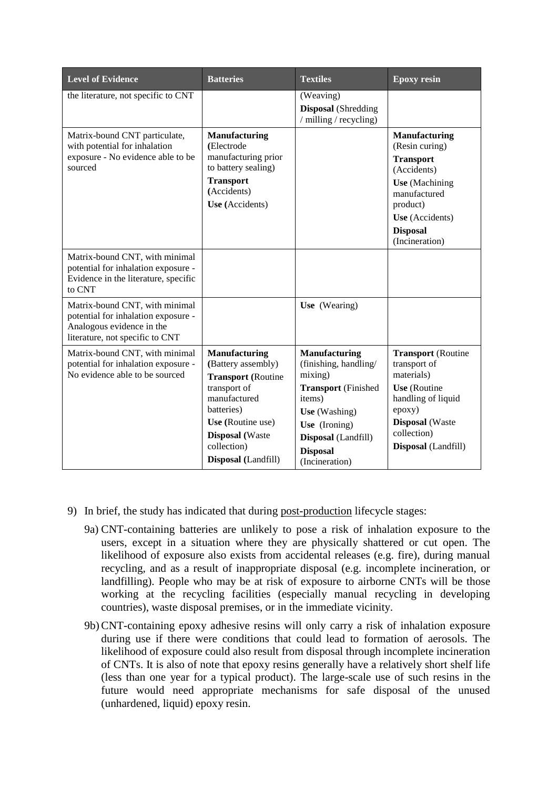| <b>Level of Evidence</b>                                                                                                              | <b>Batteries</b>                                                                                                                                                                                           | <b>Textiles</b>                                                                                                                                                                                | <b>Epoxy resin</b>                                                                                                                                                                     |
|---------------------------------------------------------------------------------------------------------------------------------------|------------------------------------------------------------------------------------------------------------------------------------------------------------------------------------------------------------|------------------------------------------------------------------------------------------------------------------------------------------------------------------------------------------------|----------------------------------------------------------------------------------------------------------------------------------------------------------------------------------------|
| the literature, not specific to CNT                                                                                                   |                                                                                                                                                                                                            | (Weaving)<br><b>Disposal</b> (Shredding<br>/ milling / recycling)                                                                                                                              |                                                                                                                                                                                        |
| Matrix-bound CNT particulate,<br>with potential for inhalation<br>exposure - No evidence able to be<br>sourced                        | <b>Manufacturing</b><br>(Electrode<br>manufacturing prior<br>to battery sealing)<br><b>Transport</b><br>(Accidents)<br>Use (Accidents)                                                                     |                                                                                                                                                                                                | <b>Manufacturing</b><br>(Resin curing)<br><b>Transport</b><br>(Accidents)<br><b>Use</b> (Machining<br>manufactured<br>product)<br>Use (Accidents)<br><b>Disposal</b><br>(Incineration) |
| Matrix-bound CNT, with minimal<br>potential for inhalation exposure -<br>Evidence in the literature, specific<br>to CNT               |                                                                                                                                                                                                            |                                                                                                                                                                                                |                                                                                                                                                                                        |
| Matrix-bound CNT, with minimal<br>potential for inhalation exposure -<br>Analogous evidence in the<br>literature, not specific to CNT |                                                                                                                                                                                                            | Use (Wearing)                                                                                                                                                                                  |                                                                                                                                                                                        |
| Matrix-bound CNT, with minimal<br>potential for inhalation exposure -<br>No evidence able to be sourced                               | <b>Manufacturing</b><br>(Battery assembly)<br><b>Transport</b> (Routine<br>transport of<br>manufactured<br>batteries)<br>Use (Routine use)<br><b>Disposal</b> (Waste<br>collection)<br>Disposal (Landfill) | <b>Manufacturing</b><br>(finishing, handling/<br>mixing)<br><b>Transport</b> (Finished<br>items)<br>Use (Washing)<br>Use (Ironing)<br>Disposal (Landfill)<br><b>Disposal</b><br>(Incineration) | <b>Transport</b> (Routine<br>transport of<br>materials)<br>Use (Routine<br>handling of liquid<br>epoxy)<br><b>Disposal</b> (Waste<br>collection)<br>Disposal (Landfill)                |

- 9) In brief, the study has indicated that during post-production lifecycle stages:
	- 9a) CNT-containing batteries are unlikely to pose a risk of inhalation exposure to the users, except in a situation where they are physically shattered or cut open. The likelihood of exposure also exists from accidental releases (e.g. fire), during manual recycling, and as a result of inappropriate disposal (e.g. incomplete incineration, or landfilling). People who may be at risk of exposure to airborne CNTs will be those working at the recycling facilities (especially manual recycling in developing countries), waste disposal premises, or in the immediate vicinity.
	- 9b)CNT-containing epoxy adhesive resins will only carry a risk of inhalation exposure during use if there were conditions that could lead to formation of aerosols. The likelihood of exposure could also result from disposal through incomplete incineration of CNTs. It is also of note that epoxy resins generally have a relatively short shelf life (less than one year for a typical product). The large-scale use of such resins in the future would need appropriate mechanisms for safe disposal of the unused (unhardened, liquid) epoxy resin.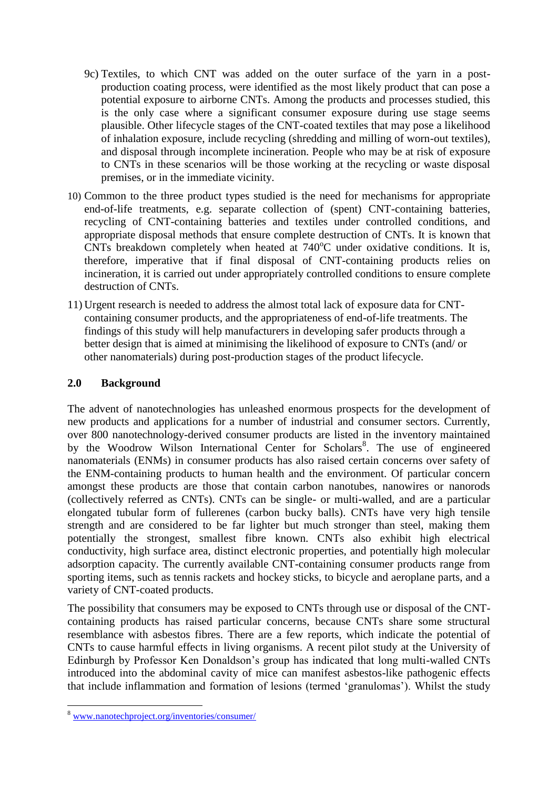- 9c) Textiles, to which CNT was added on the outer surface of the yarn in a postproduction coating process, were identified as the most likely product that can pose a potential exposure to airborne CNTs. Among the products and processes studied, this is the only case where a significant consumer exposure during use stage seems plausible. Other lifecycle stages of the CNT-coated textiles that may pose a likelihood of inhalation exposure, include recycling (shredding and milling of worn-out textiles), and disposal through incomplete incineration. People who may be at risk of exposure to CNTs in these scenarios will be those working at the recycling or waste disposal premises, or in the immediate vicinity.
- 10) Common to the three product types studied is the need for mechanisms for appropriate end-of-life treatments, e.g. separate collection of (spent) CNT-containing batteries, recycling of CNT-containing batteries and textiles under controlled conditions, and appropriate disposal methods that ensure complete destruction of CNTs. It is known that CNTs breakdown completely when heated at  $740^{\circ}$ C under oxidative conditions. It is, therefore, imperative that if final disposal of CNT-containing products relies on incineration, it is carried out under appropriately controlled conditions to ensure complete destruction of CNTs.
- 11) Urgent research is needed to address the almost total lack of exposure data for CNTcontaining consumer products, and the appropriateness of end-of-life treatments. The findings of this study will help manufacturers in developing safer products through a better design that is aimed at minimising the likelihood of exposure to CNTs (and/ or other nanomaterials) during post-production stages of the product lifecycle.

#### **2.0 Background**

The advent of nanotechnologies has unleashed enormous prospects for the development of new products and applications for a number of industrial and consumer sectors. Currently, over 800 nanotechnology-derived consumer products are listed in the inventory maintained by the Woodrow Wilson International Center for Scholars<sup>8</sup>. The use of engineered nanomaterials (ENMs) in consumer products has also raised certain concerns over safety of the ENM-containing products to human health and the environment. Of particular concern amongst these products are those that contain carbon nanotubes, nanowires or nanorods (collectively referred as CNTs). CNTs can be single- or multi-walled, and are a particular elongated tubular form of fullerenes (carbon bucky balls). CNTs have very high tensile strength and are considered to be far lighter but much stronger than steel, making them potentially the strongest, smallest fibre known. CNTs also exhibit high electrical conductivity, high surface area, distinct electronic properties, and potentially high molecular adsorption capacity. The currently available CNT-containing consumer products range from sporting items, such as tennis rackets and hockey sticks, to bicycle and aeroplane parts, and a variety of CNT-coated products.

The possibility that consumers may be exposed to CNTs through use or disposal of the CNTcontaining products has raised particular concerns, because CNTs share some structural resemblance with asbestos fibres. There are a few reports, which indicate the potential of CNTs to cause harmful effects in living organisms. A recent pilot study at the University of Edinburgh by Professor Ken Donaldson"s group has indicated that long multi-walled CNTs introduced into the abdominal cavity of mice can manifest asbestos-like pathogenic effects that include inflammation and formation of lesions (termed "granulomas"). Whilst the study

1

<sup>8</sup> [www.nanotechproject.org/inventories/consumer/](http://www.nanotechproject.org/inventories/consumer/)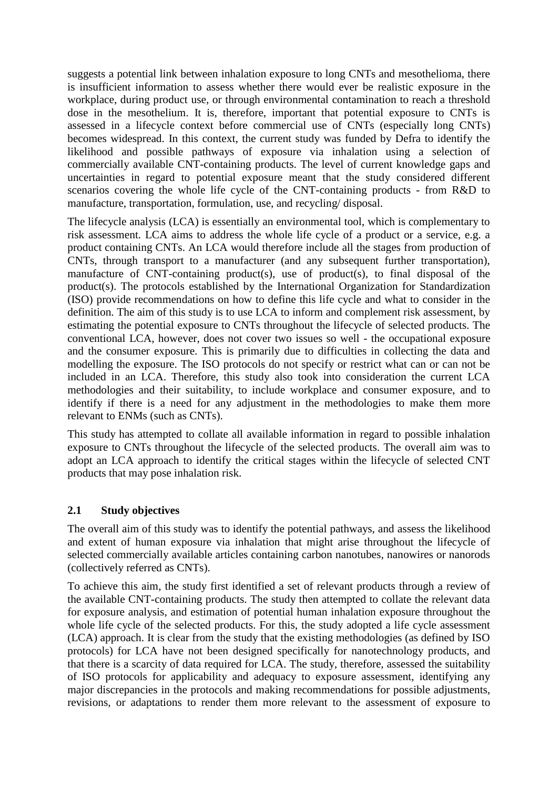suggests a potential link between inhalation exposure to long CNTs and mesothelioma, there is insufficient information to assess whether there would ever be realistic exposure in the workplace, during product use, or through environmental contamination to reach a threshold dose in the mesothelium. It is, therefore, important that potential exposure to CNTs is assessed in a lifecycle context before commercial use of CNTs (especially long CNTs) becomes widespread. In this context, the current study was funded by Defra to identify the likelihood and possible pathways of exposure via inhalation using a selection of commercially available CNT-containing products. The level of current knowledge gaps and uncertainties in regard to potential exposure meant that the study considered different scenarios covering the whole life cycle of the CNT-containing products - from R&D to manufacture, transportation, formulation, use, and recycling/ disposal.

The lifecycle analysis (LCA) is essentially an environmental tool, which is complementary to risk assessment. LCA aims to address the whole life cycle of a product or a service, e.g. a product containing CNTs. An LCA would therefore include all the stages from production of CNTs, through transport to a manufacturer (and any subsequent further transportation), manufacture of CNT-containing product(s), use of product(s), to final disposal of the product(s). The protocols established by the International Organization for Standardization (ISO) provide recommendations on how to define this life cycle and what to consider in the definition. The aim of this study is to use LCA to inform and complement risk assessment, by estimating the potential exposure to CNTs throughout the lifecycle of selected products. The conventional LCA, however, does not cover two issues so well - the occupational exposure and the consumer exposure. This is primarily due to difficulties in collecting the data and modelling the exposure. The ISO protocols do not specify or restrict what can or can not be included in an LCA. Therefore, this study also took into consideration the current LCA methodologies and their suitability, to include workplace and consumer exposure, and to identify if there is a need for any adjustment in the methodologies to make them more relevant to ENMs (such as CNTs).

This study has attempted to collate all available information in regard to possible inhalation exposure to CNTs throughout the lifecycle of the selected products. The overall aim was to adopt an LCA approach to identify the critical stages within the lifecycle of selected CNT products that may pose inhalation risk.

#### **2.1 Study objectives**

The overall aim of this study was to identify the potential pathways, and assess the likelihood and extent of human exposure via inhalation that might arise throughout the lifecycle of selected commercially available articles containing carbon nanotubes, nanowires or nanorods (collectively referred as CNTs).

To achieve this aim, the study first identified a set of relevant products through a review of the available CNT-containing products. The study then attempted to collate the relevant data for exposure analysis, and estimation of potential human inhalation exposure throughout the whole life cycle of the selected products. For this, the study adopted a life cycle assessment (LCA) approach. It is clear from the study that the existing methodologies (as defined by ISO protocols) for LCA have not been designed specifically for nanotechnology products, and that there is a scarcity of data required for LCA. The study, therefore, assessed the suitability of ISO protocols for applicability and adequacy to exposure assessment, identifying any major discrepancies in the protocols and making recommendations for possible adjustments, revisions, or adaptations to render them more relevant to the assessment of exposure to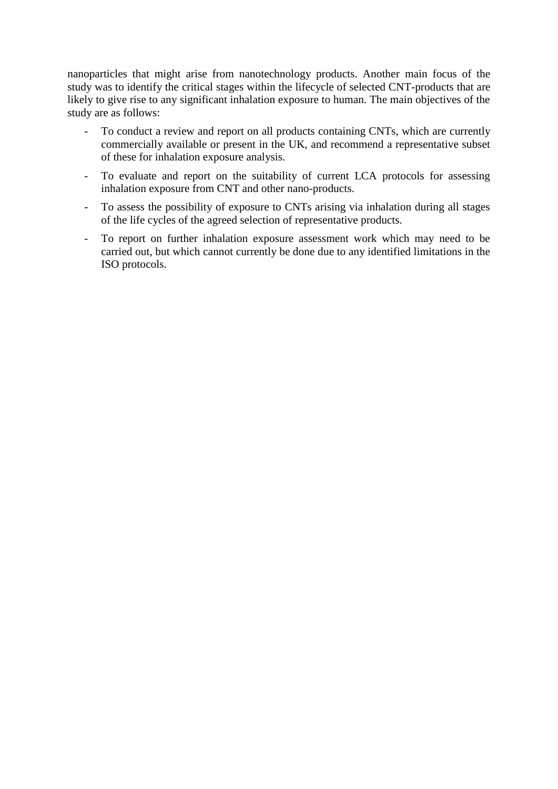nanoparticles that might arise from nanotechnology products. Another main focus of the study was to identify the critical stages within the lifecycle of selected CNT-products that are likely to give rise to any significant inhalation exposure to human. The main objectives of the study are as follows:

- To conduct a review and report on all products containing CNTs, which are currently commercially available or present in the UK, and recommend a representative subset of these for inhalation exposure analysis.
- To evaluate and report on the suitability of current LCA protocols for assessing inhalation exposure from CNT and other nano-products.
- To assess the possibility of exposure to CNTs arising via inhalation during all stages of the life cycles of the agreed selection of representative products.
- To report on further inhalation exposure assessment work which may need to be carried out, but which cannot currently be done due to any identified limitations in the ISO protocols.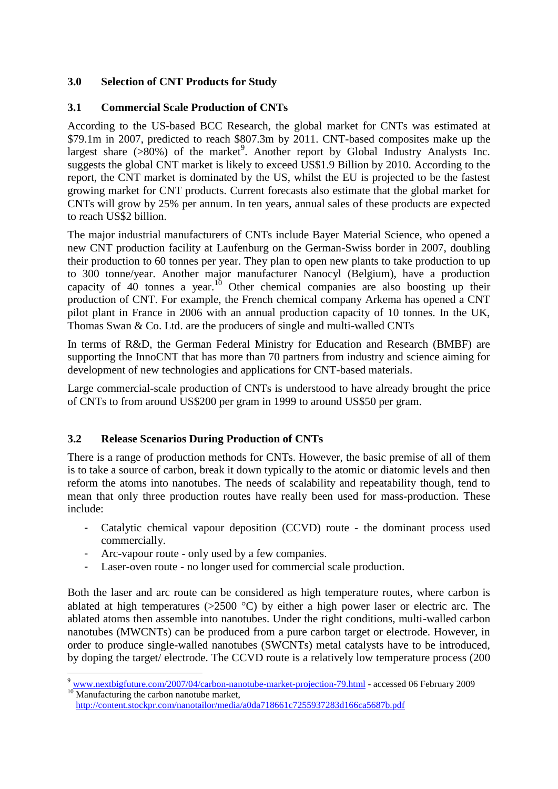#### **3.0 Selection of CNT Products for Study**

#### **3.1 Commercial Scale Production of CNTs**

According to the US-based BCC Research, the global market for CNTs was estimated at \$79.1m in 2007, predicted to reach \$807.3m by 2011. CNT-based composites make up the largest share  $(>80%)$  of the market<sup>9</sup>. Another report by Global Industry Analysts Inc. suggests the global CNT market is likely to exceed US\$1.9 Billion by 2010. According to the report, the CNT market is dominated by the US, whilst the EU is projected to be the fastest growing market for CNT products. Current forecasts also estimate that the global market for CNTs will grow by 25% per annum. In ten years, annual sales of these products are expected to reach US\$2 billion.

The major industrial manufacturers of CNTs include Bayer Material Science, who opened a new CNT production facility at Laufenburg on the German-Swiss border in 2007, doubling their production to 60 tonnes per year. They plan to open new plants to take production to up to 300 tonne/year. Another major manufacturer Nanocyl (Belgium), have a production capacity of  $40$  tonnes a year.<sup>10</sup> Other chemical companies are also boosting up their production of CNT. For example, the French chemical company Arkema has opened a CNT pilot plant in France in 2006 with an annual production capacity of 10 tonnes. In the UK, Thomas Swan & Co. Ltd. are the producers of single and multi-walled CNTs

In terms of R&D, the German Federal Ministry for Education and Research (BMBF) are supporting the InnoCNT that has more than 70 partners from industry and science aiming for development of new technologies and applications for CNT-based materials.

Large commercial-scale production of CNTs is understood to have already brought the price of CNTs to from around US\$200 per gram in 1999 to around US\$50 per gram.

#### **3.2 Release Scenarios During Production of CNTs**

There is a range of production methods for CNTs. However, the basic premise of all of them is to take a source of carbon, break it down typically to the atomic or diatomic levels and then reform the atoms into nanotubes. The needs of scalability and repeatability though, tend to mean that only three production routes have really been used for mass-production. These include:

- Catalytic chemical vapour deposition (CCVD) route the dominant process used commercially.
- Arc-vapour route only used by a few companies.

1

Laser-oven route - no longer used for commercial scale production.

Both the laser and arc route can be considered as high temperature routes, where carbon is ablated at high temperatures ( $>2500$  °C) by either a high power laser or electric arc. The ablated atoms then assemble into nanotubes. Under the right conditions, multi-walled carbon nanotubes (MWCNTs) can be produced from a pure carbon target or electrode. However, in order to produce single-walled nanotubes (SWCNTs) metal catalysts have to be introduced, by doping the target/ electrode. The CCVD route is a relatively low temperature process (200

<sup>&</sup>lt;sup>9</sup> [www.nextbigfuture.com/2007/04/carbon-nanotube-market-projection-79.html](http://www.nextbigfuture.com/2007/04/carbon-nanotube-market-projection-79.html) - accessed 06 February 2009 <sup>10</sup> Manufacturing the carbon nanotube market,

<http://content.stockpr.com/nanotailor/media/a0da718661c7255937283d166ca5687b.pdf>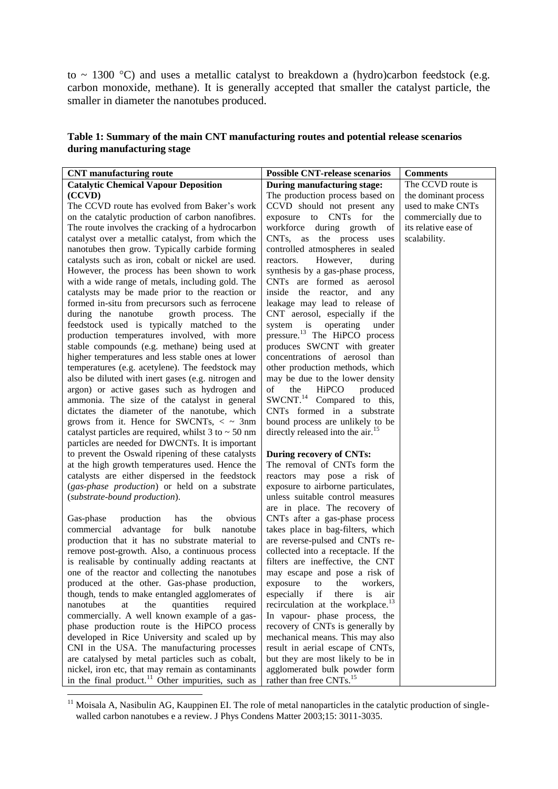to  $\sim$  1300 °C) and uses a metallic catalyst to breakdown a (hydro)carbon feedstock (e.g. carbon monoxide, methane). It is generally accepted that smaller the catalyst particle, the smaller in diameter the nanotubes produced.

| Table 1: Summary of the main CNT manufacturing routes and potential release scenarios |
|---------------------------------------------------------------------------------------|
| during manufacturing stage                                                            |

| <b>CNT</b> manufacturing route                                                                                                                                                                                        | <b>Possible CNT-release scenarios</b>                                                                                                          | <b>Comments</b>      |
|-----------------------------------------------------------------------------------------------------------------------------------------------------------------------------------------------------------------------|------------------------------------------------------------------------------------------------------------------------------------------------|----------------------|
| <b>Catalytic Chemical Vapour Deposition</b>                                                                                                                                                                           | During manufacturing stage:                                                                                                                    | The CCVD route is    |
| (CCVD)                                                                                                                                                                                                                | The production process based on                                                                                                                | the dominant process |
| The CCVD route has evolved from Baker's work                                                                                                                                                                          | CCVD should not present any                                                                                                                    | used to make CNTs    |
| on the catalytic production of carbon nanofibres.                                                                                                                                                                     | exposure to CNTs for<br>the                                                                                                                    | commercially due to  |
| The route involves the cracking of a hydrocarbon                                                                                                                                                                      | workforce during growth<br>of                                                                                                                  | its relative ease of |
| catalyst over a metallic catalyst, from which the                                                                                                                                                                     | CNTs, as the process uses                                                                                                                      | scalability.         |
| nanotubes then grow. Typically carbide forming                                                                                                                                                                        | controlled atmospheres in sealed                                                                                                               |                      |
| catalysts such as iron, cobalt or nickel are used.                                                                                                                                                                    | However,<br>reactors.<br>during                                                                                                                |                      |
| However, the process has been shown to work                                                                                                                                                                           | synthesis by a gas-phase process,                                                                                                              |                      |
| with a wide range of metals, including gold. The                                                                                                                                                                      | CNTs are formed as aerosol                                                                                                                     |                      |
| catalysts may be made prior to the reaction or                                                                                                                                                                        | inside the reactor, and any                                                                                                                    |                      |
| formed in-situ from precursors such as ferrocene                                                                                                                                                                      | leakage may lead to release of                                                                                                                 |                      |
| during the nanotube<br>growth process. The                                                                                                                                                                            | CNT aerosol, especially if the                                                                                                                 |                      |
| feedstock used is typically matched to the                                                                                                                                                                            | operating<br>system is<br>under                                                                                                                |                      |
| production temperatures involved, with more                                                                                                                                                                           | pressure. <sup>13</sup> The HiPCO process                                                                                                      |                      |
| stable compounds (e.g. methane) being used at                                                                                                                                                                         | produces SWCNT with greater                                                                                                                    |                      |
| higher temperatures and less stable ones at lower                                                                                                                                                                     | concentrations of aerosol than                                                                                                                 |                      |
| temperatures (e.g. acetylene). The feedstock may                                                                                                                                                                      | other production methods, which                                                                                                                |                      |
| also be diluted with inert gases (e.g. nitrogen and                                                                                                                                                                   | may be due to the lower density                                                                                                                |                      |
| argon) or active gases such as hydrogen and                                                                                                                                                                           | of<br>the<br>HiPCO<br>produced                                                                                                                 |                      |
| ammonia. The size of the catalyst in general                                                                                                                                                                          | SWCNT. <sup>14</sup> Compared to this,                                                                                                         |                      |
| dictates the diameter of the nanotube, which                                                                                                                                                                          | CNTs formed in a substrate                                                                                                                     |                      |
| grows from it. Hence for SWCNTs, $\lt \sim 3$ nm                                                                                                                                                                      | bound process are unlikely to be                                                                                                               |                      |
| catalyst particles are required, whilst $3$ to $\sim$ 50 nm                                                                                                                                                           | directly released into the air. <sup>15</sup>                                                                                                  |                      |
| particles are needed for DWCNTs. It is important                                                                                                                                                                      |                                                                                                                                                |                      |
| to prevent the Oswald ripening of these catalysts                                                                                                                                                                     | During recovery of CNTs:                                                                                                                       |                      |
| at the high growth temperatures used. Hence the                                                                                                                                                                       | The removal of CNTs form the                                                                                                                   |                      |
| catalysts are either dispersed in the feedstock                                                                                                                                                                       |                                                                                                                                                |                      |
|                                                                                                                                                                                                                       | reactors may pose a risk of                                                                                                                    |                      |
| (gas-phase production) or held on a substrate                                                                                                                                                                         | exposure to airborne particulates,<br>unless suitable control measures                                                                         |                      |
| (substrate-bound production).                                                                                                                                                                                         |                                                                                                                                                |                      |
| obvious                                                                                                                                                                                                               | are in place. The recovery of                                                                                                                  |                      |
| Gas-phase<br>production<br>has<br>the<br>bulk<br>advantage                                                                                                                                                            | CNTs after a gas-phase process<br>takes place in bag-filters, which                                                                            |                      |
| for<br>commercial<br>nanotube<br>production that it has no substrate material to                                                                                                                                      |                                                                                                                                                |                      |
|                                                                                                                                                                                                                       | are reverse-pulsed and CNTs re-                                                                                                                |                      |
| remove post-growth. Also, a continuous process                                                                                                                                                                        | collected into a receptacle. If the                                                                                                            |                      |
| is realisable by continually adding reactants at<br>one of the reactor and collecting the nanotubes                                                                                                                   | filters are ineffective, the CNT<br>may escape and pose a risk of                                                                              |                      |
|                                                                                                                                                                                                                       |                                                                                                                                                |                      |
| produced at the other. Gas-phase production,                                                                                                                                                                          | exposure to the workers,                                                                                                                       |                      |
| though, tends to make entangled agglomerates of                                                                                                                                                                       | especially if there is<br>air                                                                                                                  |                      |
| nanotubes<br>at<br>the<br>quantities<br>required                                                                                                                                                                      | recirculation at the workplace. <sup>13</sup>                                                                                                  |                      |
| commercially. A well known example of a gas-                                                                                                                                                                          | In vapour- phase process, the                                                                                                                  |                      |
| phase production route is the HiPCO process                                                                                                                                                                           | recovery of CNTs is generally by                                                                                                               |                      |
| developed in Rice University and scaled up by                                                                                                                                                                         | mechanical means. This may also                                                                                                                |                      |
|                                                                                                                                                                                                                       |                                                                                                                                                |                      |
|                                                                                                                                                                                                                       |                                                                                                                                                |                      |
|                                                                                                                                                                                                                       |                                                                                                                                                |                      |
| CNI in the USA. The manufacturing processes<br>are catalysed by metal particles such as cobalt,<br>nickel, iron etc, that may remain as contaminants<br>in the final product. <sup>11</sup> Other impurities, such as | result in aerial escape of CNTs,<br>but they are most likely to be in<br>agglomerated bulk powder form<br>rather than free CNTs. <sup>15</sup> |                      |

 $11$  Moisala A, Nasibulin AG, Kauppinen EI. The role of metal nanoparticles in the catalytic production of singlewalled carbon nanotubes e a review. J Phys Condens Matter 2003;15: 3011-3035.

<u>.</u>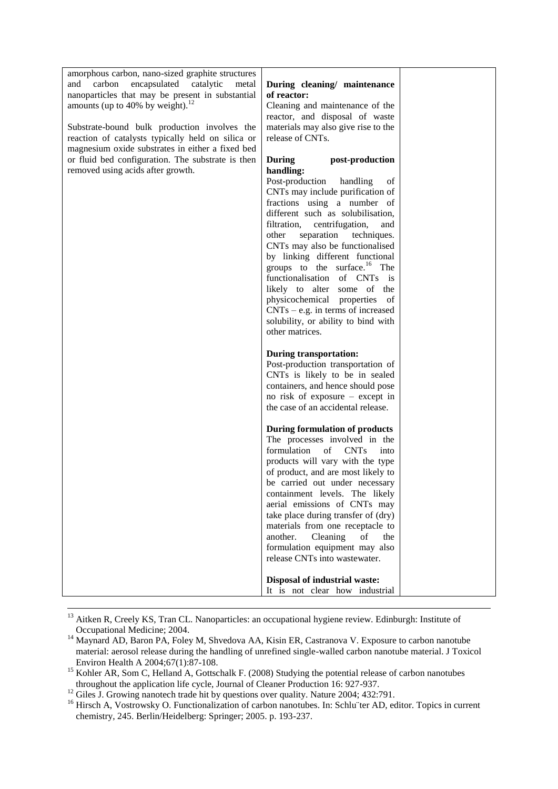| amorphous carbon, nano-sized graphite structures  |                                          |  |
|---------------------------------------------------|------------------------------------------|--|
| carbon<br>encapsulated catalytic<br>and<br>metal  | During cleaning/ maintenance             |  |
| nanoparticles that may be present in substantial  | of reactor:                              |  |
| amounts (up to 40% by weight). <sup>12</sup>      | Cleaning and maintenance of the          |  |
|                                                   | reactor, and disposal of waste           |  |
| Substrate-bound bulk production involves the      | materials may also give rise to the      |  |
| reaction of catalysts typically held on silica or | release of CNTs.                         |  |
| magnesium oxide substrates in either a fixed bed  |                                          |  |
| or fluid bed configuration. The substrate is then | post-production<br>During                |  |
| removed using acids after growth.                 | handling:                                |  |
|                                                   | Post-production<br>handling<br>of        |  |
|                                                   | CNTs may include purification of         |  |
|                                                   | fractions using a number of              |  |
|                                                   | different such as solubilisation,        |  |
|                                                   | filtration,<br>centrifugation,<br>and    |  |
|                                                   | separation<br>techniques.<br>other       |  |
|                                                   | CNTs may also be functionalised          |  |
|                                                   | by linking different functional          |  |
|                                                   | groups to the surface. <sup>16</sup> The |  |
|                                                   | functionalisation of CNTs is             |  |
|                                                   | likely to alter some of the              |  |
|                                                   | physicochemical properties of            |  |
|                                                   | $CNTs - e.g.$ in terms of increased      |  |
|                                                   | solubility, or ability to bind with      |  |
|                                                   | other matrices.                          |  |
|                                                   |                                          |  |
|                                                   | <b>During transportation:</b>            |  |
|                                                   | Post-production transportation of        |  |
|                                                   | CNTs is likely to be in sealed           |  |
|                                                   | containers, and hence should pose        |  |
|                                                   | no risk of exposure – except in          |  |
|                                                   | the case of an accidental release.       |  |
|                                                   |                                          |  |
|                                                   | <b>During formulation of products</b>    |  |
|                                                   | The processes involved in the            |  |
|                                                   | formulation<br><b>CNTs</b><br>of<br>into |  |
|                                                   | products will vary with the type         |  |
|                                                   | of product, and are most likely to       |  |
|                                                   | be carried out under necessary           |  |
|                                                   | containment levels. The likely           |  |
|                                                   | aerial emissions of CNTs may             |  |
|                                                   | take place during transfer of (dry)      |  |
|                                                   | materials from one receptacle to         |  |
|                                                   | another.<br>Cleaning<br>of<br>the        |  |
|                                                   | formulation equipment may also           |  |
|                                                   | release CNTs into wastewater.            |  |
|                                                   |                                          |  |
|                                                   | Disposal of industrial waste:            |  |
|                                                   | It is not clear how industrial           |  |

 $13$  Aitken R, Creely KS, Tran CL. Nanoparticles: an occupational hygiene review. Edinburgh: Institute of Occupational Medicine; 2004.

1

<sup>&</sup>lt;sup>14</sup> Maynard AD, Baron PA, Foley M, Shvedova AA, Kisin ER, Castranova V. Exposure to carbon nanotube material: aerosol release during the handling of unrefined single-walled carbon nanotube material. J Toxicol Environ Health A 2004;67(1):87-108.

<sup>&</sup>lt;sup>15</sup> Kohler AR, Som C, Helland A, Gottschalk F. (2008) Studying the potential release of carbon nanotubes throughout the application life cycle, Journal of Cleaner Production 16: 927-937.

<sup>&</sup>lt;sup>12</sup> Giles J. Growing nanotech trade hit by questions over quality. Nature 2004; 432:791.

<sup>&</sup>lt;sup>16</sup> Hirsch A, Vostrowsky O. Functionalization of carbon nanotubes. In: Schluïter AD, editor. Topics in current chemistry, 245. Berlin/Heidelberg: Springer; 2005. p. 193-237.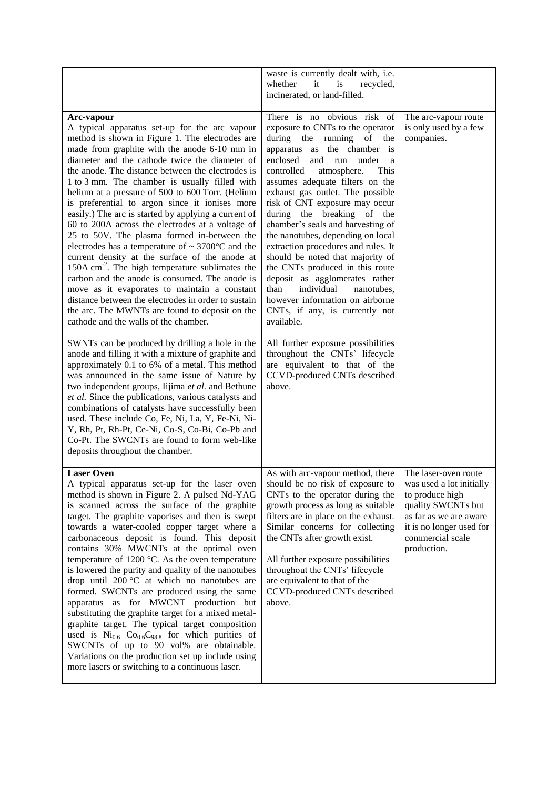|                                                                                                                                                                                                                                                                                                                                                                                                                                                                                                                                                                                                                                                                                                                                                                                                                                                                                                                                                                                                                                                                                                                                                                                                                                                                                                                                                                                                                                                                                                                                                                                                  | waste is currently dealt with, i.e.<br>whether<br>it<br>is<br>recycled,<br>incinerated, or land-filled.                                                                                                                                                                                                                                                                                                                                                                                                                                                                                                                                                                                                                                                                                                                                                        |                                                                                                                                                                                    |
|--------------------------------------------------------------------------------------------------------------------------------------------------------------------------------------------------------------------------------------------------------------------------------------------------------------------------------------------------------------------------------------------------------------------------------------------------------------------------------------------------------------------------------------------------------------------------------------------------------------------------------------------------------------------------------------------------------------------------------------------------------------------------------------------------------------------------------------------------------------------------------------------------------------------------------------------------------------------------------------------------------------------------------------------------------------------------------------------------------------------------------------------------------------------------------------------------------------------------------------------------------------------------------------------------------------------------------------------------------------------------------------------------------------------------------------------------------------------------------------------------------------------------------------------------------------------------------------------------|----------------------------------------------------------------------------------------------------------------------------------------------------------------------------------------------------------------------------------------------------------------------------------------------------------------------------------------------------------------------------------------------------------------------------------------------------------------------------------------------------------------------------------------------------------------------------------------------------------------------------------------------------------------------------------------------------------------------------------------------------------------------------------------------------------------------------------------------------------------|------------------------------------------------------------------------------------------------------------------------------------------------------------------------------------|
| Arc-vapour<br>A typical apparatus set-up for the arc vapour<br>method is shown in Figure 1. The electrodes are<br>made from graphite with the anode 6-10 mm in<br>diameter and the cathode twice the diameter of<br>the anode. The distance between the electrodes is<br>1 to 3 mm. The chamber is usually filled with<br>helium at a pressure of 500 to 600 Torr. (Helium<br>is preferential to argon since it ionises more<br>easily.) The arc is started by applying a current of<br>60 to 200A across the electrodes at a voltage of<br>25 to 50V. The plasma formed in-between the<br>electrodes has a temperature of $\sim 3700$ °C and the<br>current density at the surface of the anode at<br>150A cm <sup>-2</sup> . The high temperature sublimates the<br>carbon and the anode is consumed. The anode is<br>move as it evaporates to maintain a constant<br>distance between the electrodes in order to sustain<br>the arc. The MWNTs are found to deposit on the<br>cathode and the walls of the chamber.<br>SWNTs can be produced by drilling a hole in the<br>anode and filling it with a mixture of graphite and<br>approximately 0.1 to 6% of a metal. This method<br>was announced in the same issue of Nature by<br>two independent groups, Iijima et al. and Bethune<br>et al. Since the publications, various catalysts and<br>combinations of catalysts have successfully been<br>used. These include Co, Fe, Ni, La, Y, Fe-Ni, Ni-<br>Y, Rh, Pt, Rh-Pt, Ce-Ni, Co-S, Co-Bi, Co-Pb and<br>Co-Pt. The SWCNTs are found to form web-like<br>deposits throughout the chamber. | There is no obvious risk of<br>exposure to CNTs to the operator<br>during the running of the<br>apparatus as the chamber is<br>enclosed<br>and<br>under<br>run<br><sub>a</sub><br>controlled<br>atmosphere.<br>This<br>assumes adequate filters on the<br>exhaust gas outlet. The possible<br>risk of CNT exposure may occur<br>during the breaking of the<br>chamber's seals and harvesting of<br>the nanotubes, depending on local<br>extraction procedures and rules. It<br>should be noted that majority of<br>the CNTs produced in this route<br>deposit as agglomerates rather<br>individual<br>than<br>nanotubes,<br>however information on airborne<br>CNTs, if any, is currently not<br>available.<br>All further exposure possibilities<br>throughout the CNTs' lifecycle<br>are equivalent to that of the<br>CCVD-produced CNTs described<br>above. | The arc-vapour route<br>is only used by a few<br>companies.                                                                                                                        |
| <b>Laser Oven</b><br>A typical apparatus set-up for the laser oven<br>method is shown in Figure 2. A pulsed Nd-YAG<br>is scanned across the surface of the graphite<br>target. The graphite vaporises and then is swept<br>towards a water-cooled copper target where a<br>carbonaceous deposit is found. This deposit<br>contains 30% MWCNTs at the optimal oven<br>temperature of 1200 $^{\circ}$ C. As the oven temperature<br>is lowered the purity and quality of the nanotubes<br>drop until $200 \degree C$ at which no nanotubes are<br>formed. SWCNTs are produced using the same<br>apparatus as for MWCNT production but<br>substituting the graphite target for a mixed metal-<br>graphite target. The typical target composition<br>used is $Ni0.6 Co0.6C98.8$ for which purities of<br>SWCNTs of up to 90 vol% are obtainable.<br>Variations on the production set up include using<br>more lasers or switching to a continuous laser.                                                                                                                                                                                                                                                                                                                                                                                                                                                                                                                                                                                                                                             | As with arc-vapour method, there<br>should be no risk of exposure to<br>CNTs to the operator during the<br>growth process as long as suitable<br>filters are in place on the exhaust.<br>Similar concerns for collecting<br>the CNTs after growth exist.<br>All further exposure possibilities<br>throughout the CNTs' lifecycle<br>are equivalent to that of the<br>CCVD-produced CNTs described<br>above.                                                                                                                                                                                                                                                                                                                                                                                                                                                    | The laser-oven route<br>was used a lot initially<br>to produce high<br>quality SWCNTs but<br>as far as we are aware<br>it is no longer used for<br>commercial scale<br>production. |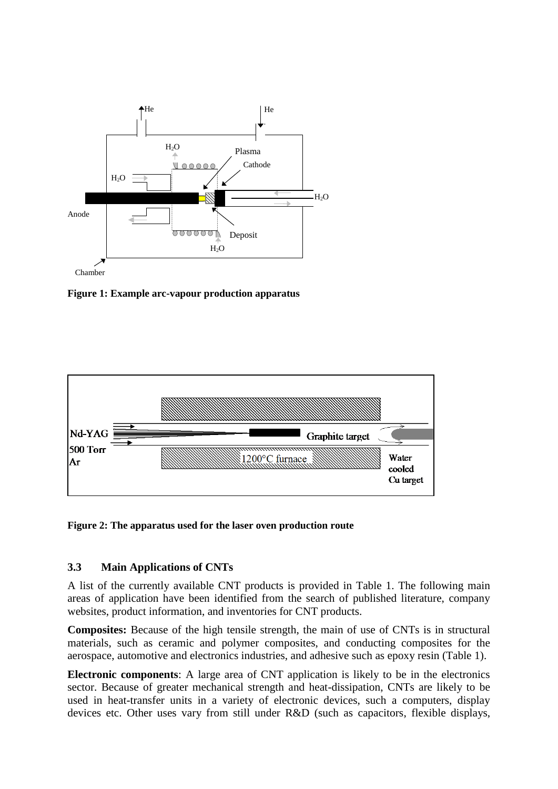

**Figure 1: Example arc-vapour production apparatus**



**Figure 2: The apparatus used for the laser oven production route**

#### **3.3 Main Applications of CNTs**

A list of the currently available CNT products is provided in Table 1. The following main areas of application have been identified from the search of published literature, company websites, product information, and inventories for CNT products.

**Composites:** Because of the high tensile strength, the main of use of CNTs is in structural materials, such as ceramic and polymer composites, and conducting composites for the aerospace, automotive and electronics industries, and adhesive such as epoxy resin (Table 1).

**Electronic components**: A large area of CNT application is likely to be in the electronics sector. Because of greater mechanical strength and heat-dissipation, CNTs are likely to be used in heat-transfer units in a variety of electronic devices, such a computers, display devices etc. Other uses vary from still under R&D (such as capacitors, flexible displays,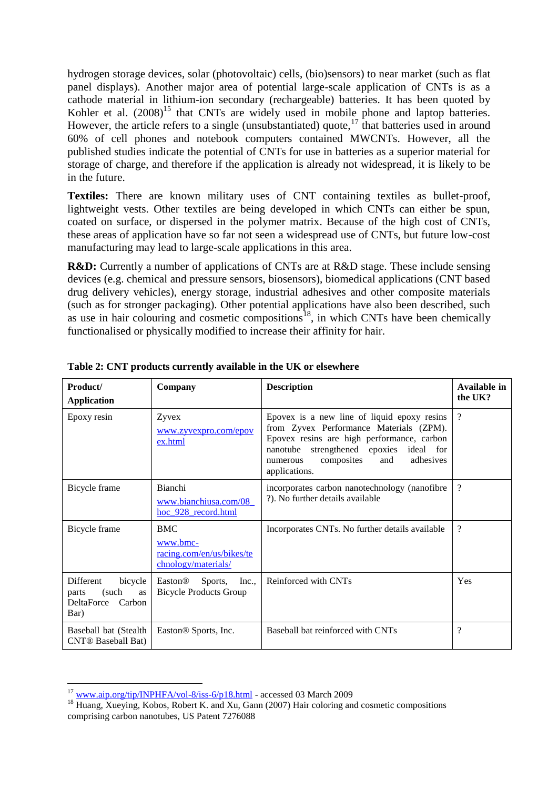hydrogen storage devices, solar (photovoltaic) cells, (bio)sensors) to near market (such as flat panel displays). Another major area of potential large-scale application of CNTs is as a cathode material in lithium-ion secondary (rechargeable) batteries. It has been quoted by Kohler et al.  $(2008)^{15}$  that CNTs are widely used in mobile phone and laptop batteries. However, the article refers to a single (unsubstantiated) quote, $17$  that batteries used in around 60% of cell phones and notebook computers contained MWCNTs. However, all the published studies indicate the potential of CNTs for use in batteries as a superior material for storage of charge, and therefore if the application is already not widespread, it is likely to be in the future.

**Textiles:** There are known military uses of CNT containing textiles as bullet-proof, lightweight vests. Other textiles are being developed in which CNTs can either be spun, coated on surface, or dispersed in the polymer matrix. Because of the high cost of CNTs, these areas of application have so far not seen a widespread use of CNTs, but future low-cost manufacturing may lead to large-scale applications in this area.

**R&D:** Currently a number of applications of CNTs are at R&D stage. These include sensing devices (e.g. chemical and pressure sensors, biosensors), biomedical applications (CNT based drug delivery vehicles), energy storage, industrial adhesives and other composite materials (such as for stronger packaging). Other potential applications have also been described, such as use in hair colouring and cosmetic compositions<sup>18</sup>, in which CNTs have been chemically functionalised or physically modified to increase their affinity for hair.

| Product/<br><b>Application</b>                                                      | Company                                                                    | <b>Description</b>                                                                                                                                                                                                                                   | Available in<br>the UK?  |
|-------------------------------------------------------------------------------------|----------------------------------------------------------------------------|------------------------------------------------------------------------------------------------------------------------------------------------------------------------------------------------------------------------------------------------------|--------------------------|
| Epoxy resin                                                                         | Zyvex<br><u>www.zyvexpro.com/epov</u><br>ex.html                           | Epovex is a new line of liquid epoxy resins<br>from Zyvex Performance Materials (ZPM).<br>Epovex resins are high performance, carbon<br>strengthened epoxies<br>nanotube<br>ideal for<br>composites<br>and<br>adhesives<br>numerous<br>applications. | $\overline{\mathcal{C}}$ |
| Bicycle frame                                                                       | <b>Bianchi</b><br>www.bianchiusa.com/08<br>hoc 928 record.html             | incorporates carbon nanotechnology (nanofibre<br>?). No further details available                                                                                                                                                                    | $\overline{\mathcal{C}}$ |
| Bicycle frame                                                                       | <b>BMC</b><br>www.bmc-<br>racing.com/en/us/bikes/te<br>chnology/materials/ | Incorporates CNTs. No further details available                                                                                                                                                                                                      | $\overline{\cdot}$       |
| Different<br>bicycle<br>(such<br><b>as</b><br>parts<br>DeltaForce<br>Carbon<br>Bar) | Easton <sup>®</sup><br>Sports,<br>Inc.,<br><b>Bicycle Products Group</b>   | Reinforced with CNTs                                                                                                                                                                                                                                 | Yes                      |
| Baseball bat (Stealth<br><b>CNT®</b> Baseball Bat)                                  | Easton® Sports, Inc.                                                       | Baseball bat reinforced with CNTs                                                                                                                                                                                                                    | $\overline{\mathcal{C}}$ |

**Table 2: CNT products currently available in the UK or elsewhere**

<sup>&</sup>lt;u>.</u> <sup>17</sup> [www.aip.org/tip/INPHFA/vol-8/iss-6/p18.html](http://www.aip.org/tip/INPHFA/vol-8/iss-6/p18.html) - accessed 03 March 2009

<sup>&</sup>lt;sup>18</sup> Huang, Xueying, Kobos, Robert K. and Xu, Gann (2007) Hair coloring and cosmetic compositions comprising carbon nanotubes, US Patent 7276088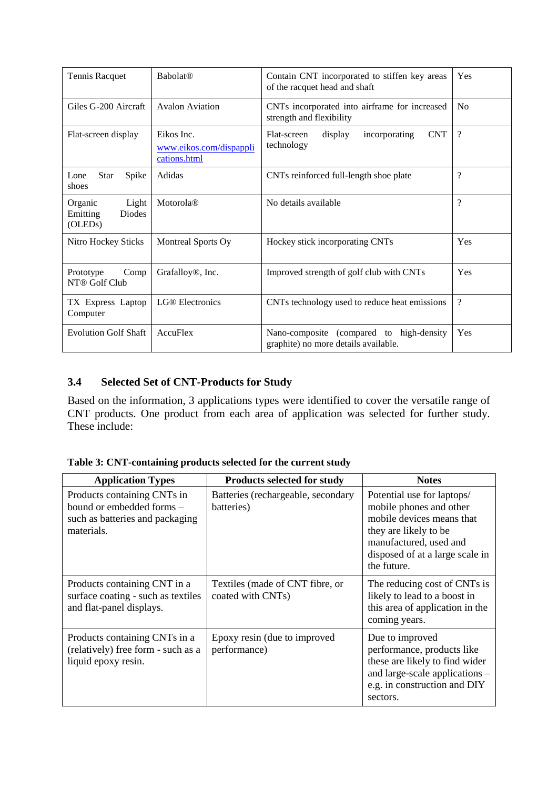| Tennis Racquet<br><b>Babolat®</b><br>Contain CNT incorporated to stiffen key areas<br>of the racquet head and shaft |                                                       | Yes                                                                                 |                    |
|---------------------------------------------------------------------------------------------------------------------|-------------------------------------------------------|-------------------------------------------------------------------------------------|--------------------|
| Giles G-200 Aircraft                                                                                                | Avalon Aviation                                       | CNTs incorporated into airframe for increased<br>strength and flexibility           | N <sub>o</sub>     |
| Flat-screen display                                                                                                 | Eikos Inc.<br>www.eikos.com/dispappli<br>cations.html | <b>CNT</b><br>Flat-screen<br>display<br>incorporating<br>technology                 | $\overline{\cdot}$ |
| Spike<br>Star<br>Lone<br>shoes                                                                                      | Adidas                                                | CNTs reinforced full-length shoe plate                                              | $\gamma$           |
| Light<br>Organic<br>Emitting<br>Diodes<br>(OLED <sub>s</sub> )                                                      | Motorola®                                             | No details available                                                                | $\gamma$           |
| Nitro Hockey Sticks                                                                                                 | Montreal Sports Oy                                    | Hockey stick incorporating CNTs                                                     | Yes                |
| Comp<br>Prototype<br>NT® Golf Club                                                                                  | Grafalloy <sup>®</sup> , Inc.                         | Improved strength of golf club with CNTs                                            | Yes                |
| TX Express Laptop<br>Computer                                                                                       | <b>LG®</b> Electronics                                | CNTs technology used to reduce heat emissions                                       | $\ddot{?}$         |
| <b>Evolution Golf Shaft</b><br>AccuFlex                                                                             |                                                       | Nano-composite<br>(compared to high-density<br>graphite) no more details available. | Yes                |

## **3.4 Selected Set of CNT-Products for Study**

Based on the information, 3 applications types were identified to cover the versatile range of CNT products. One product from each area of application was selected for further study. These include:

| <b>Application Types</b>                                                                                  | <b>Products selected for study</b>                   | <b>Notes</b>                                                                                                                                                                            |
|-----------------------------------------------------------------------------------------------------------|------------------------------------------------------|-----------------------------------------------------------------------------------------------------------------------------------------------------------------------------------------|
| Products containing CNTs in<br>bound or embedded forms -<br>such as batteries and packaging<br>materials. | Batteries (rechargeable, secondary<br>batteries)     | Potential use for laptops/<br>mobile phones and other<br>mobile devices means that<br>they are likely to be<br>manufactured, used and<br>disposed of at a large scale in<br>the future. |
| Products containing CNT in a<br>surface coating - such as textiles<br>and flat-panel displays.            | Textiles (made of CNT fibre, or<br>coated with CNTs) | The reducing cost of CNTs is<br>likely to lead to a boost in<br>this area of application in the<br>coming years.                                                                        |
| Products containing CNTs in a<br>(relatively) free form - such as a<br>liquid epoxy resin.                | Epoxy resin (due to improved<br>performance)         | Due to improved<br>performance, products like<br>these are likely to find wider<br>and large-scale applications –<br>e.g. in construction and DIY<br>sectors.                           |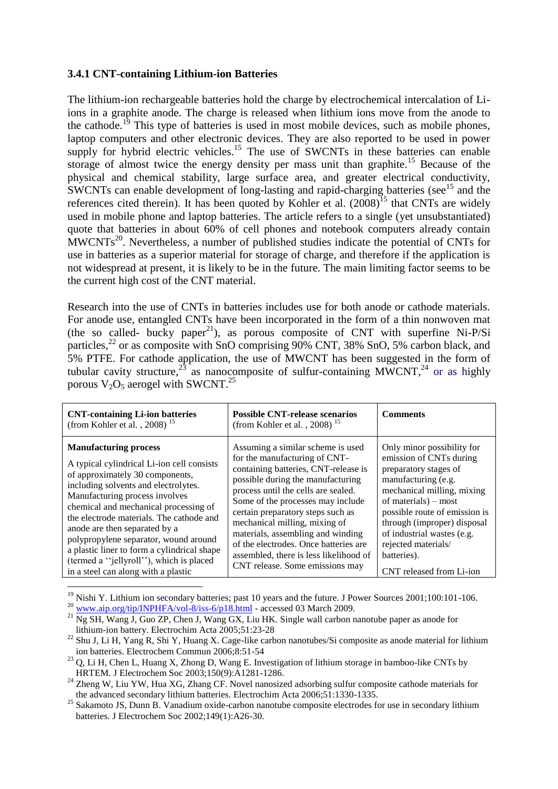#### **3.4.1 CNT-containing Lithium-ion Batteries**

The lithium-ion rechargeable batteries hold the charge by electrochemical intercalation of Liions in a graphite anode. The charge is released when lithium ions move from the anode to the cathode.<sup>19</sup> This type of batteries is used in most mobile devices, such as mobile phones, laptop computers and other electronic devices. They are also reported to be used in power supply for hybrid electric vehicles.<sup>15</sup> The use of SWCNTs in these batteries can enable storage of almost twice the energy density per mass unit than graphite.<sup>15</sup> Because of the physical and chemical stability, large surface area, and greater electrical conductivity, SWCNTs can enable development of long-lasting and rapid-charging batteries (see<sup>15</sup> and the references cited therein). It has been quoted by Kohler et al.  $(2008)^{15}$  that CNTs are widely used in mobile phone and laptop batteries. The article refers to a single (yet unsubstantiated) quote that batteries in about 60% of cell phones and notebook computers already contain  $\text{MWCNTs}^{20}$ . Nevertheless, a number of published studies indicate the potential of CNTs for use in batteries as a superior material for storage of charge, and therefore if the application is not widespread at present, it is likely to be in the future. The main limiting factor seems to be the current high cost of the CNT material.

Research into the use of CNTs in batteries includes use for both anode or cathode materials. For anode use, entangled CNTs have been incorporated in the form of a thin nonwoven mat (the so called- bucky paper<sup>21</sup>), as porous composite of CNT with superfine Ni-P/Si particles,<sup>22</sup> or as composite with SnO comprising 90% CNT, 38% SnO, 5% carbon black, and 5% PTFE. For cathode application, the use of MWCNT has been suggested in the form of tubular cavity structure,<sup>23</sup> as nanocomposite of sulfur-containing MWCNT,<sup>24</sup> or as highly porous  $V_2O_5$  aerogel with SWCNT.<sup>25</sup>

| <b>CNT-containing Li-ion batteries</b><br>(from Kohler et al., 2008) <sup>15</sup> | <b>Possible CNT-release scenarios</b><br>(from Kohler et al., 2008) <sup>15</sup> | <b>Comments</b>               |
|------------------------------------------------------------------------------------|-----------------------------------------------------------------------------------|-------------------------------|
| <b>Manufacturing process</b>                                                       | Assuming a similar scheme is used                                                 | Only minor possibility for    |
| A typical cylindrical Li-ion cell consists                                         | for the manufacturing of CNT-                                                     | emission of CNTs during       |
| of approximately 30 components,                                                    | containing batteries, CNT-release is                                              | preparatory stages of         |
| including solvents and electrolytes.                                               | possible during the manufacturing                                                 | manufacturing (e.g.           |
| Manufacturing process involves                                                     | process until the cells are sealed.                                               | mechanical milling, mixing    |
| chemical and mechanical processing of                                              | Some of the processes may include                                                 | of materials) – most          |
| the electrode materials. The cathode and                                           | certain preparatory steps such as                                                 | possible route of emission is |
| anode are then separated by a                                                      | mechanical milling, mixing of                                                     | through (improper) disposal   |
| polypropylene separator, wound around                                              | materials, assembling and winding                                                 | of industrial wastes (e.g.    |
| a plastic liner to form a cylindrical shape                                        | of the electrodes. Once batteries are                                             | rejected materials/           |
| (termed a "jellyroll"), which is placed                                            | assembled, there is less likelihood of                                            | batteries).                   |
| in a steel can along with a plastic                                                | CNT release. Some emissions may                                                   | CNT released from Li-ion      |

<sup>19</sup> Nishi Y. Lithium ion secondary batteries; past 10 years and the future. J Power Sources 2001;100:101-106.

1

<sup>&</sup>lt;sup>20</sup> [www.aip.org/tip/INPHFA/vol-8/iss-6/p18.html](http://www.aip.org/tip/INPHFA/vol-8/iss-6/p18.html) - accessed 03 March 2009.

 $^{21}$  Ng SH, Wang J, Guo ZP, Chen J, Wang GX, Liu HK. Single wall carbon nanotube paper as anode for lithium-ion battery. Electrochim Acta 2005;51:23-28

<sup>&</sup>lt;sup>22</sup> Shu J, Li H, Yang R, Shi Y, Huang X. Cage-like carbon nanotubes/Si composite as anode material for lithium ion batteries. Electrochem Commun 2006;8:51-54

<sup>&</sup>lt;sup>23</sup> Q, Li H, Chen L, Huang X, Zhong D, Wang E. Investigation of lithium storage in bamboo-like CNTs by HRTEM. J Electrochem Soc 2003;150(9):A1281-1286.

 $^{24}$  Zheng W, Liu YW, Hua XG, Zhang CF. Novel nanosized adsorbing sulfur composite cathode materials for the advanced secondary lithium batteries. Electrochim Acta 2006;51:1330-1335.

<sup>&</sup>lt;sup>25</sup> Sakamoto JS, Dunn B. Vanadium oxide-carbon nanotube composite electrodes for use in secondary lithium batteries. J Electrochem Soc 2002;149(1):A26-30.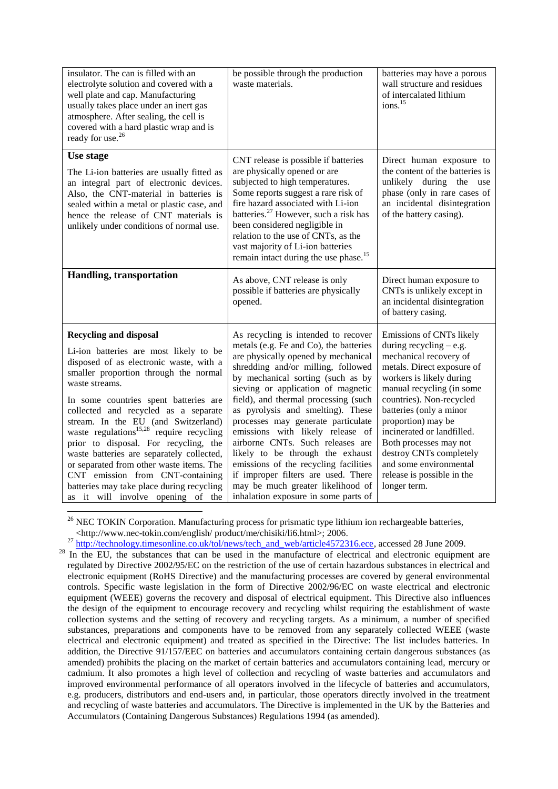| insulator. The can is filled with an<br>electrolyte solution and covered with a<br>well plate and cap. Manufacturing<br>usually takes place under an inert gas<br>atmosphere. After sealing, the cell is<br>covered with a hard plastic wrap and is<br>ready for use. <sup>26</sup>                                                                                                                                                                                                                                                                                                                                   | be possible through the production<br>waste materials.                                                                                                                                                                                                                                                                                                                                                                                                                                                                                                                                                                            | batteries may have a porous<br>wall structure and residues<br>of intercalated lithium<br>ions. <sup>15</sup>                                                                                                                                                                                                                                                                                                   |
|-----------------------------------------------------------------------------------------------------------------------------------------------------------------------------------------------------------------------------------------------------------------------------------------------------------------------------------------------------------------------------------------------------------------------------------------------------------------------------------------------------------------------------------------------------------------------------------------------------------------------|-----------------------------------------------------------------------------------------------------------------------------------------------------------------------------------------------------------------------------------------------------------------------------------------------------------------------------------------------------------------------------------------------------------------------------------------------------------------------------------------------------------------------------------------------------------------------------------------------------------------------------------|----------------------------------------------------------------------------------------------------------------------------------------------------------------------------------------------------------------------------------------------------------------------------------------------------------------------------------------------------------------------------------------------------------------|
| Use stage<br>The Li-ion batteries are usually fitted as<br>an integral part of electronic devices.<br>Also, the CNT-material in batteries is<br>sealed within a metal or plastic case, and<br>hence the release of CNT materials is<br>unlikely under conditions of normal use.                                                                                                                                                                                                                                                                                                                                       | CNT release is possible if batteries<br>are physically opened or are<br>subjected to high temperatures.<br>Some reports suggest a rare risk of<br>fire hazard associated with Li-ion<br>batteries. <sup>27</sup> However, such a risk has<br>been considered negligible in<br>relation to the use of CNTs, as the<br>vast majority of Li-ion batteries<br>remain intact during the use phase. <sup>15</sup>                                                                                                                                                                                                                       | Direct human exposure to<br>the content of the batteries is<br>unlikely during the use<br>phase (only in rare cases of<br>an incidental disintegration<br>of the battery casing).                                                                                                                                                                                                                              |
| Handling, transportation                                                                                                                                                                                                                                                                                                                                                                                                                                                                                                                                                                                              | As above, CNT release is only<br>possible if batteries are physically<br>opened.                                                                                                                                                                                                                                                                                                                                                                                                                                                                                                                                                  | Direct human exposure to<br>CNTs is unlikely except in<br>an incidental disintegration<br>of battery casing.                                                                                                                                                                                                                                                                                                   |
| <b>Recycling and disposal</b><br>Li-ion batteries are most likely to be<br>disposed of as electronic waste, with a<br>smaller proportion through the normal<br>waste streams.<br>In some countries spent batteries are<br>collected and recycled as a separate<br>stream. In the EU (and Switzerland)<br>waste regulations <sup>15,28</sup> require recycling<br>prior to disposal. For recycling, the<br>waste batteries are separately collected,<br>or separated from other waste items. The<br>CNT emission from CNT-containing<br>batteries may take place during recycling<br>as it will involve opening of the | As recycling is intended to recover<br>metals (e.g. Fe and Co), the batteries<br>are physically opened by mechanical<br>shredding and/or milling, followed<br>by mechanical sorting (such as by<br>sieving or application of magnetic<br>field), and thermal processing (such<br>as pyrolysis and smelting). These<br>processes may generate particulate<br>emissions with likely release of<br>airborne CNTs. Such releases are<br>likely to be through the exhaust<br>emissions of the recycling facilities<br>if improper filters are used. There<br>may be much greater likelihood of<br>inhalation exposure in some parts of | Emissions of CNTs likely<br>during recycling $-$ e.g.<br>mechanical recovery of<br>metals. Direct exposure of<br>workers is likely during<br>manual recycling (in some<br>countries). Non-recycled<br>batteries (only a minor<br>proportion) may be<br>incinerated or landfilled.<br>Both processes may not<br>destroy CNTs completely<br>and some environmental<br>release is possible in the<br>longer term. |

 $26$  NEC TOKIN Corporation. Manufacturing process for prismatic type lithium ion rechargeable batteries, <http://www.nec-tokin.com/english/ product/me/chisiki/li6.html>; 2006.

1

<sup>&</sup>lt;sup>27</sup> [http://technology.timesonline.co.uk/tol/news/tech\\_and\\_web/article4572316.ece,](http://technology.timesonline.co.uk/tol/news/tech_and_web/article4572316.ece) accessed 28 June 2009.

<sup>&</sup>lt;sup>28</sup> In the EU, the substances that can be used in the manufacture of electrical and electronic equipment are regulated by Directive 2002/95/EC on the restriction of the use of certain hazardous substances in electrical and electronic equipment (RoHS Directive) and the manufacturing processes are covered by general environmental controls. Specific waste legislation in the form of Directive 2002/96/EC on waste electrical and electronic equipment (WEEE) governs the recovery and disposal of electrical equipment. This Directive also influences the design of the equipment to encourage recovery and recycling whilst requiring the establishment of waste collection systems and the setting of recovery and recycling targets. As a minimum, a number of specified substances, preparations and components have to be removed from any separately collected WEEE (waste electrical and electronic equipment) and treated as specified in the Directive: The list includes batteries. In addition, the Directive 91/157/EEC on batteries and accumulators containing certain dangerous substances (as amended) prohibits the placing on the market of certain batteries and accumulators containing lead, mercury or cadmium. It also promotes a high level of collection and recycling of waste batteries and accumulators and improved environmental performance of all operators involved in the lifecycle of batteries and accumulators, e.g. producers, distributors and end-users and, in particular, those operators directly involved in the treatment and recycling of waste batteries and accumulators. The Directive is implemented in the UK by the Batteries and Accumulators (Containing Dangerous Substances) Regulations 1994 (as amended).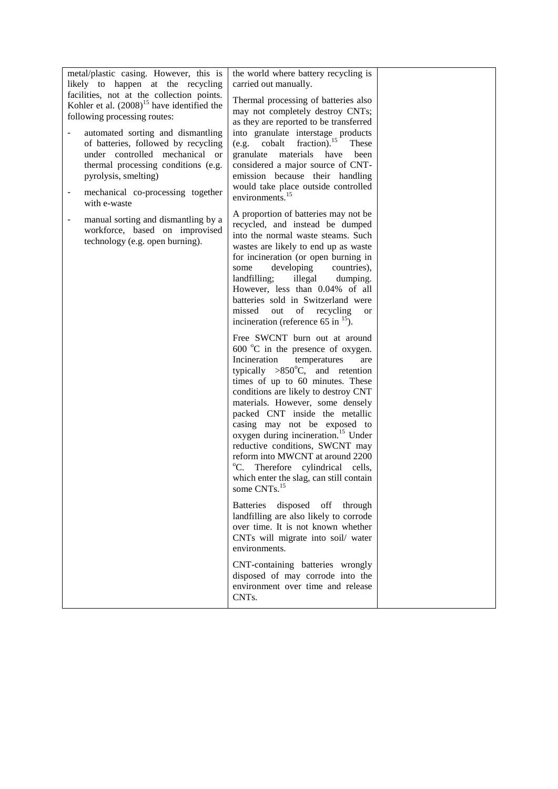| metal/plastic casing. However, this is<br>likely to happen at the recycling                                                                                                                                                                    | the world where battery recycling is<br>carried out manually.                                                                                                                                                                                                                                                                                                                                                                                                                                                                                                                                     |  |
|------------------------------------------------------------------------------------------------------------------------------------------------------------------------------------------------------------------------------------------------|---------------------------------------------------------------------------------------------------------------------------------------------------------------------------------------------------------------------------------------------------------------------------------------------------------------------------------------------------------------------------------------------------------------------------------------------------------------------------------------------------------------------------------------------------------------------------------------------------|--|
| facilities, not at the collection points.<br>Kohler et al. $(2008)^{15}$ have identified the<br>following processing routes:                                                                                                                   | Thermal processing of batteries also<br>may not completely destroy CNTs;                                                                                                                                                                                                                                                                                                                                                                                                                                                                                                                          |  |
| automated sorting and dismantling<br>of batteries, followed by recycling<br>under controlled mechanical or<br>thermal processing conditions (e.g.<br>pyrolysis, smelting)<br>mechanical co-processing together<br>$\qquad \qquad \blacksquare$ | as they are reported to be transferred<br>into granulate interstage products<br>fraction). <sup>15</sup><br>(e.g. cobalt<br>These<br>granulate materials have been<br>considered a major source of CNT-<br>emission because their handling<br>would take place outside controlled<br>environments. <sup>15</sup>                                                                                                                                                                                                                                                                                  |  |
| with e-waste<br>manual sorting and dismantling by a<br>-<br>workforce, based on improvised<br>technology (e.g. open burning).                                                                                                                  | A proportion of batteries may not be<br>recycled, and instead be dumped<br>into the normal waste steams. Such<br>wastes are likely to end up as waste<br>for incineration (or open burning in<br>developing<br>countries),<br>some<br>illegal dumping.<br>landfilling;<br>However, less than 0.04% of all<br>batteries sold in Switzerland were<br>out of<br>missed<br>recycling<br>or<br>incineration (reference 65 in $^{15}$ ).                                                                                                                                                                |  |
|                                                                                                                                                                                                                                                | Free SWCNT burn out at around<br>$600 \degree$ C in the presence of oxygen.<br>Incineration<br>temperatures<br>are<br>typically $>850^{\circ}$ C, and retention<br>times of up to 60 minutes. These<br>conditions are likely to destroy CNT<br>materials. However, some densely<br>packed CNT inside the metallic<br>casing may not be exposed to<br>oxygen during incineration. <sup>15</sup> Under<br>reductive conditions, SWCNT may<br>reform into MWCNT at around 2200<br>$\rm{^oC}.$<br>Therefore cylindrical cells,<br>which enter the slag, can still contain<br>some CNTs. <sup>15</sup> |  |
|                                                                                                                                                                                                                                                | Batteries disposed off through<br>landfilling are also likely to corrode<br>over time. It is not known whether<br>CNTs will migrate into soil/ water<br>environments.                                                                                                                                                                                                                                                                                                                                                                                                                             |  |
|                                                                                                                                                                                                                                                | CNT-containing batteries wrongly<br>disposed of may corrode into the<br>environment over time and release<br>CNTs.                                                                                                                                                                                                                                                                                                                                                                                                                                                                                |  |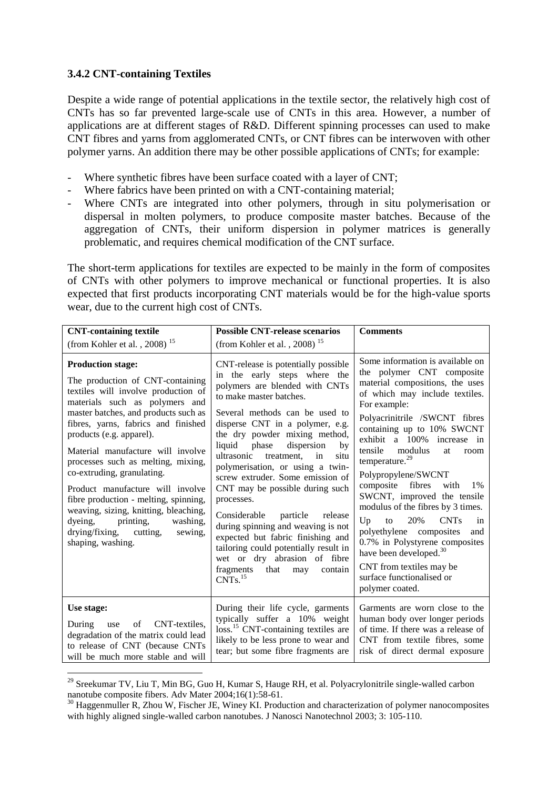#### **3.4.2 CNT-containing Textiles**

1

Despite a wide range of potential applications in the textile sector, the relatively high cost of CNTs has so far prevented large-scale use of CNTs in this area. However, a number of applications are at different stages of R&D. Different spinning processes can used to make CNT fibres and yarns from agglomerated CNTs, or CNT fibres can be interwoven with other polymer yarns. An addition there may be other possible applications of CNTs; for example:

- Where synthetic fibres have been surface coated with a layer of CNT;
- Where fabrics have been printed on with a CNT-containing material;
- Where CNTs are integrated into other polymers, through in situ polymerisation or dispersal in molten polymers, to produce composite master batches. Because of the aggregation of CNTs, their uniform dispersion in polymer matrices is generally problematic, and requires chemical modification of the CNT surface.

The short-term applications for textiles are expected to be mainly in the form of composites of CNTs with other polymers to improve mechanical or functional properties. It is also expected that first products incorporating CNT materials would be for the high-value sports wear, due to the current high cost of CNTs.

| <b>CNT-containing textile</b>                                                                                                                                                                                                                                                                                                                                                                                                                                                                                                                                                  | <b>Possible CNT-release scenarios</b>                                                                                                                                                                                                                                                                                                                                                                                                                                                                                                                                                                                                                                                                     | <b>Comments</b>                                                                                                                                                                                                                                                                                                                                                                                                                                                                                                                                                                                                                                                                 |
|--------------------------------------------------------------------------------------------------------------------------------------------------------------------------------------------------------------------------------------------------------------------------------------------------------------------------------------------------------------------------------------------------------------------------------------------------------------------------------------------------------------------------------------------------------------------------------|-----------------------------------------------------------------------------------------------------------------------------------------------------------------------------------------------------------------------------------------------------------------------------------------------------------------------------------------------------------------------------------------------------------------------------------------------------------------------------------------------------------------------------------------------------------------------------------------------------------------------------------------------------------------------------------------------------------|---------------------------------------------------------------------------------------------------------------------------------------------------------------------------------------------------------------------------------------------------------------------------------------------------------------------------------------------------------------------------------------------------------------------------------------------------------------------------------------------------------------------------------------------------------------------------------------------------------------------------------------------------------------------------------|
| (from Kohler et al., 2008) <sup>15</sup>                                                                                                                                                                                                                                                                                                                                                                                                                                                                                                                                       | (from Kohler et al., 2008) <sup>15</sup>                                                                                                                                                                                                                                                                                                                                                                                                                                                                                                                                                                                                                                                                  |                                                                                                                                                                                                                                                                                                                                                                                                                                                                                                                                                                                                                                                                                 |
| <b>Production stage:</b><br>The production of CNT-containing<br>textiles will involve production of<br>materials such as polymers and<br>master batches, and products such as<br>fibres, yarns, fabrics and finished<br>products (e.g. apparel).<br>Material manufacture will involve<br>processes such as melting, mixing,<br>co-extruding, granulating.<br>Product manufacture will involve<br>fibre production - melting, spinning,<br>weaving, sizing, knitting, bleaching,<br>printing,<br>dyeing,<br>washing,<br>drying/fixing, cutting,<br>sewing,<br>shaping, washing. | CNT-release is potentially possible<br>in the early steps where the<br>polymers are blended with CNTs<br>to make master batches.<br>Several methods can be used to<br>disperse CNT in a polymer, e.g.<br>the dry powder mixing method,<br>phase<br>dispersion<br>liquid<br>by<br>ultrasonic<br>treatment,<br>in<br>situ<br>polymerisation, or using a twin-<br>screw extruder. Some emission of<br>CNT may be possible during such<br>processes.<br>Considerable<br>particle<br>release<br>during spinning and weaving is not<br>expected but fabric finishing and<br>tailoring could potentially result in<br>wet or dry abrasion of fibre<br>fragments<br>that<br>may<br>contain<br>CNTs. <sup>15</sup> | Some information is available on<br>the polymer CNT composite<br>material compositions, the uses<br>of which may include textiles.<br>For example:<br>Polyacrinitrile /SWCNT fibres<br>containing up to 10% SWCNT<br>exhibit a 100% increase in<br>tensile<br>modulus<br>at<br>room<br>temperature. <sup>29</sup><br>Polypropylene/SWCNT<br>composite<br>fibres<br>with<br>1%<br>SWCNT, improved the tensile<br>modulus of the fibres by 3 times.<br>Up<br>20%<br><b>CNTs</b><br>to<br>in<br>polyethylene composites<br>and<br>0.7% in Polystyrene composites<br>have been developed. <sup>30</sup><br>CNT from textiles may be<br>surface functionalised or<br>polymer coated. |
| Use stage:<br>of<br>CNT-textiles.<br>During<br>use<br>degradation of the matrix could lead<br>to release of CNT (because CNTs<br>will be much more stable and will                                                                                                                                                                                                                                                                                                                                                                                                             | During their life cycle, garments<br>typically suffer a 10% weight<br>loss. <sup>15</sup> CNT-containing textiles are<br>likely to be less prone to wear and<br>tear; but some fibre fragments are                                                                                                                                                                                                                                                                                                                                                                                                                                                                                                        | Garments are worn close to the<br>human body over longer periods<br>of time. If there was a release of<br>CNT from textile fibres, some<br>risk of direct dermal exposure                                                                                                                                                                                                                                                                                                                                                                                                                                                                                                       |

 $^{29}$  Sreekumar TV, Liu T, Min BG, Guo H, Kumar S, Hauge RH, et al. Polyacrylonitrile single-walled carbon nanotube composite fibers. Adv Mater 2004;16(1):58-61.

<sup>&</sup>lt;sup>30</sup> Haggenmuller R, Zhou W, Fischer JE, Winey KI. Production and characterization of polymer nanocomposites with highly aligned single-walled carbon nanotubes. J Nanosci Nanotechnol 2003; 3: 105-110.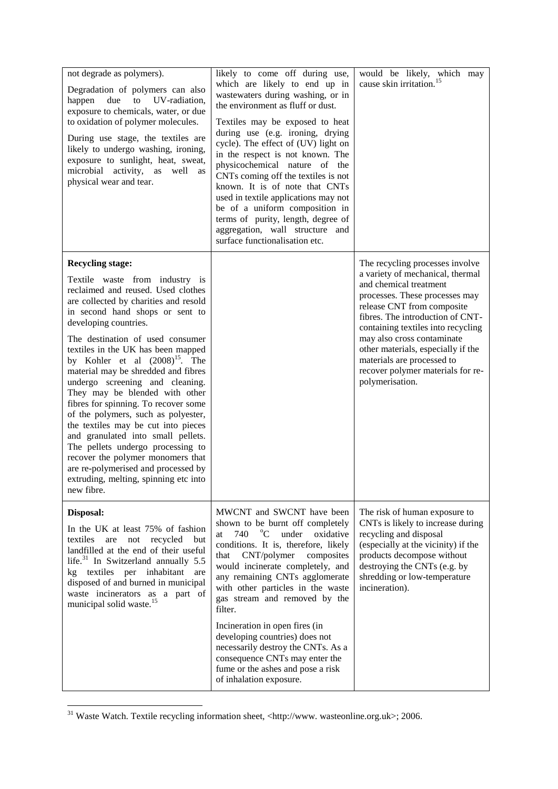| not degrade as polymers).<br>Degradation of polymers can also<br>happen<br>due<br>to<br>UV-radiation.<br>exposure to chemicals, water, or due<br>to oxidation of polymer molecules.<br>During use stage, the textiles are<br>likely to undergo washing, ironing,<br>exposure to sunlight, heat, sweat,<br>microbial activity, as well as<br>physical wear and tear.                                                                                                                                                                                                                                                                                                                                                                                                   | likely to come off during use,<br>which are likely to end up in<br>wastewaters during washing, or in<br>the environment as fluff or dust.<br>Textiles may be exposed to heat<br>during use (e.g. ironing, drying<br>cycle). The effect of (UV) light on<br>in the respect is not known. The<br>physicochemical nature of the<br>CNTs coming off the textiles is not<br>known. It is of note that CNTs<br>used in textile applications may not<br>be of a uniform composition in<br>terms of purity, length, degree of<br>aggregation, wall structure and<br>surface functionalisation etc. | would be likely, which may<br>cause skin irritation. <sup>15</sup>                                                                                                                                                                                                                                                                                                                                |
|-----------------------------------------------------------------------------------------------------------------------------------------------------------------------------------------------------------------------------------------------------------------------------------------------------------------------------------------------------------------------------------------------------------------------------------------------------------------------------------------------------------------------------------------------------------------------------------------------------------------------------------------------------------------------------------------------------------------------------------------------------------------------|--------------------------------------------------------------------------------------------------------------------------------------------------------------------------------------------------------------------------------------------------------------------------------------------------------------------------------------------------------------------------------------------------------------------------------------------------------------------------------------------------------------------------------------------------------------------------------------------|---------------------------------------------------------------------------------------------------------------------------------------------------------------------------------------------------------------------------------------------------------------------------------------------------------------------------------------------------------------------------------------------------|
| <b>Recycling stage:</b><br>Textile waste from industry is<br>reclaimed and reused. Used clothes<br>are collected by charities and resold<br>in second hand shops or sent to<br>developing countries.<br>The destination of used consumer<br>textiles in the UK has been mapped<br>by Kohler et al $(2008)^{15}$ . The<br>material may be shredded and fibres<br>undergo screening and cleaning.<br>They may be blended with other<br>fibres for spinning. To recover some<br>of the polymers, such as polyester,<br>the textiles may be cut into pieces<br>and granulated into small pellets.<br>The pellets undergo processing to<br>recover the polymer monomers that<br>are re-polymerised and processed by<br>extruding, melting, spinning etc into<br>new fibre. |                                                                                                                                                                                                                                                                                                                                                                                                                                                                                                                                                                                            | The recycling processes involve<br>a variety of mechanical, thermal<br>and chemical treatment<br>processes. These processes may<br>release CNT from composite<br>fibres. The introduction of CNT-<br>containing textiles into recycling<br>may also cross contaminate<br>other materials, especially if the<br>materials are processed to<br>recover polymer materials for re-<br>polymerisation. |
| Disposal:<br>In the UK at least 75% of fashion<br>textiles<br>not recycled<br>but<br>are<br>landfilled at the end of their useful<br>life. $31$ In Switzerland annually 5.5<br>kg textiles per inhabitant are<br>disposed of and burned in municipal<br>waste incinerators as a part of<br>municipal solid waste. <sup>15</sup>                                                                                                                                                                                                                                                                                                                                                                                                                                       | MWCNT and SWCNT have been<br>shown to be burnt off completely<br>740<br>$\rm ^{o}C$<br>under<br>oxidative<br>at<br>conditions. It is, therefore, likely<br>CNT/polymer<br>composites<br>that<br>would incinerate completely, and<br>any remaining CNTs agglomerate<br>with other particles in the waste<br>gas stream and removed by the<br>filter.<br>Incineration in open fires (in<br>developing countries) does not<br>necessarily destroy the CNTs. As a<br>consequence CNTs may enter the<br>fume or the ashes and pose a risk<br>of inhalation exposure.                            | The risk of human exposure to<br>CNTs is likely to increase during<br>recycling and disposal<br>(especially at the vicinity) if the<br>products decompose without<br>destroying the CNTs (e.g. by<br>shredding or low-temperature<br>incineration).                                                                                                                                               |

<sup>&</sup>lt;sup>31</sup> Waste Watch. Textile recycling information sheet, <http://www. wasteonline.org.uk>; 2006.

1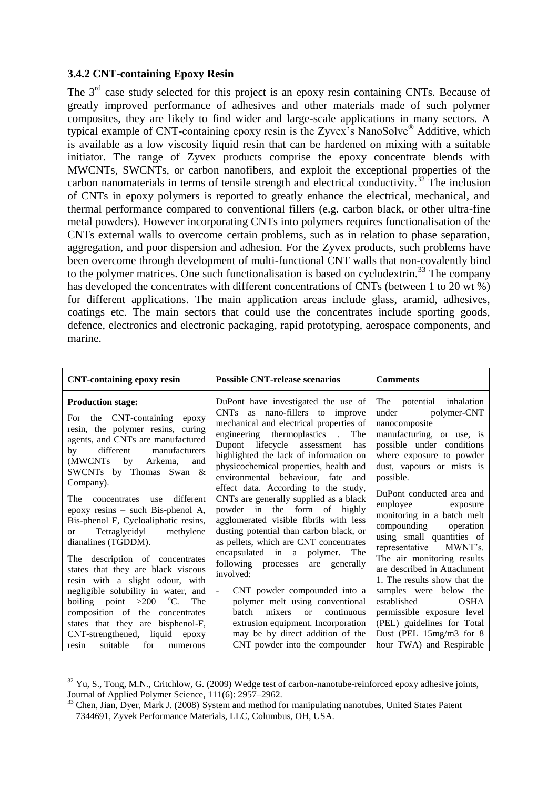#### **3.4.2 CNT-containing Epoxy Resin**

1

The  $3<sup>rd</sup>$  case study selected for this project is an epoxy resin containing CNTs. Because of greatly improved performance of adhesives and other materials made of such polymer composites, they are likely to find wider and large-scale applications in many sectors. A typical example of CNT-containing epoxy resin is the Zyvex"s NanoSolve® Additive, which is available as a low viscosity liquid resin that can be hardened on mixing with a suitable initiator. The range of Zyvex products comprise the epoxy concentrate blends with MWCNTs, SWCNTs, or carbon nanofibers, and exploit the exceptional properties of the carbon nanomaterials in terms of tensile strength and electrical conductivity.<sup>32</sup> The inclusion of CNTs in epoxy polymers is reported to greatly enhance the electrical, mechanical, and thermal performance compared to conventional fillers (e.g. carbon black, or other ultra-fine metal powders). However incorporating CNTs into polymers requires functionalisation of the CNTs external walls to overcome certain problems, such as in relation to phase separation, aggregation, and poor dispersion and adhesion. For the Zyvex products, such problems have been overcome through development of multi-functional CNT walls that non-covalently bind to the polymer matrices. One such functionalisation is based on cyclodextrin.<sup>33</sup> The company has developed the concentrates with different concentrations of CNTs (between 1 to 20 wt %) for different applications. The main application areas include glass, aramid, adhesives, coatings etc. The main sectors that could use the concentrates include sporting goods, defence, electronics and electronic packaging, rapid prototyping, aerospace components, and marine.

| <b>CNT-containing epoxy resin</b>                                                                                                                                                                                                                                                                                                                                                                                                                                                                                                                                                                                      | <b>Possible CNT-release scenarios</b>                                                                                                                                                                                                                                                                                                                                                                                                                                                                                                                                                                                                                                                                                                                         | <b>Comments</b>                                                                                                                                                                                                                                                                                                                                                                                                                                                                                                     |
|------------------------------------------------------------------------------------------------------------------------------------------------------------------------------------------------------------------------------------------------------------------------------------------------------------------------------------------------------------------------------------------------------------------------------------------------------------------------------------------------------------------------------------------------------------------------------------------------------------------------|---------------------------------------------------------------------------------------------------------------------------------------------------------------------------------------------------------------------------------------------------------------------------------------------------------------------------------------------------------------------------------------------------------------------------------------------------------------------------------------------------------------------------------------------------------------------------------------------------------------------------------------------------------------------------------------------------------------------------------------------------------------|---------------------------------------------------------------------------------------------------------------------------------------------------------------------------------------------------------------------------------------------------------------------------------------------------------------------------------------------------------------------------------------------------------------------------------------------------------------------------------------------------------------------|
| <b>Production stage:</b><br>For the CNT-containing epoxy<br>resin, the polymer resins, curing<br>agents, and CNTs are manufactured<br>manufacturers<br>by different<br>(MWCNTs by Arkema,<br>and<br>SWCNTs by Thomas Swan &<br>Company).<br>different<br>The<br>concentrates use<br>epoxy resins – such Bis-phenol A,<br>Bis-phenol F, Cycloaliphatic resins,<br>Tetraglycidyl<br>methylene<br><sub>or</sub><br>dianalines (TGDDM).<br>The description of concentrates<br>states that they are black viscous<br>resin with a slight odour, with<br>negligible solubility in water, and<br>boiling point $>200$ °C. The | DuPont have investigated the use of<br>CNTs as nano-fillers to improve<br>mechanical and electrical properties of<br>engineering thermoplastics.<br>The<br>Dupont lifecycle assessment<br>has<br>highlighted the lack of information on<br>physicochemical properties, health and<br>environmental behaviour, fate and<br>effect data. According to the study,<br>CNTs are generally supplied as a black<br>powder in the form of highly<br>agglomerated visible fibrils with less<br>dusting potential than carbon black, or<br>as pellets, which are CNT concentrates<br>encapsulated in a polymer.<br>The<br>following processes are generally<br>involved:<br>CNT powder compounded into a<br>$\overline{\phantom{a}}$<br>polymer melt using conventional | The potential inhalation<br>under polymer-CNT<br>nanocomposite<br>manufacturing, or use, is<br>possible under conditions<br>where exposure to powder<br>dust, vapours or mists is<br>possible.<br>DuPont conducted area and<br>employee exposure<br>monitoring in a batch melt<br>compounding operation<br>using small quantities of<br>representative MWNT's.<br>The air monitoring results<br>are described in Attachment<br>1. The results show that the<br>samples were below the<br><b>OSHA</b><br>established |
| composition of the concentrates                                                                                                                                                                                                                                                                                                                                                                                                                                                                                                                                                                                        | continuous<br>batch<br>mixers or                                                                                                                                                                                                                                                                                                                                                                                                                                                                                                                                                                                                                                                                                                                              | permissible exposure level                                                                                                                                                                                                                                                                                                                                                                                                                                                                                          |
| states that they are bisphenol-F,                                                                                                                                                                                                                                                                                                                                                                                                                                                                                                                                                                                      | extrusion equipment. Incorporation                                                                                                                                                                                                                                                                                                                                                                                                                                                                                                                                                                                                                                                                                                                            | (PEL) guidelines for Total                                                                                                                                                                                                                                                                                                                                                                                                                                                                                          |
| CNT-strengthened, liquid epoxy                                                                                                                                                                                                                                                                                                                                                                                                                                                                                                                                                                                         | may be by direct addition of the                                                                                                                                                                                                                                                                                                                                                                                                                                                                                                                                                                                                                                                                                                                              | Dust (PEL 15mg/m3 for 8                                                                                                                                                                                                                                                                                                                                                                                                                                                                                             |
| suitable<br>for<br>resin<br>numerous                                                                                                                                                                                                                                                                                                                                                                                                                                                                                                                                                                                   | CNT powder into the compounder                                                                                                                                                                                                                                                                                                                                                                                                                                                                                                                                                                                                                                                                                                                                | hour TWA) and Respirable                                                                                                                                                                                                                                                                                                                                                                                                                                                                                            |

 $32$  Yu, S., Tong, M.N., Critchlow, G. (2009) Wedge test of carbon-nanotube-reinforced epoxy adhesive joints, Journal of Applied Polymer Science, 111(6): 2957–2962.

<sup>&</sup>lt;sup>33</sup> Chen, Jian, Dyer, Mark J. (2008) System and method for manipulating nanotubes, United States Patent 7344691, Zyvek Performance Materials, LLC, Columbus, OH, USA.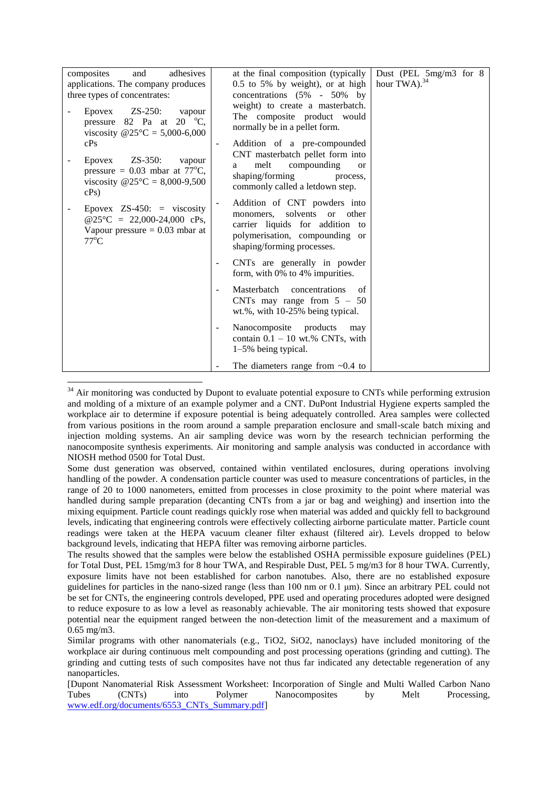| adhesives<br>composites<br>and                                                                                                            | at the final composition (typically                                                                                                                                                | Dust (PEL 5mg/m3 for 8 |
|-------------------------------------------------------------------------------------------------------------------------------------------|------------------------------------------------------------------------------------------------------------------------------------------------------------------------------------|------------------------|
| applications. The company produces                                                                                                        | 0.5 to 5% by weight), or at high                                                                                                                                                   | hour TWA). $^{34}$     |
| three types of concentrates:                                                                                                              | concentrations $(5\% - 50\%)$ by                                                                                                                                                   |                        |
| $\text{ZS-250}:$<br>Epovex<br>vapour<br>pressure 82 Pa at 20 $^{\circ}$ C,<br>viscosity $@25^{\circ}\text{C} = 5,000-6,000$               | weight) to create a masterbatch.<br>The composite product would<br>normally be in a pellet form.                                                                                   |                        |
| cPs                                                                                                                                       | Addition of a pre-compounded                                                                                                                                                       |                        |
| $\text{ZS-350}:$<br>Epovex<br>vapour<br>pressure = $0.03$ mbar at 77 <sup>o</sup> C,<br>viscosity $@25^{\circ}C = 8,000-9,500$<br>$cPs$ ) | CNT masterbatch pellet form into<br>compounding<br>melt<br><b>or</b><br>a<br>shaping/forming<br>process,<br>commonly called a letdown step.                                        |                        |
| Epovex $\text{ZS-450:}$ = viscosity<br>$@25\degree C = 22,000-24,000 \text{ cPs},$<br>Vapour pressure $= 0.03$ mbar at<br>$77^{\circ}$ C  | Addition of CNT powders into<br>solvents<br>other<br>monomers,<br><sub>or</sub><br>carrier liquids for addition to<br>polymerisation, compounding or<br>shaping/forming processes. |                        |
|                                                                                                                                           | CNTs are generally in powder<br>$\overline{\phantom{a}}$<br>form, with 0% to 4% impurities.                                                                                        |                        |
|                                                                                                                                           | Masterbatch concentrations<br>of<br>CNTs may range from $5 - 50$<br>wt.%, with 10-25% being typical.                                                                               |                        |
|                                                                                                                                           | Nanocomposite products<br>may<br>$\overline{\phantom{a}}$<br>contain $0.1 - 10$ wt.% CNTs, with<br>1–5% being typical.                                                             |                        |
|                                                                                                                                           | The diameters range from $\sim 0.4$ to                                                                                                                                             |                        |

 $34$  Air monitoring was conducted by Dupont to evaluate potential exposure to CNTs while performing extrusion and molding of a mixture of an example polymer and a CNT. DuPont Industrial Hygiene experts sampled the workplace air to determine if exposure potential is being adequately controlled. Area samples were collected from various positions in the room around a sample preparation enclosure and small-scale batch mixing and injection molding systems. An air sampling device was worn by the research technician performing the nanocomposite synthesis experiments. Air monitoring and sample analysis was conducted in accordance with NIOSH method 0500 for Total Dust.

<u>.</u>

Some dust generation was observed, contained within ventilated enclosures, during operations involving handling of the powder. A condensation particle counter was used to measure concentrations of particles, in the range of 20 to 1000 nanometers, emitted from processes in close proximity to the point where material was handled during sample preparation (decanting CNTs from a jar or bag and weighing) and insertion into the mixing equipment. Particle count readings quickly rose when material was added and quickly fell to background levels, indicating that engineering controls were effectively collecting airborne particulate matter. Particle count readings were taken at the HEPA vacuum cleaner filter exhaust (filtered air). Levels dropped to below background levels, indicating that HEPA filter was removing airborne particles.

The results showed that the samples were below the established OSHA permissible exposure guidelines (PEL) for Total Dust, PEL 15mg/m3 for 8 hour TWA, and Respirable Dust, PEL 5 mg/m3 for 8 hour TWA. Currently, exposure limits have not been established for carbon nanotubes. Also, there are no established exposure guidelines for particles in the nano-sized range (less than 100 nm or 0.1 μm). Since an arbitrary PEL could not be set for CNTs, the engineering controls developed, PPE used and operating procedures adopted were designed to reduce exposure to as low a level as reasonably achievable. The air monitoring tests showed that exposure potential near the equipment ranged between the non-detection limit of the measurement and a maximum of 0.65 mg/m3.

Similar programs with other nanomaterials (e.g., TiO2, SiO2, nanoclays) have included monitoring of the workplace air during continuous melt compounding and post processing operations (grinding and cutting). The grinding and cutting tests of such composites have not thus far indicated any detectable regeneration of any nanoparticles.

<sup>[</sup>Dupont Nanomaterial Risk Assessment Worksheet: Incorporation of Single and Multi Walled Carbon Nano Tubes (CNTs) into Polymer Nanocomposites by Melt Processing, [www.edf.org/documents/6553\\_CNTs\\_Summary.pdf\]](http://www.edf.org/documents/6553_CNTs_Summary.pdf)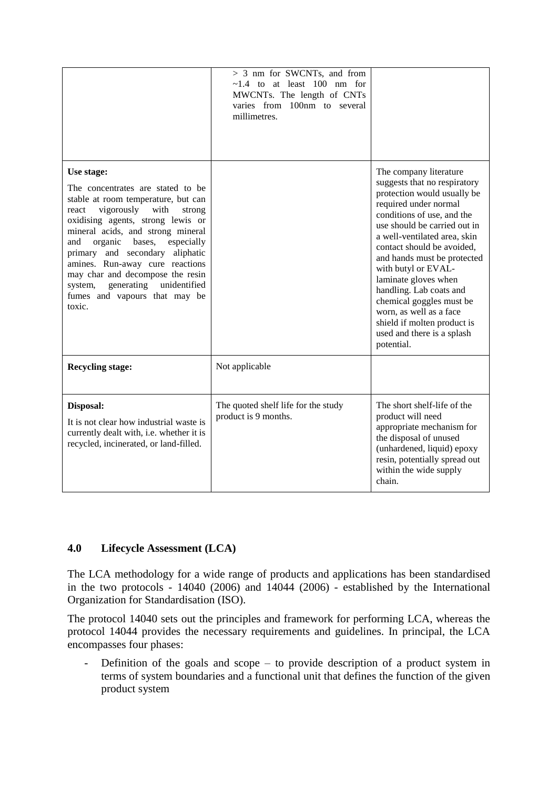|                                                                                                                                                                                                                                                                                                                                                                                                                                                | $> 3$ nm for SWCNTs, and from<br>$\sim$ 1.4 to at least 100 nm for<br>MWCNTs. The length of CNTs<br>varies from 100nm to several<br>millimetres. |                                                                                                                                                                                                                                                                                                                                                                                                                                                                                       |
|------------------------------------------------------------------------------------------------------------------------------------------------------------------------------------------------------------------------------------------------------------------------------------------------------------------------------------------------------------------------------------------------------------------------------------------------|--------------------------------------------------------------------------------------------------------------------------------------------------|---------------------------------------------------------------------------------------------------------------------------------------------------------------------------------------------------------------------------------------------------------------------------------------------------------------------------------------------------------------------------------------------------------------------------------------------------------------------------------------|
| Use stage:<br>The concentrates are stated to be<br>stable at room temperature, but can<br>vigorously with<br>react<br>strong<br>oxidising agents, strong lewis or<br>mineral acids, and strong mineral<br>especially<br>organic<br>bases,<br>and<br>primary and secondary aliphatic<br>amines. Run-away cure reactions<br>may char and decompose the resin<br>generating<br>unidentified<br>system,<br>fumes and vapours that may be<br>toxic. |                                                                                                                                                  | The company literature<br>suggests that no respiratory<br>protection would usually be<br>required under normal<br>conditions of use, and the<br>use should be carried out in<br>a well-ventilated area, skin<br>contact should be avoided.<br>and hands must be protected<br>with butyl or EVAL-<br>laminate gloves when<br>handling. Lab coats and<br>chemical goggles must be<br>worn, as well as a face<br>shield if molten product is<br>used and there is a splash<br>potential. |
| <b>Recycling stage:</b>                                                                                                                                                                                                                                                                                                                                                                                                                        | Not applicable                                                                                                                                   |                                                                                                                                                                                                                                                                                                                                                                                                                                                                                       |
| Disposal:<br>It is not clear how industrial waste is<br>currently dealt with, i.e. whether it is<br>recycled, incinerated, or land-filled.                                                                                                                                                                                                                                                                                                     | The quoted shelf life for the study<br>product is 9 months.                                                                                      | The short shelf-life of the<br>product will need<br>appropriate mechanism for<br>the disposal of unused<br>(unhardened, liquid) epoxy<br>resin, potentially spread out<br>within the wide supply<br>chain.                                                                                                                                                                                                                                                                            |

#### **4.0 Lifecycle Assessment (LCA)**

The LCA methodology for a wide range of products and applications has been standardised in the two protocols - 14040 (2006) and 14044 (2006) - established by the International Organization for Standardisation (ISO).

The protocol 14040 sets out the principles and framework for performing LCA, whereas the protocol 14044 provides the necessary requirements and guidelines. In principal, the LCA encompasses four phases:

- Definition of the goals and scope – to provide description of a product system in terms of system boundaries and a functional unit that defines the function of the given product system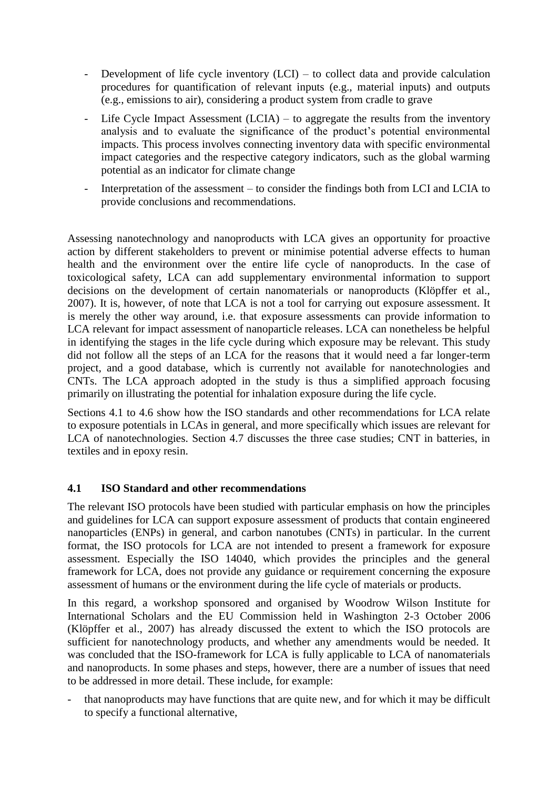- Development of life cycle inventory  $(LCI)$  to collect data and provide calculation procedures for quantification of relevant inputs (e.g., material inputs) and outputs (e.g., emissions to air), considering a product system from cradle to grave
- Life Cycle Impact Assessment (LCIA) to aggregate the results from the inventory analysis and to evaluate the significance of the product's potential environmental impacts. This process involves connecting inventory data with specific environmental impact categories and the respective category indicators, such as the global warming potential as an indicator for climate change
- Interpretation of the assessment to consider the findings both from LCI and LCIA to provide conclusions and recommendations.

Assessing nanotechnology and nanoproducts with LCA gives an opportunity for proactive action by different stakeholders to prevent or minimise potential adverse effects to human health and the environment over the entire life cycle of nanoproducts. In the case of toxicological safety, LCA can add supplementary environmental information to support decisions on the development of certain nanomaterials or nanoproducts (Klöpffer et al., 2007). It is, however, of note that LCA is not a tool for carrying out exposure assessment. It is merely the other way around, i.e. that exposure assessments can provide information to LCA relevant for impact assessment of nanoparticle releases. LCA can nonetheless be helpful in identifying the stages in the life cycle during which exposure may be relevant. This study did not follow all the steps of an LCA for the reasons that it would need a far longer-term project, and a good database, which is currently not available for nanotechnologies and CNTs. The LCA approach adopted in the study is thus a simplified approach focusing primarily on illustrating the potential for inhalation exposure during the life cycle.

Sections 4.1 to 4.6 show how the ISO standards and other recommendations for LCA relate to exposure potentials in LCAs in general, and more specifically which issues are relevant for LCA of nanotechnologies. Section 4.7 discusses the three case studies; CNT in batteries, in textiles and in epoxy resin.

#### **4.1 ISO Standard and other recommendations**

The relevant ISO protocols have been studied with particular emphasis on how the principles and guidelines for LCA can support exposure assessment of products that contain engineered nanoparticles (ENPs) in general, and carbon nanotubes (CNTs) in particular. In the current format, the ISO protocols for LCA are not intended to present a framework for exposure assessment. Especially the ISO 14040, which provides the principles and the general framework for LCA, does not provide any guidance or requirement concerning the exposure assessment of humans or the environment during the life cycle of materials or products.

In this regard, a workshop sponsored and organised by Woodrow Wilson Institute for International Scholars and the EU Commission held in Washington 2-3 October 2006 (Klöpffer et al., 2007) has already discussed the extent to which the ISO protocols are sufficient for nanotechnology products, and whether any amendments would be needed. It was concluded that the ISO-framework for LCA is fully applicable to LCA of nanomaterials and nanoproducts. In some phases and steps, however, there are a number of issues that need to be addressed in more detail. These include, for example:

that nanoproducts may have functions that are quite new, and for which it may be difficult to specify a functional alternative,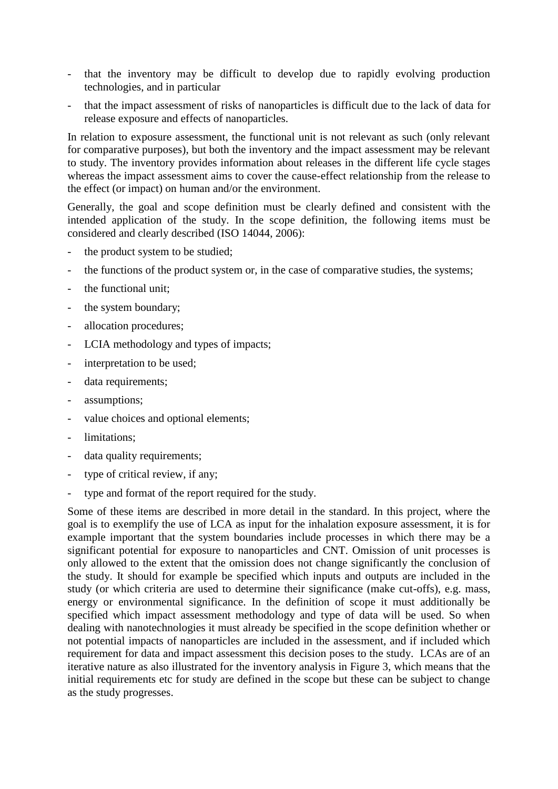- that the inventory may be difficult to develop due to rapidly evolving production technologies, and in particular
- that the impact assessment of risks of nanoparticles is difficult due to the lack of data for release exposure and effects of nanoparticles.

In relation to exposure assessment, the functional unit is not relevant as such (only relevant for comparative purposes), but both the inventory and the impact assessment may be relevant to study. The inventory provides information about releases in the different life cycle stages whereas the impact assessment aims to cover the cause-effect relationship from the release to the effect (or impact) on human and/or the environment.

Generally, the goal and scope definition must be clearly defined and consistent with the intended application of the study. In the scope definition, the following items must be considered and clearly described (ISO 14044, 2006):

- the product system to be studied:
- the functions of the product system or, in the case of comparative studies, the systems;
- the functional unit;
- the system boundary;
- allocation procedures;
- LCIA methodology and types of impacts;
- interpretation to be used;
- data requirements;
- assumptions;
- value choices and optional elements;
- limitations;
- data quality requirements;
- type of critical review, if any;
- type and format of the report required for the study.

Some of these items are described in more detail in the standard. In this project, where the goal is to exemplify the use of LCA as input for the inhalation exposure assessment, it is for example important that the system boundaries include processes in which there may be a significant potential for exposure to nanoparticles and CNT. Omission of unit processes is only allowed to the extent that the omission does not change significantly the conclusion of the study. It should for example be specified which inputs and outputs are included in the study (or which criteria are used to determine their significance (make cut-offs), e.g. mass, energy or environmental significance. In the definition of scope it must additionally be specified which impact assessment methodology and type of data will be used. So when dealing with nanotechnologies it must already be specified in the scope definition whether or not potential impacts of nanoparticles are included in the assessment, and if included which requirement for data and impact assessment this decision poses to the study. LCAs are of an iterative nature as also illustrated for the inventory analysis in Figure 3, which means that the initial requirements etc for study are defined in the scope but these can be subject to change as the study progresses.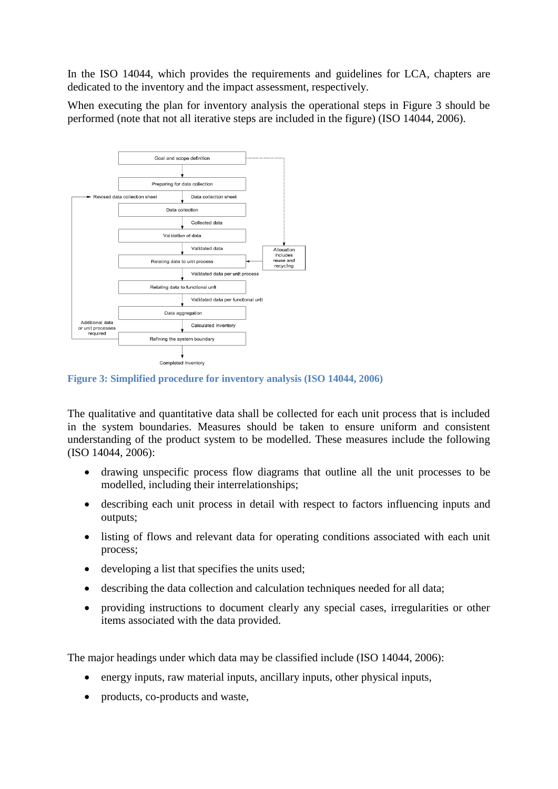In the ISO 14044, which provides the requirements and guidelines for LCA, chapters are dedicated to the inventory and the impact assessment, respectively.

When executing the plan for inventory analysis the operational steps in Figure 3 should be performed (note that not all iterative steps are included in the figure) (ISO 14044, 2006).



**Figure 3: Simplified procedure for inventory analysis (ISO 14044, 2006)**

The qualitative and quantitative data shall be collected for each unit process that is included in the system boundaries. Measures should be taken to ensure uniform and consistent understanding of the product system to be modelled. These measures include the following (ISO 14044, 2006):

- drawing unspecific process flow diagrams that outline all the unit processes to be modelled, including their interrelationships;
- describing each unit process in detail with respect to factors influencing inputs and outputs;
- listing of flows and relevant data for operating conditions associated with each unit process;
- developing a list that specifies the units used;
- describing the data collection and calculation techniques needed for all data;
- providing instructions to document clearly any special cases, irregularities or other items associated with the data provided.

The major headings under which data may be classified include (ISO 14044, 2006):

- energy inputs, raw material inputs, ancillary inputs, other physical inputs,
- products, co-products and waste,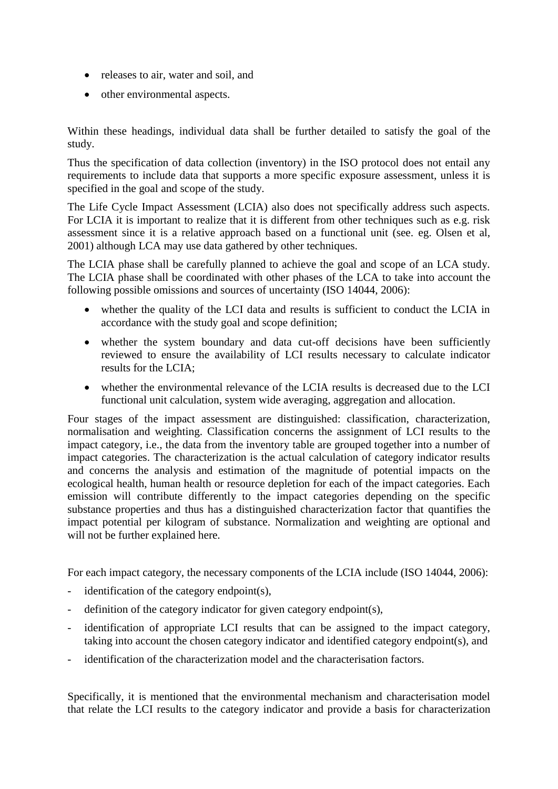- releases to air, water and soil, and
- other environmental aspects.

Within these headings, individual data shall be further detailed to satisfy the goal of the study.

Thus the specification of data collection (inventory) in the ISO protocol does not entail any requirements to include data that supports a more specific exposure assessment, unless it is specified in the goal and scope of the study.

The Life Cycle Impact Assessment (LCIA) also does not specifically address such aspects. For LCIA it is important to realize that it is different from other techniques such as e.g. risk assessment since it is a relative approach based on a functional unit (see. eg. Olsen et al, 2001) although LCA may use data gathered by other techniques.

The LCIA phase shall be carefully planned to achieve the goal and scope of an LCA study. The LCIA phase shall be coordinated with other phases of the LCA to take into account the following possible omissions and sources of uncertainty (ISO 14044, 2006):

- whether the quality of the LCI data and results is sufficient to conduct the LCIA in accordance with the study goal and scope definition;
- whether the system boundary and data cut-off decisions have been sufficiently reviewed to ensure the availability of LCI results necessary to calculate indicator results for the LCIA;
- whether the environmental relevance of the LCIA results is decreased due to the LCI functional unit calculation, system wide averaging, aggregation and allocation.

Four stages of the impact assessment are distinguished: classification, characterization, normalisation and weighting. Classification concerns the assignment of LCI results to the impact category, i.e., the data from the inventory table are grouped together into a number of impact categories. The characterization is the actual calculation of category indicator results and concerns the analysis and estimation of the magnitude of potential impacts on the ecological health, human health or resource depletion for each of the impact categories. Each emission will contribute differently to the impact categories depending on the specific substance properties and thus has a distinguished characterization factor that quantifies the impact potential per kilogram of substance. Normalization and weighting are optional and will not be further explained here.

For each impact category, the necessary components of the LCIA include (ISO 14044, 2006):

- identification of the category endpoint(s),
- definition of the category indicator for given category endpoint(s),
- identification of appropriate LCI results that can be assigned to the impact category, taking into account the chosen category indicator and identified category endpoint(s), and
- identification of the characterization model and the characterisation factors.

Specifically, it is mentioned that the environmental mechanism and characterisation model that relate the LCI results to the category indicator and provide a basis for characterization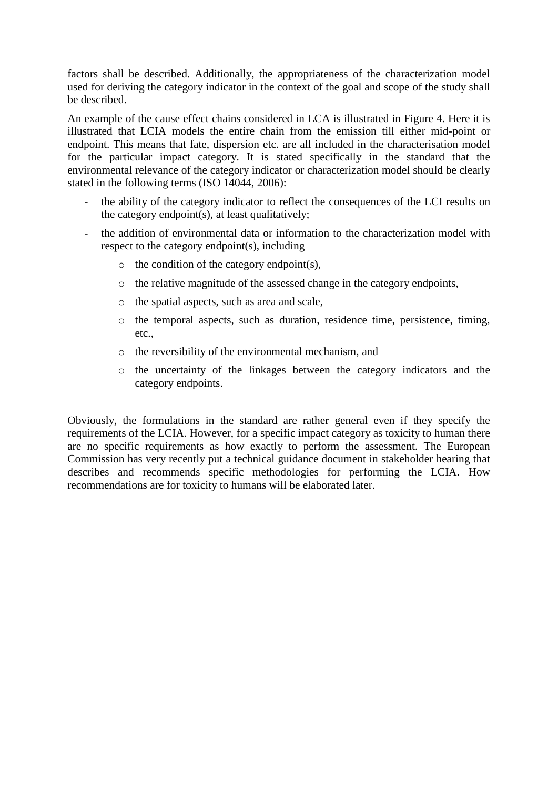factors shall be described. Additionally, the appropriateness of the characterization model used for deriving the category indicator in the context of the goal and scope of the study shall be described.

An example of the cause effect chains considered in LCA is illustrated in Figure 4. Here it is illustrated that LCIA models the entire chain from the emission till either mid-point or endpoint. This means that fate, dispersion etc. are all included in the characterisation model for the particular impact category. It is stated specifically in the standard that the environmental relevance of the category indicator or characterization model should be clearly stated in the following terms (ISO 14044, 2006):

- the ability of the category indicator to reflect the consequences of the LCI results on the category endpoint(s), at least qualitatively;
- the addition of environmental data or information to the characterization model with respect to the category endpoint(s), including
	- $\circ$  the condition of the category endpoint(s),
	- o the relative magnitude of the assessed change in the category endpoints,
	- o the spatial aspects, such as area and scale,
	- o the temporal aspects, such as duration, residence time, persistence, timing, etc.,
	- o the reversibility of the environmental mechanism, and
	- o the uncertainty of the linkages between the category indicators and the category endpoints.

Obviously, the formulations in the standard are rather general even if they specify the requirements of the LCIA. However, for a specific impact category as toxicity to human there are no specific requirements as how exactly to perform the assessment. The European Commission has very recently put a technical guidance document in stakeholder hearing that describes and recommends specific methodologies for performing the LCIA. How recommendations are for toxicity to humans will be elaborated later.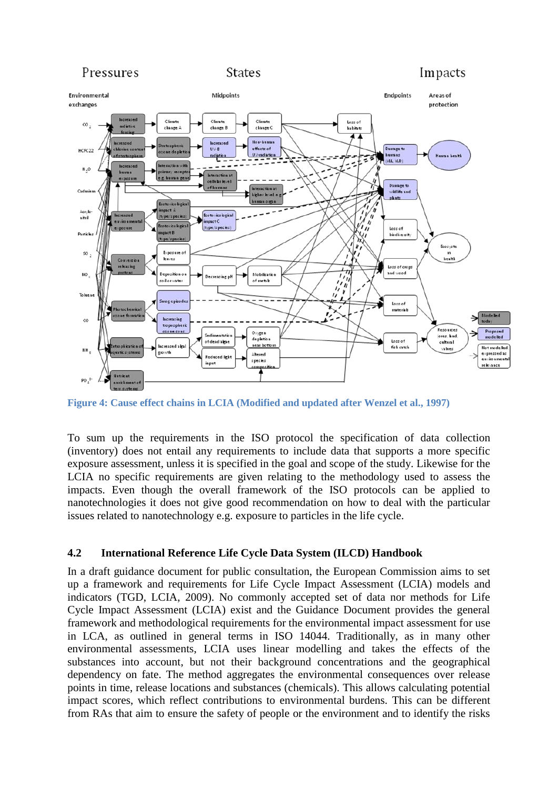

**Figure 4: Cause effect chains in LCIA (Modified and updated after Wenzel et al., 1997)**

To sum up the requirements in the ISO protocol the specification of data collection (inventory) does not entail any requirements to include data that supports a more specific exposure assessment, unless it is specified in the goal and scope of the study. Likewise for the LCIA no specific requirements are given relating to the methodology used to assess the impacts. Even though the overall framework of the ISO protocols can be applied to nanotechnologies it does not give good recommendation on how to deal with the particular issues related to nanotechnology e.g. exposure to particles in the life cycle.

#### **4.2 International Reference Life Cycle Data System (ILCD) Handbook**

In a draft guidance document for public consultation, the European Commission aims to set up a framework and requirements for Life Cycle Impact Assessment (LCIA) models and indicators (TGD, LCIA, 2009). No commonly accepted set of data nor methods for Life Cycle Impact Assessment (LCIA) exist and the Guidance Document provides the general framework and methodological requirements for the environmental impact assessment for use in LCA, as outlined in general terms in ISO 14044. Traditionally, as in many other environmental assessments, LCIA uses linear modelling and takes the effects of the substances into account, but not their background concentrations and the geographical dependency on fate. The method aggregates the environmental consequences over release points in time, release locations and substances (chemicals). This allows calculating potential impact scores, which reflect contributions to environmental burdens. This can be different from RAs that aim to ensure the safety of people or the environment and to identify the risks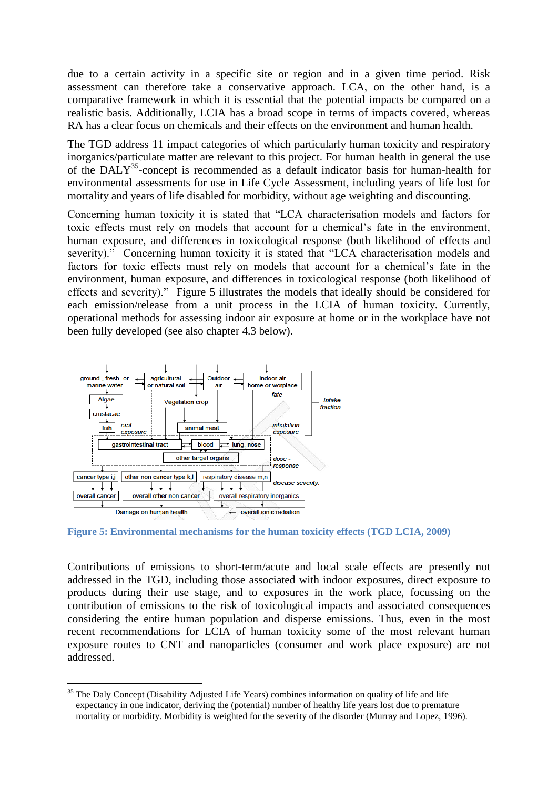due to a certain activity in a specific site or region and in a given time period. Risk assessment can therefore take a conservative approach. LCA, on the other hand, is a comparative framework in which it is essential that the potential impacts be compared on a realistic basis. Additionally, LCIA has a broad scope in terms of impacts covered, whereas RA has a clear focus on chemicals and their effects on the environment and human health.

The TGD address 11 impact categories of which particularly human toxicity and respiratory inorganics/particulate matter are relevant to this project. For human health in general the use of the DALY 35 -concept is recommended as a default indicator basis for human-health for environmental assessments for use in Life Cycle Assessment, including years of life lost for mortality and years of life disabled for morbidity, without age weighting and discounting.

Concerning human toxicity it is stated that "LCA characterisation models and factors for toxic effects must rely on models that account for a chemical"s fate in the environment, human exposure, and differences in toxicological response (both likelihood of effects and severity)." Concerning human toxicity it is stated that "LCA characterisation models and factors for toxic effects must rely on models that account for a chemical's fate in the environment, human exposure, and differences in toxicological response (both likelihood of effects and severity)." Figure 5 illustrates the models that ideally should be considered for each emission/release from a unit process in the LCIA of human toxicity. Currently, operational methods for assessing indoor air exposure at home or in the workplace have not been fully developed (see also chapter 4.3 below).



<u>.</u>

**Figure 5: Environmental mechanisms for the human toxicity effects (TGD LCIA, 2009)**

Contributions of emissions to short-term/acute and local scale effects are presently not addressed in the TGD, including those associated with indoor exposures, direct exposure to products during their use stage, and to exposures in the work place, focussing on the contribution of emissions to the risk of toxicological impacts and associated consequences considering the entire human population and disperse emissions. Thus, even in the most recent recommendations for LCIA of human toxicity some of the most relevant human exposure routes to CNT and nanoparticles (consumer and work place exposure) are not addressed.

<sup>&</sup>lt;sup>35</sup> The Daly Concept (Disability Adjusted Life Years) combines information on quality of life and life expectancy in one indicator, deriving the (potential) number of healthy life years lost due to premature mortality or morbidity. Morbidity is weighted for the severity of the disorder (Murray and Lopez, 1996).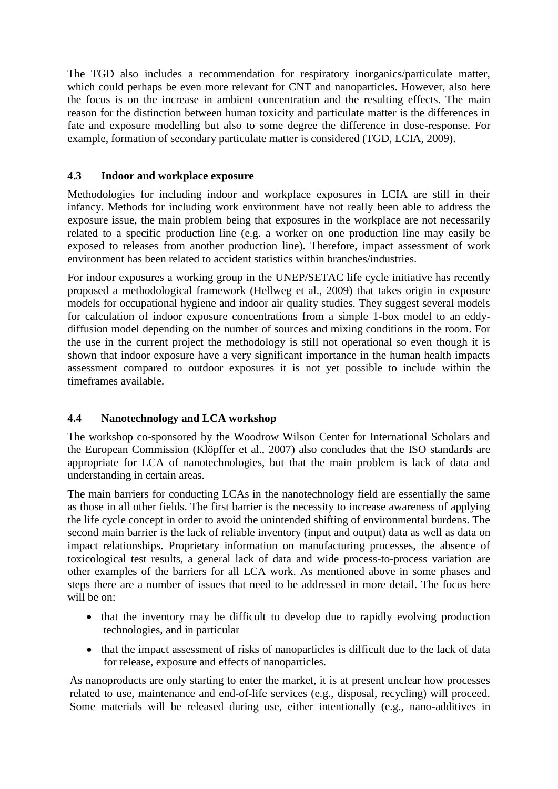The TGD also includes a recommendation for respiratory inorganics/particulate matter, which could perhaps be even more relevant for CNT and nanoparticles. However, also here the focus is on the increase in ambient concentration and the resulting effects. The main reason for the distinction between human toxicity and particulate matter is the differences in fate and exposure modelling but also to some degree the difference in dose-response. For example, formation of secondary particulate matter is considered (TGD, LCIA, 2009).

#### **4.3 Indoor and workplace exposure**

Methodologies for including indoor and workplace exposures in LCIA are still in their infancy. Methods for including work environment have not really been able to address the exposure issue, the main problem being that exposures in the workplace are not necessarily related to a specific production line (e.g. a worker on one production line may easily be exposed to releases from another production line). Therefore, impact assessment of work environment has been related to accident statistics within branches/industries.

For indoor exposures a working group in the UNEP/SETAC life cycle initiative has recently proposed a methodological framework (Hellweg et al., 2009) that takes origin in exposure models for occupational hygiene and indoor air quality studies. They suggest several models for calculation of indoor exposure concentrations from a simple 1-box model to an eddydiffusion model depending on the number of sources and mixing conditions in the room. For the use in the current project the methodology is still not operational so even though it is shown that indoor exposure have a very significant importance in the human health impacts assessment compared to outdoor exposures it is not yet possible to include within the timeframes available.

### **4.4 Nanotechnology and LCA workshop**

The workshop co-sponsored by the Woodrow Wilson Center for International Scholars and the European Commission (Klöpffer et al., 2007) also concludes that the ISO standards are appropriate for LCA of nanotechnologies, but that the main problem is lack of data and understanding in certain areas.

The main barriers for conducting LCAs in the nanotechnology field are essentially the same as those in all other fields. The first barrier is the necessity to increase awareness of applying the life cycle concept in order to avoid the unintended shifting of environmental burdens. The second main barrier is the lack of reliable inventory (input and output) data as well as data on impact relationships. Proprietary information on manufacturing processes, the absence of toxicological test results, a general lack of data and wide process-to-process variation are other examples of the barriers for all LCA work. As mentioned above in some phases and steps there are a number of issues that need to be addressed in more detail. The focus here will be on:

- that the inventory may be difficult to develop due to rapidly evolving production technologies, and in particular
- that the impact assessment of risks of nanoparticles is difficult due to the lack of data for release, exposure and effects of nanoparticles.

As nanoproducts are only starting to enter the market, it is at present unclear how processes related to use, maintenance and end-of-life services (e.g., disposal, recycling) will proceed. Some materials will be released during use, either intentionally (e.g., nano-additives in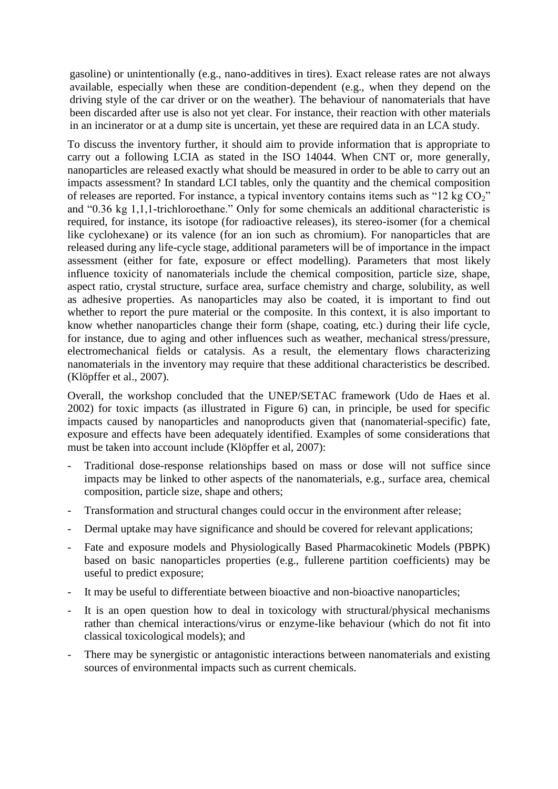gasoline) or unintentionally (e.g., nano-additives in tires). Exact release rates are not always available, especially when these are condition-dependent (e.g., when they depend on the driving style of the car driver or on the weather). The behaviour of nanomaterials that have been discarded after use is also not yet clear. For instance, their reaction with other materials in an incinerator or at a dump site is uncertain, yet these are required data in an LCA study.

To discuss the inventory further, it should aim to provide information that is appropriate to carry out a following LCIA as stated in the ISO 14044. When CNT or, more generally, nanoparticles are released exactly what should be measured in order to be able to carry out an impacts assessment? In standard LCI tables, only the quantity and the chemical composition of releases are reported. For instance, a typical inventory contains items such as "12 kg  $CO<sub>2</sub>$ " and "0.36 kg 1,1,1-trichloroethane." Only for some chemicals an additional characteristic is required, for instance, its isotope (for radioactive releases), its stereo-isomer (for a chemical like cyclohexane) or its valence (for an ion such as chromium). For nanoparticles that are released during any life-cycle stage, additional parameters will be of importance in the impact assessment (either for fate, exposure or effect modelling). Parameters that most likely influence toxicity of nanomaterials include the chemical composition, particle size, shape, aspect ratio, crystal structure, surface area, surface chemistry and charge, solubility, as well as adhesive properties. As nanoparticles may also be coated, it is important to find out whether to report the pure material or the composite. In this context, it is also important to know whether nanoparticles change their form (shape, coating, etc.) during their life cycle, for instance, due to aging and other influences such as weather, mechanical stress/pressure, electromechanical fields or catalysis. As a result, the elementary flows characterizing nanomaterials in the inventory may require that these additional characteristics be described. (Klöpffer et al., 2007).

Overall, the workshop concluded that the UNEP/SETAC framework (Udo de Haes et al. 2002) for toxic impacts (as illustrated in Figure 6) can, in principle, be used for specific impacts caused by nanoparticles and nanoproducts given that (nanomaterial-specific) fate, exposure and effects have been adequately identified. Examples of some considerations that must be taken into account include (Klöpffer et al, 2007):

- Traditional dose-response relationships based on mass or dose will not suffice since impacts may be linked to other aspects of the nanomaterials, e.g., surface area, chemical composition, particle size, shape and others;
- Transformation and structural changes could occur in the environment after release;
- Dermal uptake may have significance and should be covered for relevant applications;
- Fate and exposure models and Physiologically Based Pharmacokinetic Models (PBPK) based on basic nanoparticles properties (e.g., fullerene partition coefficients) may be useful to predict exposure;
- It may be useful to differentiate between bioactive and non-bioactive nanoparticles;
- It is an open question how to deal in toxicology with structural/physical mechanisms rather than chemical interactions/virus or enzyme-like behaviour (which do not fit into classical toxicological models); and
- There may be synergistic or antagonistic interactions between nanomaterials and existing sources of environmental impacts such as current chemicals.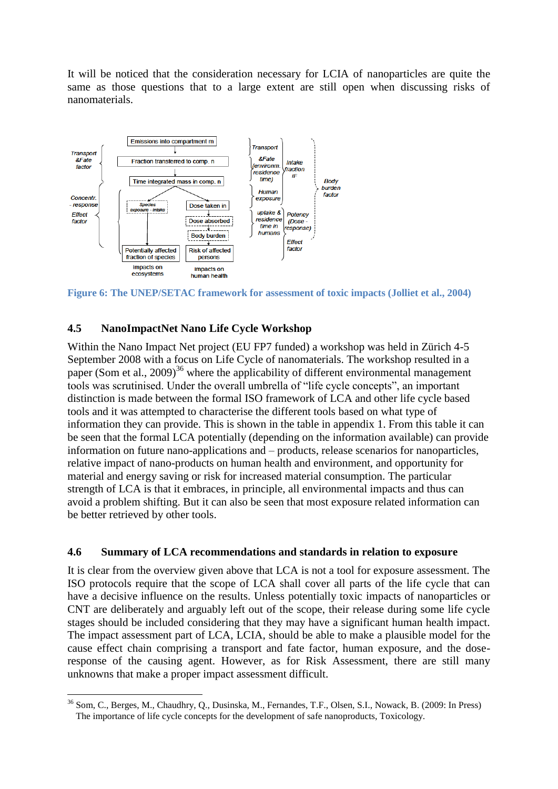It will be noticed that the consideration necessary for LCIA of nanoparticles are quite the same as those questions that to a large extent are still open when discussing risks of nanomaterials.



**Figure 6: The UNEP/SETAC framework for assessment of toxic impacts (Jolliet et al., 2004)**

#### **4.5 NanoImpactNet Nano Life Cycle Workshop**

Within the Nano Impact Net project (EU FP7 funded) a workshop was held in Zürich 4-5 September 2008 with a focus on Life Cycle of nanomaterials. The workshop resulted in a paper (Som et al., 2009)<sup>36</sup> where the applicability of different environmental management tools was scrutinised. Under the overall umbrella of "life cycle concepts", an important distinction is made between the formal ISO framework of LCA and other life cycle based tools and it was attempted to characterise the different tools based on what type of information they can provide. This is shown in the table in appendix 1. From this table it can be seen that the formal LCA potentially (depending on the information available) can provide information on future nano-applications and – products, release scenarios for nanoparticles, relative impact of nano-products on human health and environment, and opportunity for material and energy saving or risk for increased material consumption. The particular strength of LCA is that it embraces, in principle, all environmental impacts and thus can avoid a problem shifting. But it can also be seen that most exposure related information can be better retrieved by other tools.

#### **4.6 Summary of LCA recommendations and standards in relation to exposure**

It is clear from the overview given above that LCA is not a tool for exposure assessment. The ISO protocols require that the scope of LCA shall cover all parts of the life cycle that can have a decisive influence on the results. Unless potentially toxic impacts of nanoparticles or CNT are deliberately and arguably left out of the scope, their release during some life cycle stages should be included considering that they may have a significant human health impact. The impact assessment part of LCA, LCIA, should be able to make a plausible model for the cause effect chain comprising a transport and fate factor, human exposure, and the doseresponse of the causing agent. However, as for Risk Assessment, there are still many unknowns that make a proper impact assessment difficult.

<sup>&</sup>lt;u>.</u> <sup>36</sup> Som, C., Berges, M., Chaudhry, Q., Dusinska, M., Fernandes, T.F., Olsen, S.I., Nowack, B. (2009: In Press) The importance of life cycle concepts for the development of safe nanoproducts, Toxicology.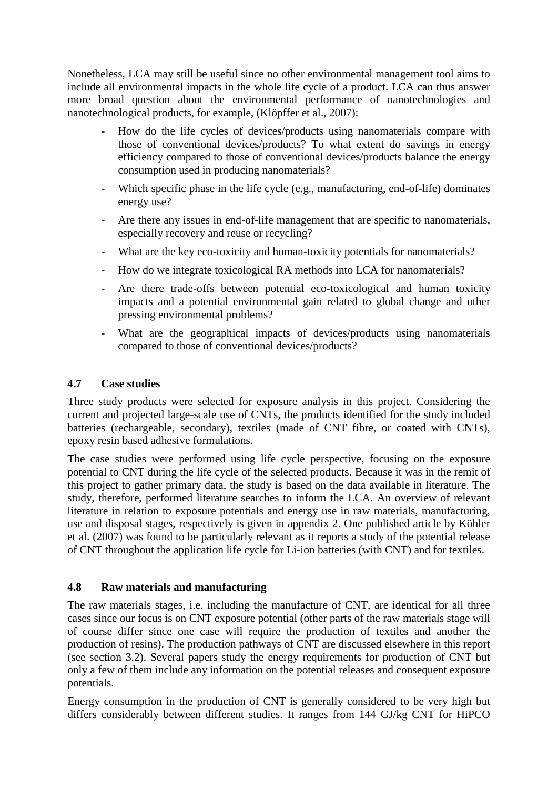Nonetheless, LCA may still be useful since no other environmental management tool aims to include all environmental impacts in the whole life cycle of a product. LCA can thus answer more broad question about the environmental performance of nanotechnologies and nanotechnological products, for example, (Klöpffer et al., 2007):

- How do the life cycles of devices/products using nanomaterials compare with those of conventional devices/products? To what extent do savings in energy efficiency compared to those of conventional devices/products balance the energy consumption used in producing nanomaterials?
- Which specific phase in the life cycle (e.g., manufacturing, end-of-life) dominates energy use?
- Are there any issues in end-of-life management that are specific to nanomaterials, especially recovery and reuse or recycling?
- What are the key eco-toxicity and human-toxicity potentials for nanomaterials?
- How do we integrate toxicological RA methods into LCA for nanomaterials?
- Are there trade-offs between potential eco-toxicological and human toxicity impacts and a potential environmental gain related to global change and other pressing environmental problems?
- What are the geographical impacts of devices/products using nanomaterials compared to those of conventional devices/products?

#### **4.7 Case studies**

Three study products were selected for exposure analysis in this project. Considering the current and projected large-scale use of CNTs, the products identified for the study included batteries (rechargeable, secondary), textiles (made of CNT fibre, or coated with CNTs), epoxy resin based adhesive formulations.

The case studies were performed using life cycle perspective, focusing on the exposure potential to CNT during the life cycle of the selected products. Because it was in the remit of this project to gather primary data, the study is based on the data available in literature. The study, therefore, performed literature searches to inform the LCA. An overview of relevant literature in relation to exposure potentials and energy use in raw materials, manufacturing, use and disposal stages, respectively is given in appendix 2. One published article by Köhler et al. (2007) was found to be particularly relevant as it reports a study of the potential release of CNT throughout the application life cycle for Li-ion batteries (with CNT) and for textiles.

#### **4.8 Raw materials and manufacturing**

The raw materials stages, i.e. including the manufacture of CNT, are identical for all three cases since our focus is on CNT exposure potential (other parts of the raw materials stage will of course differ since one case will require the production of textiles and another the production of resins). The production pathways of CNT are discussed elsewhere in this report (see section 3.2). Several papers study the energy requirements for production of CNT but only a few of them include any information on the potential releases and consequent exposure potentials.

Energy consumption in the production of CNT is generally considered to be very high but differs considerably between different studies. It ranges from 144 GJ/kg CNT for HiPCO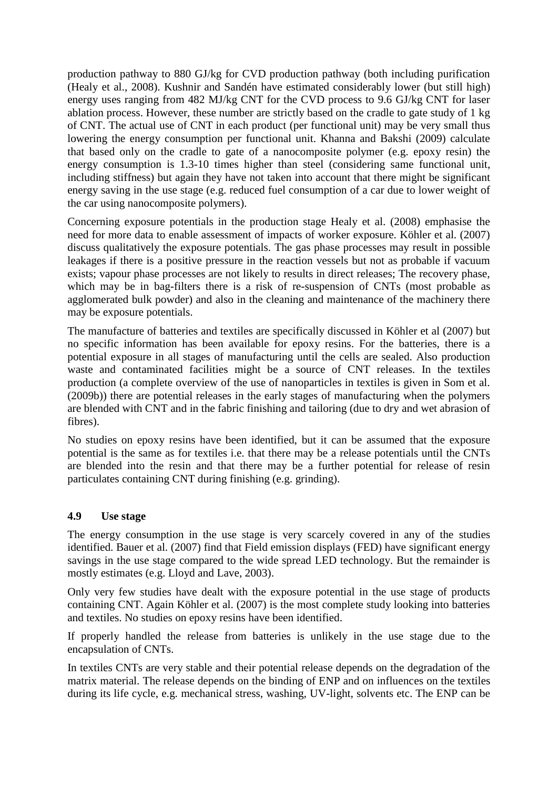production pathway to 880 GJ/kg for CVD production pathway (both including purification (Healy et al., 2008). Kushnir and Sandén have estimated considerably lower (but still high) energy uses ranging from 482 MJ/kg CNT for the CVD process to 9.6 GJ/kg CNT for laser ablation process. However, these number are strictly based on the cradle to gate study of 1 kg of CNT. The actual use of CNT in each product (per functional unit) may be very small thus lowering the energy consumption per functional unit. Khanna and Bakshi (2009) calculate that based only on the cradle to gate of a nanocomposite polymer (e.g. epoxy resin) the energy consumption is 1.3-10 times higher than steel (considering same functional unit, including stiffness) but again they have not taken into account that there might be significant energy saving in the use stage (e.g. reduced fuel consumption of a car due to lower weight of the car using nanocomposite polymers).

Concerning exposure potentials in the production stage Healy et al. (2008) emphasise the need for more data to enable assessment of impacts of worker exposure. Köhler et al. (2007) discuss qualitatively the exposure potentials. The gas phase processes may result in possible leakages if there is a positive pressure in the reaction vessels but not as probable if vacuum exists; vapour phase processes are not likely to results in direct releases; The recovery phase, which may be in bag-filters there is a risk of re-suspension of CNTs (most probable as agglomerated bulk powder) and also in the cleaning and maintenance of the machinery there may be exposure potentials.

The manufacture of batteries and textiles are specifically discussed in Köhler et al (2007) but no specific information has been available for epoxy resins. For the batteries, there is a potential exposure in all stages of manufacturing until the cells are sealed. Also production waste and contaminated facilities might be a source of CNT releases. In the textiles production (a complete overview of the use of nanoparticles in textiles is given in Som et al. (2009b)) there are potential releases in the early stages of manufacturing when the polymers are blended with CNT and in the fabric finishing and tailoring (due to dry and wet abrasion of fibres).

No studies on epoxy resins have been identified, but it can be assumed that the exposure potential is the same as for textiles i.e. that there may be a release potentials until the CNTs are blended into the resin and that there may be a further potential for release of resin particulates containing CNT during finishing (e.g. grinding).

#### **4.9 Use stage**

The energy consumption in the use stage is very scarcely covered in any of the studies identified. Bauer et al. (2007) find that Field emission displays (FED) have significant energy savings in the use stage compared to the wide spread LED technology. But the remainder is mostly estimates (e.g. Lloyd and Lave, 2003).

Only very few studies have dealt with the exposure potential in the use stage of products containing CNT. Again Köhler et al. (2007) is the most complete study looking into batteries and textiles. No studies on epoxy resins have been identified.

If properly handled the release from batteries is unlikely in the use stage due to the encapsulation of CNTs.

In textiles CNTs are very stable and their potential release depends on the degradation of the matrix material. The release depends on the binding of ENP and on influences on the textiles during its life cycle, e.g. mechanical stress, washing, UV-light, solvents etc. The ENP can be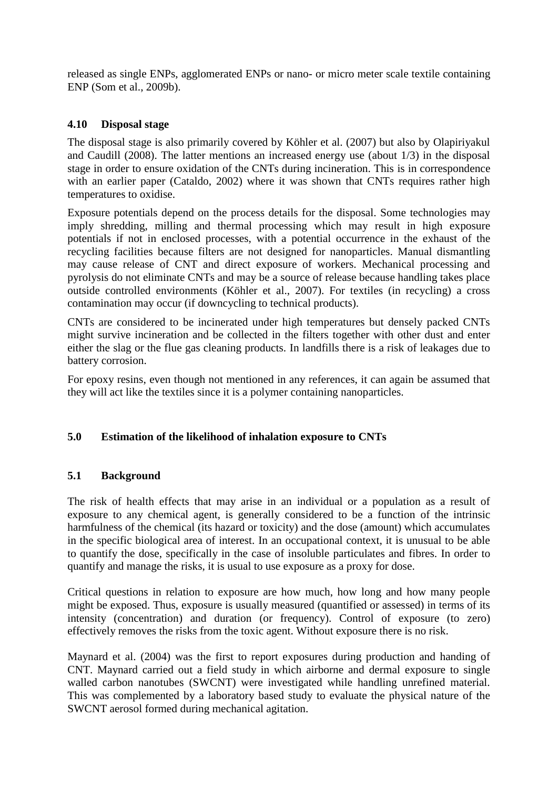released as single ENPs, agglomerated ENPs or nano- or micro meter scale textile containing ENP (Som et al., 2009b).

#### **4.10 Disposal stage**

The disposal stage is also primarily covered by Köhler et al. (2007) but also by Olapiriyakul and Caudill (2008). The latter mentions an increased energy use (about 1/3) in the disposal stage in order to ensure oxidation of the CNTs during incineration. This is in correspondence with an earlier paper (Cataldo, 2002) where it was shown that CNTs requires rather high temperatures to oxidise.

Exposure potentials depend on the process details for the disposal. Some technologies may imply shredding, milling and thermal processing which may result in high exposure potentials if not in enclosed processes, with a potential occurrence in the exhaust of the recycling facilities because filters are not designed for nanoparticles. Manual dismantling may cause release of CNT and direct exposure of workers. Mechanical processing and pyrolysis do not eliminate CNTs and may be a source of release because handling takes place outside controlled environments (Köhler et al., 2007). For textiles (in recycling) a cross contamination may occur (if downcycling to technical products).

CNTs are considered to be incinerated under high temperatures but densely packed CNTs might survive incineration and be collected in the filters together with other dust and enter either the slag or the flue gas cleaning products. In landfills there is a risk of leakages due to battery corrosion.

For epoxy resins, even though not mentioned in any references, it can again be assumed that they will act like the textiles since it is a polymer containing nanoparticles.

#### **5.0 Estimation of the likelihood of inhalation exposure to CNTs**

#### **5.1 Background**

The risk of health effects that may arise in an individual or a population as a result of exposure to any chemical agent, is generally considered to be a function of the intrinsic harmfulness of the chemical (its hazard or toxicity) and the dose (amount) which accumulates in the specific biological area of interest. In an occupational context, it is unusual to be able to quantify the dose, specifically in the case of insoluble particulates and fibres. In order to quantify and manage the risks, it is usual to use exposure as a proxy for dose.

Critical questions in relation to exposure are how much, how long and how many people might be exposed. Thus, exposure is usually measured (quantified or assessed) in terms of its intensity (concentration) and duration (or frequency). Control of exposure (to zero) effectively removes the risks from the toxic agent. Without exposure there is no risk.

Maynard et al. (2004) was the first to report exposures during production and handing of CNT. Maynard carried out a field study in which airborne and dermal exposure to single walled carbon nanotubes (SWCNT) were investigated while handling unrefined material. This was complemented by a laboratory based study to evaluate the physical nature of the SWCNT aerosol formed during mechanical agitation.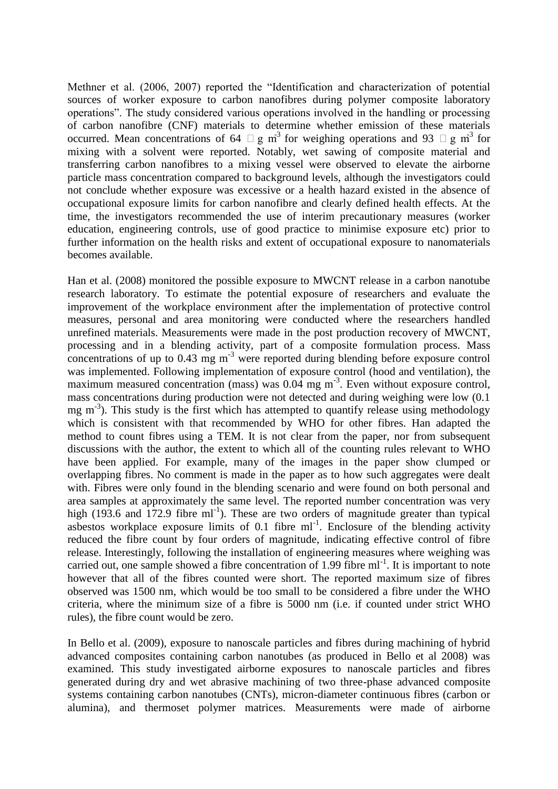Methner et al. (2006, 2007) reported the "Identification and characterization of potential sources of worker exposure to carbon nanofibres during polymer composite laboratory operations". The study considered various operations involved in the handling or processing of carbon nanofibre (CNF) materials to determine whether emission of these materials occurred. Mean concentrations of 64  $\Box$  g m<sup>3</sup> for weighing operations and 93  $\Box$  g m<sup>3</sup> for mixing with a solvent were reported. Notably, wet sawing of composite material and transferring carbon nanofibres to a mixing vessel were observed to elevate the airborne particle mass concentration compared to background levels, although the investigators could not conclude whether exposure was excessive or a health hazard existed in the absence of occupational exposure limits for carbon nanofibre and clearly defined health effects. At the time, the investigators recommended the use of interim precautionary measures (worker education, engineering controls, use of good practice to minimise exposure etc) prior to further information on the health risks and extent of occupational exposure to nanomaterials becomes available.

Han et al. (2008) monitored the possible exposure to MWCNT release in a carbon nanotube research laboratory. To estimate the potential exposure of researchers and evaluate the improvement of the workplace environment after the implementation of protective control measures, personal and area monitoring were conducted where the researchers handled unrefined materials. Measurements were made in the post production recovery of MWCNT, processing and in a blending activity, part of a composite formulation process. Mass concentrations of up to  $0.43 \text{ mg m}^{-3}$  were reported during blending before exposure control was implemented. Following implementation of exposure control (hood and ventilation), the maximum measured concentration (mass) was 0.04 mg m<sup>-3</sup>. Even without exposure control, mass concentrations during production were not detected and during weighing were low (0.1 mg m<sup>-3</sup>). This study is the first which has attempted to quantify release using methodology which is consistent with that recommended by WHO for other fibres. Han adapted the method to count fibres using a TEM. It is not clear from the paper, nor from subsequent discussions with the author, the extent to which all of the counting rules relevant to WHO have been applied. For example, many of the images in the paper show clumped or overlapping fibres. No comment is made in the paper as to how such aggregates were dealt with. Fibres were only found in the blending scenario and were found on both personal and area samples at approximately the same level. The reported number concentration was very high (193.6 and 172.9 fibre  $ml^{-1}$ ). These are two orders of magnitude greater than typical asbestos workplace exposure limits of  $0.1$  fibre ml<sup>-1</sup>. Enclosure of the blending activity reduced the fibre count by four orders of magnitude, indicating effective control of fibre release. Interestingly, following the installation of engineering measures where weighing was carried out, one sample showed a fibre concentration of  $1.99$  fibre ml<sup>-1</sup>. It is important to note however that all of the fibres counted were short. The reported maximum size of fibres observed was 1500 nm, which would be too small to be considered a fibre under the WHO criteria, where the minimum size of a fibre is 5000 nm (i.e. if counted under strict WHO rules), the fibre count would be zero.

In Bello et al. (2009), exposure to nanoscale particles and fibres during machining of hybrid advanced composites containing carbon nanotubes (as produced in Bello et al 2008) was examined. This study investigated airborne exposures to nanoscale particles and fibres generated during dry and wet abrasive machining of two three-phase advanced composite systems containing carbon nanotubes (CNTs), micron-diameter continuous fibres (carbon or alumina), and thermoset polymer matrices. Measurements were made of airborne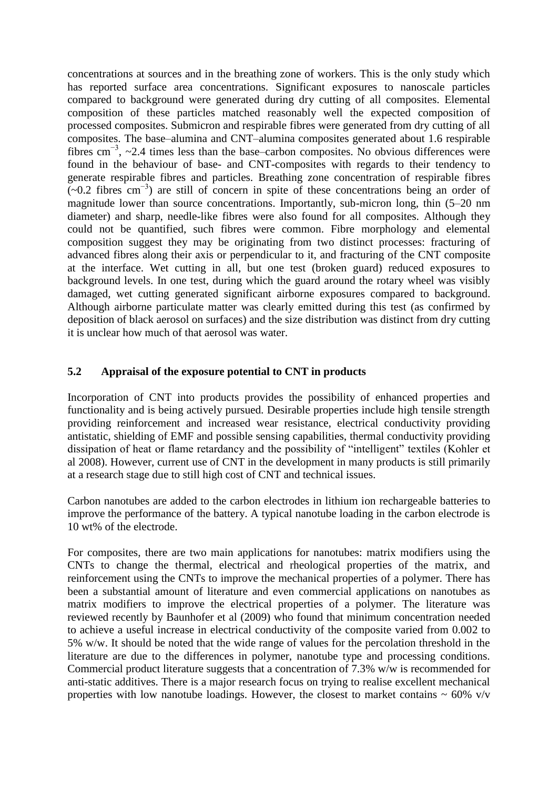concentrations at sources and in the breathing zone of workers. This is the only study which has reported surface area concentrations. Significant exposures to nanoscale particles compared to background were generated during dry cutting of all composites. Elemental composition of these particles matched reasonably well the expected composition of processed composites. Submicron and respirable fibres were generated from dry cutting of all composites. The base–alumina and CNT–alumina composites generated about 1.6 respirable fibres cm<sup>-3</sup>, ~2.4 times less than the base–carbon composites. No obvious differences were found in the behaviour of base- and CNT-composites with regards to their tendency to generate respirable fibres and particles. Breathing zone concentration of respirable fibres  $(\sim 0.2$  fibres cm<sup>-3</sup>) are still of concern in spite of these concentrations being an order of magnitude lower than source concentrations. Importantly, sub-micron long, thin (5–20 nm diameter) and sharp, needle-like fibres were also found for all composites. Although they could not be quantified, such fibres were common. Fibre morphology and elemental composition suggest they may be originating from two distinct processes: fracturing of advanced fibres along their axis or perpendicular to it, and fracturing of the CNT composite at the interface. Wet cutting in all, but one test (broken guard) reduced exposures to background levels. In one test, during which the guard around the rotary wheel was visibly damaged, wet cutting generated significant airborne exposures compared to background. Although airborne particulate matter was clearly emitted during this test (as confirmed by deposition of black aerosol on surfaces) and the size distribution was distinct from dry cutting it is unclear how much of that aerosol was water.

# **5.2 Appraisal of the exposure potential to CNT in products**

Incorporation of CNT into products provides the possibility of enhanced properties and functionality and is being actively pursued. Desirable properties include high tensile strength providing reinforcement and increased wear resistance, electrical conductivity providing antistatic, shielding of EMF and possible sensing capabilities, thermal conductivity providing dissipation of heat or flame retardancy and the possibility of "intelligent" textiles (Kohler et al 2008). However, current use of CNT in the development in many products is still primarily at a research stage due to still high cost of CNT and technical issues.

Carbon nanotubes are added to the carbon electrodes in lithium ion rechargeable batteries to improve the performance of the battery. A typical nanotube loading in the carbon electrode is 10 wt% of the electrode.

For composites, there are two main applications for nanotubes: matrix modifiers using the CNTs to change the thermal, electrical and rheological properties of the matrix, and reinforcement using the CNTs to improve the mechanical properties of a polymer. There has been a substantial amount of literature and even commercial applications on nanotubes as matrix modifiers to improve the electrical properties of a polymer. The literature was reviewed recently by Baunhofer et al (2009) who found that minimum concentration needed to achieve a useful increase in electrical conductivity of the composite varied from 0.002 to 5% w/w. It should be noted that the wide range of values for the percolation threshold in the literature are due to the differences in polymer, nanotube type and processing conditions. Commercial product literature suggests that a concentration of 7.3% w/w is recommended for anti-static additives. There is a major research focus on trying to realise excellent mechanical properties with low nanotube loadings. However, the closest to market contains  $\sim 60\%$  v/v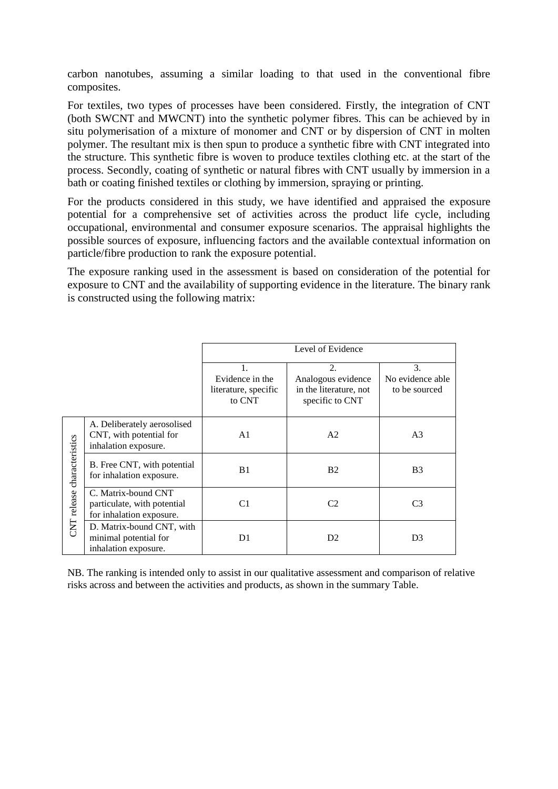carbon nanotubes, assuming a similar loading to that used in the conventional fibre composites.

For textiles, two types of processes have been considered. Firstly, the integration of CNT (both SWCNT and MWCNT) into the synthetic polymer fibres. This can be achieved by in situ polymerisation of a mixture of monomer and CNT or by dispersion of CNT in molten polymer. The resultant mix is then spun to produce a synthetic fibre with CNT integrated into the structure. This synthetic fibre is woven to produce textiles clothing etc. at the start of the process. Secondly, coating of synthetic or natural fibres with CNT usually by immersion in a bath or coating finished textiles or clothing by immersion, spraying or printing.

For the products considered in this study, we have identified and appraised the exposure potential for a comprehensive set of activities across the product life cycle, including occupational, environmental and consumer exposure scenarios. The appraisal highlights the possible sources of exposure, influencing factors and the available contextual information on particle/fibre production to rank the exposure potential.

The exposure ranking used in the assessment is based on consideration of the potential for exposure to CNT and the availability of supporting evidence in the literature. The binary rank is constructed using the following matrix:

|                             |                                                                                |                                                         | Level of Evidence                                                     |                                         |
|-----------------------------|--------------------------------------------------------------------------------|---------------------------------------------------------|-----------------------------------------------------------------------|-----------------------------------------|
|                             |                                                                                | 1.<br>Evidence in the<br>literature, specific<br>to CNT | 2.<br>Analogous evidence<br>in the literature, not<br>specific to CNT | 3.<br>No evidence able<br>to be sourced |
|                             | A. Deliberately aerosolised<br>CNT, with potential for<br>inhalation exposure. | A <sub>1</sub>                                          | A <sub>2</sub>                                                        | A <sub>3</sub>                          |
| CNT release characteristics | B. Free CNT, with potential<br>for inhalation exposure.                        | B1                                                      | <b>B2</b>                                                             | B <sub>3</sub>                          |
|                             | C. Matrix-bound CNT<br>particulate, with potential<br>for inhalation exposure. | C <sub>1</sub>                                          | C <sub>2</sub>                                                        | C <sub>3</sub>                          |
|                             | D. Matrix-bound CNT, with<br>minimal potential for<br>inhalation exposure.     | D1                                                      | D <sub>2</sub>                                                        | D <sub>3</sub>                          |

NB. The ranking is intended only to assist in our qualitative assessment and comparison of relative risks across and between the activities and products, as shown in the summary Table.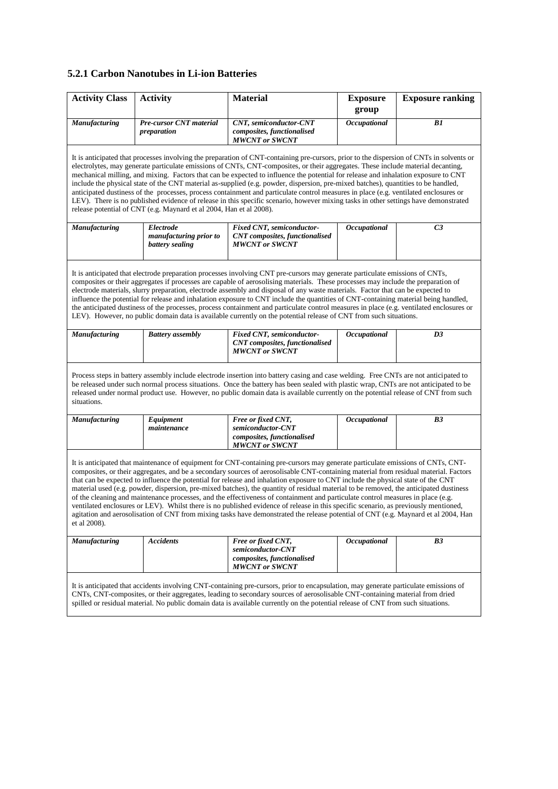#### **5.2.1 Carbon Nanotubes in Li-ion Batteries**

| <b>Activity Class</b>                                                                                                                                                                                                                                                                                                                                                                                                                                                                                                                                                                                                                                                                                                                                                                                                                                                                                                                                                                 | <b>Activity</b>                                        | <b>Material</b>                                                                                                                      | <b>Exposure</b><br>group | <b>Exposure ranking</b> |  |  |  |
|---------------------------------------------------------------------------------------------------------------------------------------------------------------------------------------------------------------------------------------------------------------------------------------------------------------------------------------------------------------------------------------------------------------------------------------------------------------------------------------------------------------------------------------------------------------------------------------------------------------------------------------------------------------------------------------------------------------------------------------------------------------------------------------------------------------------------------------------------------------------------------------------------------------------------------------------------------------------------------------|--------------------------------------------------------|--------------------------------------------------------------------------------------------------------------------------------------|--------------------------|-------------------------|--|--|--|
| Manufacturing                                                                                                                                                                                                                                                                                                                                                                                                                                                                                                                                                                                                                                                                                                                                                                                                                                                                                                                                                                         | <b>Pre-cursor CNT material</b><br>preparation          | CNT, semiconductor-CNT<br>composites, functionalised<br><b>MWCNT</b> or SWCNT                                                        | Occupational             | B1                      |  |  |  |
| It is anticipated that processes involving the preparation of CNT-containing pre-cursors, prior to the dispersion of CNTs in solvents or<br>electrolytes, may generate particulate emissions of CNTs, CNT-composites, or their aggregates. These include material decanting,<br>mechanical milling, and mixing. Factors that can be expected to influence the potential for release and inhalation exposure to CNT<br>include the physical state of the CNT material as-supplied (e.g. powder, dispersion, pre-mixed batches), quantities to be handled,<br>anticipated dustiness of the processes, process containment and particulate control measures in place (e.g. ventilated enclosures or<br>LEV). There is no published evidence of release in this specific scenario, however mixing tasks in other settings have demonstrated<br>release potential of CNT (e.g. Maynard et al 2004, Han et al 2008).                                                                        |                                                        |                                                                                                                                      |                          |                         |  |  |  |
| Manufacturing                                                                                                                                                                                                                                                                                                                                                                                                                                                                                                                                                                                                                                                                                                                                                                                                                                                                                                                                                                         | Electrode<br>manufacturing prior to<br>battery sealing | Fixed CNT, semiconductor-<br><b>CNT</b> composites, functionalised<br><b>MWCNT or SWCNT</b>                                          | Occupational             | C <sub>3</sub>          |  |  |  |
| It is anticipated that electrode preparation processes involving CNT pre-cursors may generate particulate emissions of CNTs,<br>composites or their aggregates if processes are capable of aerosolising materials. These processes may include the preparation of<br>electrode materials, slurry preparation, electrode assembly and disposal of any waste materials. Factor that can be expected to<br>influence the potential for release and inhalation exposure to CNT include the quantities of CNT-containing material being handled,<br>the anticipated dustiness of the processes, process containment and particulate control measures in place (e.g. ventilated enclosures or<br>LEV). However, no public domain data is available currently on the potential release of CNT from such situations.                                                                                                                                                                          |                                                        |                                                                                                                                      |                          |                         |  |  |  |
| <b>Manufacturing</b>                                                                                                                                                                                                                                                                                                                                                                                                                                                                                                                                                                                                                                                                                                                                                                                                                                                                                                                                                                  | <b>Battery</b> assembly                                | Fixed CNT, semiconductor-<br><b>CNT</b> composites, functionalised<br><b>MWCNT</b> or SWCNT                                          | <b>Occupational</b>      | D3                      |  |  |  |
| Process steps in battery assembly include electrode insertion into battery casing and case welding. Free CNTs are not anticipated to<br>be released under such normal process situations. Once the battery has been sealed with plastic wrap, CNTs are not anticipated to be<br>released under normal product use. However, no public domain data is available currently on the potential release of CNT from such<br>situations.                                                                                                                                                                                                                                                                                                                                                                                                                                                                                                                                                     |                                                        |                                                                                                                                      |                          |                         |  |  |  |
| <b>Manufacturing</b>                                                                                                                                                                                                                                                                                                                                                                                                                                                                                                                                                                                                                                                                                                                                                                                                                                                                                                                                                                  | Equipment<br>maintenance                               | Free or fixed CNT,<br>semiconductor-CNT<br>composites, functionalised<br><b>MWCNT</b> or SWCNT                                       | Occupational             | B <sub>3</sub>          |  |  |  |
| It is anticipated that maintenance of equipment for CNT-containing pre-cursors may generate particulate emissions of CNTs, CNT-<br>composites, or their aggregates, and be a secondary sources of aerosolisable CNT-containing material from residual material. Factors<br>that can be expected to influence the potential for release and inhalation exposure to CNT include the physical state of the CNT<br>material used (e.g. powder, dispersion, pre-mixed batches), the quantity of residual material to be removed, the anticipated dustiness<br>of the cleaning and maintenance processes, and the effectiveness of containment and particulate control measures in place (e.g.<br>ventilated enclosures or LEV). Whilst there is no published evidence of release in this specific scenario, as previously mentioned,<br>agitation and aerosolisation of CNT from mixing tasks have demonstrated the release potential of CNT (e.g. Maynard et al 2004, Han<br>et al 2008). |                                                        |                                                                                                                                      |                          |                         |  |  |  |
| Manufacturing                                                                                                                                                                                                                                                                                                                                                                                                                                                                                                                                                                                                                                                                                                                                                                                                                                                                                                                                                                         | <b>Accidents</b>                                       | Free or fixed CNT,<br>semiconductor-CNT<br>composites, functionalised<br><b>MWCNT</b> or SWCNT                                       | Occupational             | B3                      |  |  |  |
|                                                                                                                                                                                                                                                                                                                                                                                                                                                                                                                                                                                                                                                                                                                                                                                                                                                                                                                                                                                       |                                                        | It is anticipated that accidents involving CNT-containing pre-cursors, prior to encapsulation, may generate particulate emissions of |                          |                         |  |  |  |

CNTs, CNT-composites, or their aggregates, leading to secondary sources of aerosolisable CNT-containing material from dried spilled or residual material. No public domain data is available currently on the potential release of CNT from such situations.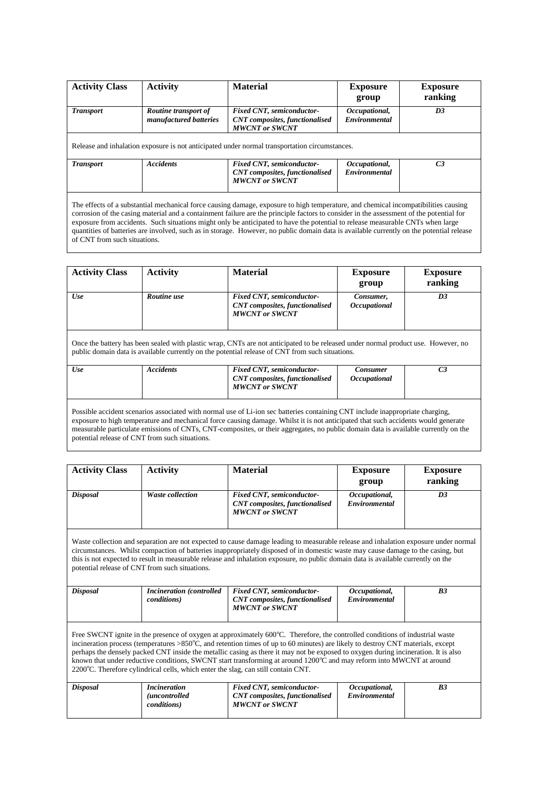| <b>Activity Class</b> | <b>Activity</b>                                | <b>Material</b>                                                                               | <b>Exposure</b><br>group              | <b>Exposure</b><br>ranking |
|-----------------------|------------------------------------------------|-----------------------------------------------------------------------------------------------|---------------------------------------|----------------------------|
| <b>Transport</b>      | Routine transport of<br>manufactured batteries | <b>Fixed CNT</b> , semiconductor-<br><b>CNT</b> composites, functionalised                    | Occupational,<br><b>Environmental</b> | D3                         |
|                       |                                                | <b>MWCNT</b> or SWCNT                                                                         |                                       |                            |
|                       |                                                | Release and inhalation exposure is not anticipated under normal transportation circumstances. |                                       |                            |

The effects of a substantial mechanical force causing damage, exposure to high temperature, and chemical incompatibilities causing corrosion of the casing material and a containment failure are the principle factors to consider in the assessment of the potential for exposure from accidents. Such situations might only be anticipated to have the potential to release measurable CNTs when large quantities of batteries are involved, such as in storage. However, no public domain data is available currently on the potential release of CNT from such situations.

| <b>Activity Class</b> | <b>Activity</b>  | <b>Material</b>                                                                                                                                                                                                                      | <b>Exposure</b><br>group                      | <b>Exposure</b><br>ranking |
|-----------------------|------------------|--------------------------------------------------------------------------------------------------------------------------------------------------------------------------------------------------------------------------------------|-----------------------------------------------|----------------------------|
| Use                   | Routine use      | Fixed CNT, semiconductor-<br><b>CNT</b> composites, functionalised<br><b>MWCNT</b> or SWCNT                                                                                                                                          | Consumer,<br><i><b>Occupational</b></i>       | D <sub>3</sub>             |
|                       |                  |                                                                                                                                                                                                                                      |                                               |                            |
|                       |                  | Once the battery has been sealed with plastic wrap, CNTs are not anticipated to be released under normal product use. However, no<br>public domain data is available currently on the potential release of CNT from such situations. |                                               |                            |
| <b>Use</b>            | <b>Accidents</b> | <b>Fixed CNT</b> , semiconductor-<br><b>CNT</b> composites, functionalised<br><b>MWCNT</b> or SWCNT                                                                                                                                  | <b>Consumer</b><br><i><b>Occupational</b></i> | C <sub>3</sub>             |

potential release of CNT from such situations.

| <b>Activity Class</b> | <b>Activity</b>                                                                   | <b>Material</b>                                                                                                                                                                                                                                                                                                                                                                                                                                                                                                                         | <b>Exposure</b><br>group              | <b>Exposure</b><br>ranking |
|-----------------------|-----------------------------------------------------------------------------------|-----------------------------------------------------------------------------------------------------------------------------------------------------------------------------------------------------------------------------------------------------------------------------------------------------------------------------------------------------------------------------------------------------------------------------------------------------------------------------------------------------------------------------------------|---------------------------------------|----------------------------|
| <b>Disposal</b>       | <b>Waste collection</b>                                                           | Fixed CNT, semiconductor-<br><b>CNT</b> composites, functionalised<br><b>MWCNT</b> or SWCNT                                                                                                                                                                                                                                                                                                                                                                                                                                             | Occupational,<br>Environmental        | D <sub>3</sub>             |
|                       | potential release of CNT from such situations.                                    | Waste collection and separation are not expected to cause damage leading to measurable release and inhalation exposure under normal<br>circumstances. Whilst compaction of batteries inappropriately disposed of in domestic waste may cause damage to the casing, but<br>this is not expected to result in measurable release and inhalation exposure, no public domain data is available currently on the                                                                                                                             |                                       |                            |
| <b>Disposal</b>       | <b>Incineration</b> (controlled<br><i>conditions</i> )                            | Fixed CNT, semiconductor-<br><b>CNT</b> composites, functionalised<br><b>MWCNT</b> or SWCNT                                                                                                                                                                                                                                                                                                                                                                                                                                             | Occupational,<br><b>Environmental</b> | B <sub>3</sub>             |
|                       | 2200°C. Therefore cylindrical cells, which enter the slag, can still contain CNT. | Free SWCNT ignite in the presence of oxygen at approximately 600°C. Therefore, the controlled conditions of industrial waste<br>incineration process (temperatures $>850^{\circ}$ C, and retention times of up to 60 minutes) are likely to destroy CNT materials, except<br>perhaps the densely packed CNT inside the metallic casing as there it may not be exposed to oxygen during incineration. It is also<br>known that under reductive conditions, SWCNT start transforming at around 1200°C and may reform into MWCNT at around |                                       |                            |
| <b>Disposal</b>       | <i>Incineration</i><br><i>(uncontrolled)</i><br><i>conditions</i> )               | Fixed CNT, semiconductor-<br><b>CNT</b> composites, functionalised<br><b>MWCNT</b> or SWCNT                                                                                                                                                                                                                                                                                                                                                                                                                                             | Occupational,<br>Environmental        | B <sub>3</sub>             |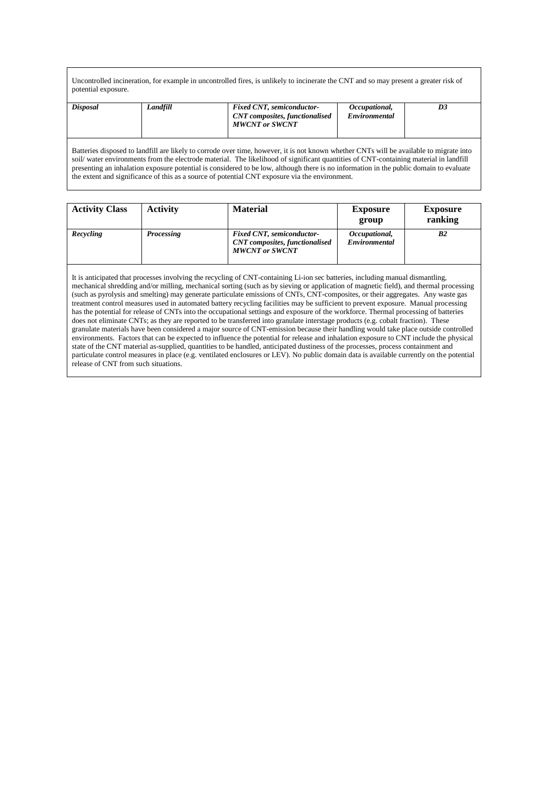Uncontrolled incineration, for example in uncontrolled fires, is unlikely to incinerate the CNT and so may present a greater risk of potential exposure.

| <b>Disposal</b> | Landfill | <b>Fixed CNT, semiconductor-</b><br><b>CNT</b> composites, functionalised<br><b>MWCNT or SWCNT</b> | Occupational,<br>Environmental | D3 |
|-----------------|----------|----------------------------------------------------------------------------------------------------|--------------------------------|----|
|                 |          |                                                                                                    |                                |    |

Batteries disposed to landfill are likely to corrode over time, however, it is not known whether CNTs will be available to migrate into soil/ water environments from the electrode material. The likelihood of significant quantities of CNT-containing material in landfill presenting an inhalation exposure potential is considered to be low, although there is no information in the public domain to evaluate the extent and significance of this as a source of potential CNT exposure via the environment.

| <b>Activity Class</b> | <b>Activity</b>   | <b>Material</b>                                                                                     | <b>Exposure</b><br>group       | <b>Exposure</b><br>ranking |
|-----------------------|-------------------|-----------------------------------------------------------------------------------------------------|--------------------------------|----------------------------|
| Recycling             | <b>Processing</b> | <b>Fixed CNT</b> , semiconductor-<br><b>CNT</b> composites, functionalised<br><b>MWCNT</b> or SWCNT | Occupational,<br>Environmental | B <sub>2</sub>             |

It is anticipated that processes involving the recycling of CNT-containing Li-ion sec batteries, including manual dismantling, mechanical shredding and/or milling, mechanical sorting (such as by sieving or application of magnetic field), and thermal processing (such as pyrolysis and smelting) may generate particulate emissions of CNTs, CNT-composites, or their aggregates. Any waste gas treatment control measures used in automated battery recycling facilities may be sufficient to prevent exposure. Manual processing has the potential for release of CNTs into the occupational settings and exposure of the workforce. Thermal processing of batteries does not eliminate CNTs; as they are reported to be transferred into granulate interstage products (e.g. cobalt fraction). These granulate materials have been considered a major source of CNT-emission because their handling would take place outside controlled environments. Factors that can be expected to influence the potential for release and inhalation exposure to CNT include the physical state of the CNT material as-supplied, quantities to be handled, anticipated dustiness of the processes, process containment and particulate control measures in place (e.g. ventilated enclosures or LEV). No public domain data is available currently on the potential release of CNT from such situations.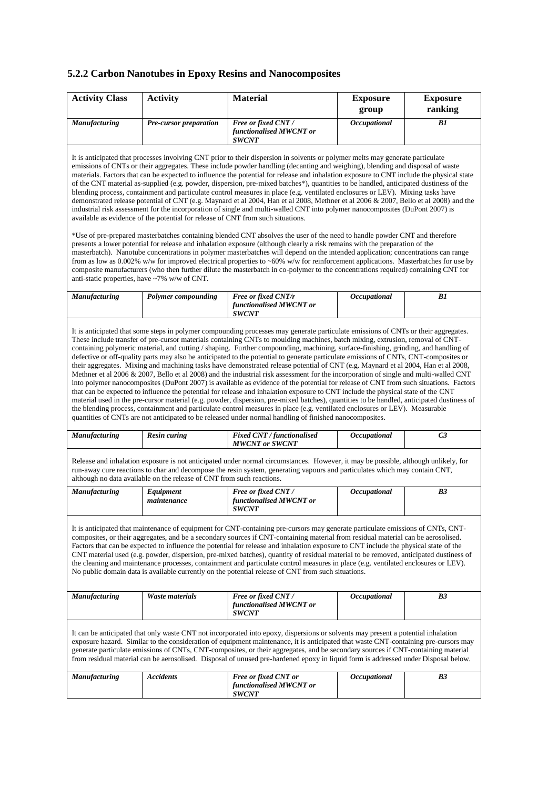# **5.2.2 Carbon Nanotubes in Epoxy Resins and Nanocomposites**

| <b>Activity Class</b>                        | <b>Activity</b>                                                                 | <b>Material</b>                                                                                                                                                                                                                                                                                                                                                                                                                                                                                                                                                                                                                                                                                                                                                                                                                                                                                                                                                                                                                                                                                                                                                                                                                                                                                                                                                                                                                                                                                                                                                                                                                              | <b>Exposure</b><br>group | <b>Exposure</b><br>ranking |
|----------------------------------------------|---------------------------------------------------------------------------------|----------------------------------------------------------------------------------------------------------------------------------------------------------------------------------------------------------------------------------------------------------------------------------------------------------------------------------------------------------------------------------------------------------------------------------------------------------------------------------------------------------------------------------------------------------------------------------------------------------------------------------------------------------------------------------------------------------------------------------------------------------------------------------------------------------------------------------------------------------------------------------------------------------------------------------------------------------------------------------------------------------------------------------------------------------------------------------------------------------------------------------------------------------------------------------------------------------------------------------------------------------------------------------------------------------------------------------------------------------------------------------------------------------------------------------------------------------------------------------------------------------------------------------------------------------------------------------------------------------------------------------------------|--------------------------|----------------------------|
| <b>Manufacturing</b>                         | Pre-cursor preparation                                                          | Free or fixed CNT/<br>functionalised MWCNT or<br><b>SWCNT</b>                                                                                                                                                                                                                                                                                                                                                                                                                                                                                                                                                                                                                                                                                                                                                                                                                                                                                                                                                                                                                                                                                                                                                                                                                                                                                                                                                                                                                                                                                                                                                                                | Occupational             | B1                         |
| anti-static properties, have ~7% w/w of CNT. | available as evidence of the potential for release of CNT from such situations. | It is anticipated that processes involving CNT prior to their dispersion in solvents or polymer melts may generate particulate<br>emissions of CNTs or their aggregates. These include powder handling (decanting and weighing), blending and disposal of waste<br>materials. Factors that can be expected to influence the potential for release and inhalation exposure to CNT include the physical state<br>of the CNT material as-supplied (e.g. powder, dispersion, pre-mixed batches*), quantities to be handled, anticipated dustiness of the<br>blending process, containment and particulate control measures in place (e.g. ventilated enclosures or LEV). Mixing tasks have<br>demonstrated release potential of CNT (e.g. Maynard et al 2004, Han et al 2008, Methner et al 2006 & 2007, Bello et al 2008) and the<br>industrial risk assessment for the incorporation of single and multi-walled CNT into polymer nanocomposites (DuPont 2007) is<br>*Use of pre-prepared masterbatches containing blended CNT absolves the user of the need to handle powder CNT and therefore<br>presents a lower potential for release and inhalation exposure (although clearly a risk remains with the preparation of the<br>masterbatch). Nanotube concentrations in polymer masterbatches will depend on the intended application; concentrations can range<br>from as low as $0.002\%$ w/w for improved electrical properties to ~60% w/w for reinforcement applications. Masterbatches for use by<br>composite manufacturers (who then further dilute the masterbatch in co-polymer to the concentrations required) containing CNT for |                          |                            |
| <b>Manufacturing</b>                         | Polymer compounding                                                             | Free or fixed CNT/r<br>functionalised MWCNT or<br><b>SWCNT</b>                                                                                                                                                                                                                                                                                                                                                                                                                                                                                                                                                                                                                                                                                                                                                                                                                                                                                                                                                                                                                                                                                                                                                                                                                                                                                                                                                                                                                                                                                                                                                                               | Occupational             | B1                         |
| <b>Manufacturing</b>                         | <b>Resin curing</b>                                                             | containing polymeric material, and cutting / shaping. Further compounding, machining, surface-finishing, grinding, and handling of<br>defective or off-quality parts may also be anticipated to the potential to generate particulate emissions of CNTs, CNT-composites or<br>their aggregates. Mixing and machining tasks have demonstrated release potential of CNT (e.g. Maynard et al 2004, Han et al 2008,<br>Methner et al 2006 & 2007, Bello et al 2008) and the industrial risk assessment for the incorporation of single and multi-walled CNT<br>into polymer nanocomposites (DuPont 2007) is available as evidence of the potential for release of CNT from such situations. Factors<br>that can be expected to influence the potential for release and inhalation exposure to CNT include the physical state of the CNT<br>material used in the pre-cursor material (e.g. powder, dispersion, pre-mixed batches), quantities to be handled, anticipated dustiness of<br>the blending process, containment and particulate control measures in place (e.g. ventilated enclosures or LEV). Measurable<br>quantities of CNTs are not anticipated to be released under normal handling of finished nanocomposites.<br>Fixed CNT / functionalised<br><b>MWCNT</b> or SWCNT                                                                                                                                                                                                                                                                                                                                                            | Occupational             | C <sub>3</sub>             |
|                                              | although no data available on the release of CNT from such reactions.           | Release and inhalation exposure is not anticipated under normal circumstances. However, it may be possible, although unlikely, for<br>run-away cure reactions to char and decompose the resin system, generating vapours and particulates which may contain CNT,                                                                                                                                                                                                                                                                                                                                                                                                                                                                                                                                                                                                                                                                                                                                                                                                                                                                                                                                                                                                                                                                                                                                                                                                                                                                                                                                                                             |                          |                            |
| Manufacturing                                | Equipment<br>maintenance                                                        | Free or fixed CNT/<br>functionalised MWCNT or<br><b>SWCNT</b>                                                                                                                                                                                                                                                                                                                                                                                                                                                                                                                                                                                                                                                                                                                                                                                                                                                                                                                                                                                                                                                                                                                                                                                                                                                                                                                                                                                                                                                                                                                                                                                | Occupational             | B3                         |
|                                              |                                                                                 | It is anticipated that maintenance of equipment for CNT-containing pre-cursors may generate particulate emissions of CNTs, CNT-<br>composites, or their aggregates, and be a secondary sources if CNT-containing material from residual material can be aerosolised.<br>Factors that can be expected to influence the potential for release and inhalation exposure to CNT include the physical state of the<br>CNT material used (e.g. powder, dispersion, pre-mixed batches), quantity of residual material to be removed, anticipated dustiness of<br>the cleaning and maintenance processes, containment and particulate control measures in place (e.g. ventilated enclosures or LEV).<br>No public domain data is available currently on the potential release of CNT from such situations.                                                                                                                                                                                                                                                                                                                                                                                                                                                                                                                                                                                                                                                                                                                                                                                                                                            |                          |                            |
| Manufacturing                                | <b>Waste materials</b>                                                          | Free or fixed CNT/<br>functionalised MWCNT or<br><b>SWCNT</b>                                                                                                                                                                                                                                                                                                                                                                                                                                                                                                                                                                                                                                                                                                                                                                                                                                                                                                                                                                                                                                                                                                                                                                                                                                                                                                                                                                                                                                                                                                                                                                                | Occupational             | B3                         |
|                                              |                                                                                 | It can be anticipated that only waste CNT not incorporated into epoxy, dispersions or solvents may present a potential inhalation<br>exposure hazard. Similar to the consideration of equipment maintenance, it is anticipated that waste CNT-containing pre-cursors may<br>generate particulate emissions of CNTs, CNT-composites, or their aggregates, and be secondary sources if CNT-containing material<br>from residual material can be aerosolised. Disposal of unused pre-hardened epoxy in liquid form is addressed under Disposal below.                                                                                                                                                                                                                                                                                                                                                                                                                                                                                                                                                                                                                                                                                                                                                                                                                                                                                                                                                                                                                                                                                           |                          |                            |
| <b>Manufacturing</b>                         | <b>Accidents</b>                                                                | Free or fixed CNT or<br>functionalised MWCNT or<br><b>SWCNT</b>                                                                                                                                                                                                                                                                                                                                                                                                                                                                                                                                                                                                                                                                                                                                                                                                                                                                                                                                                                                                                                                                                                                                                                                                                                                                                                                                                                                                                                                                                                                                                                              | Occupational             | B3                         |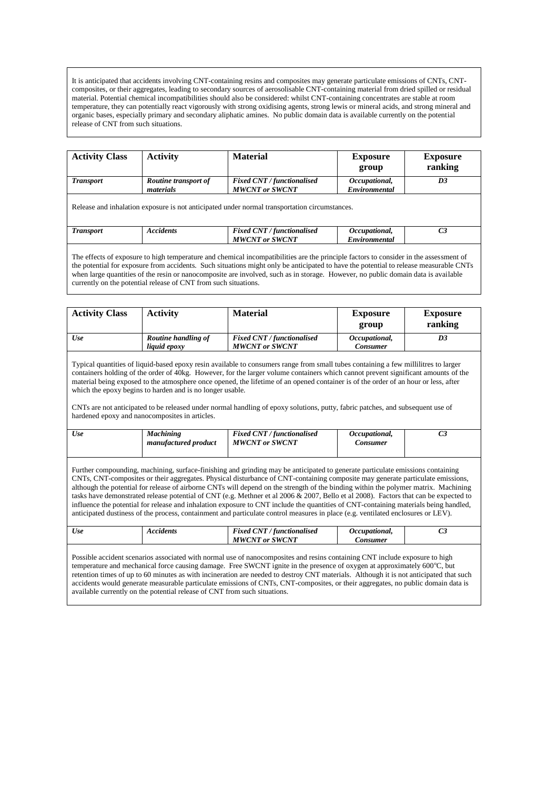It is anticipated that accidents involving CNT-containing resins and composites may generate particulate emissions of CNTs, CNTcomposites, or their aggregates, leading to secondary sources of aerosolisable CNT-containing material from dried spilled or residual material. Potential chemical incompatibilities should also be considered: whilst CNT-containing concentrates are stable at room temperature, they can potentially react vigorously with strong oxidising agents, strong lewis or mineral acids, and strong mineral and organic bases, especially primary and secondary aliphatic amines. No public domain data is available currently on the potential release of CNT from such situations.

| <b>Activity Class</b>                                                                         | <b>Activity</b>                   | <b>Material</b>                                            | <b>Exposure</b><br>group       | <b>Exposure</b><br>ranking |  |  |
|-----------------------------------------------------------------------------------------------|-----------------------------------|------------------------------------------------------------|--------------------------------|----------------------------|--|--|
| <b>Transport</b>                                                                              | Routine transport of<br>materials | <b>Fixed CNT / functionalised</b><br><b>MWCNT</b> or SWCNT | Occupational,<br>Environmental | D <sub>3</sub>             |  |  |
| Release and inhalation exposure is not anticipated under normal transportation circumstances. |                                   |                                                            |                                |                            |  |  |
| <b>Transport</b>                                                                              | <b>Accidents</b>                  | <b>Fixed CNT / functionalised</b><br><b>MWCNT</b> or SWCNT | Occupational,<br>Environmental | C <sub>3</sub>             |  |  |

The effects of exposure to high temperature and chemical incompatibilities are the principle factors to consider in the assessment of the potential for exposure from accidents. Such situations might only be anticipated to have the potential to release measurable CNTs when large quantities of the resin or nanocomposite are involved, such as in storage. However, no public domain data is available currently on the potential release of CNT from such situations.

| <b>Activity Class</b> | <b>Activity</b>                     | <b>Material</b>                                                                                                                                                                                                                                                                                                                                                           | <b>Exposure</b><br>group         | <b>Exposure</b><br>ranking |
|-----------------------|-------------------------------------|---------------------------------------------------------------------------------------------------------------------------------------------------------------------------------------------------------------------------------------------------------------------------------------------------------------------------------------------------------------------------|----------------------------------|----------------------------|
| Use                   | Routine handling of<br>liquid epoxy | <b>Fixed CNT / functionalised</b><br><b>MWCNT</b> or SWCNT                                                                                                                                                                                                                                                                                                                | Occupational,<br><b>Consumer</b> | D3                         |
|                       |                                     | Typical quantities of liquid-based epoxy resin available to consumers range from small tubes containing a few millilitres to larger<br>$\mathcal{L}$ , and the contract of the contract of the contract of the contract of the contract of the contract of the contract of the contract of the contract of the contract of the contract of the contract of the contract o |                                  |                            |

containers holding of the order of 40kg. However, for the larger volume containers which cannot prevent significant amounts of the material being exposed to the atmosphere once opened, the lifetime of an opened container is of the order of an hour or less, after which the epoxy begins to harden and is no longer usable.

CNTs are not anticipated to be released under normal handling of epoxy solutions, putty, fabric patches, and subsequent use of hardened epoxy and nanocomposites in articles.

| Use | <b>Machining</b><br>manufactured product | <b>Fixed CNT / functionalised</b><br><b>MWCNT</b> or SWCNT | Occupational.<br><i>Consumer</i> |  |
|-----|------------------------------------------|------------------------------------------------------------|----------------------------------|--|
|     |                                          |                                                            |                                  |  |

Further compounding, machining, surface-finishing and grinding may be anticipated to generate particulate emissions containing CNTs, CNT-composites or their aggregates. Physical disturbance of CNT-containing composite may generate particulate emissions, although the potential for release of airborne CNTs will depend on the strength of the binding within the polymer matrix. Machining tasks have demonstrated release potential of CNT (e.g. Methner et al 2006 & 2007, Bello et al 2008). Factors that can be expected to influence the potential for release and inhalation exposure to CNT include the quantities of CNT-containing materials being handled, anticipated dustiness of the process, containment and particulate control measures in place (e.g. ventilated enclosures or LEV).

| Use<br>Accidents<br>ັ<br>or SWCNT!<br>'NT<br>MWC<br><i>Lonsumer</i> | <b>Fixed CNT</b><br>Occupational.<br>tunctionalised |  |  |
|---------------------------------------------------------------------|-----------------------------------------------------|--|--|
|---------------------------------------------------------------------|-----------------------------------------------------|--|--|

Possible accident scenarios associated with normal use of nanocomposites and resins containing CNT include exposure to high temperature and mechanical force causing damage. Free SWCNT ignite in the presence of oxygen at approximately 600°C, but retention times of up to 60 minutes as with incineration are needed to destroy CNT materials. Although it is not anticipated that such accidents would generate measurable particulate emissions of CNTs, CNT-composites, or their aggregates, no public domain data is available currently on the potential release of CNT from such situations.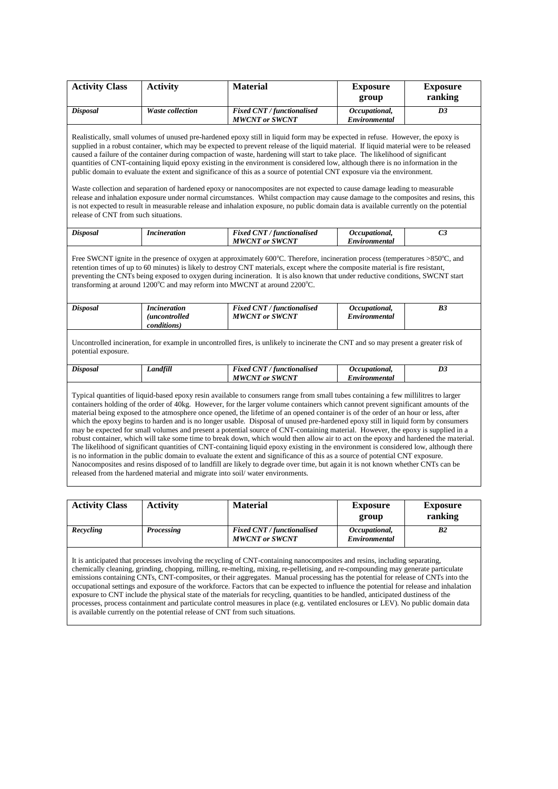| ranking<br>group<br><b>Waste collection</b><br><b>Fixed CNT / functionalised</b><br><b>Disposal</b><br>Occupational,<br>D <sub>3</sub><br><b>MWCNT</b> or SWCNT<br>Environmental<br>Realistically, small volumes of unused pre-hardened epoxy still in liquid form may be expected in refuse. However, the epoxy is<br>supplied in a robust container, which may be expected to prevent release of the liquid material. If liquid material were to be released<br>caused a failure of the container during compaction of waste, hardening will start to take place. The likelihood of significant<br>quantities of CNT-containing liquid epoxy existing in the environment is considered low, although there is no information in the<br>public domain to evaluate the extent and significance of this as a source of potential CNT exposure via the environment.<br>Waste collection and separation of hardened epoxy or nanocomposites are not expected to cause damage leading to measurable<br>release and inhalation exposure under normal circumstances. Whilst compaction may cause damage to the composites and resins, this<br>is not expected to result in measurable release and inhalation exposure, no public domain data is available currently on the potential<br>release of CNT from such situations.<br>Fixed CNT / functionalised<br>Occupational,<br>C <sub>3</sub><br><b>Disposal</b><br><i>Incineration</i><br><b>MWCNT</b> or SWCNT<br>Environmental<br>Free SWCNT ignite in the presence of oxygen at approximately $600^{\circ}$ C. Therefore, incineration process (temperatures > $850^{\circ}$ C, and<br>retention times of up to 60 minutes) is likely to destroy CNT materials, except where the composite material is fire resistant,<br>preventing the CNTs being exposed to oxygen during incineration. It is also known that under reductive conditions, SWCNT start<br>transforming at around 1200 $^{\circ}$ C and may reform into MWCNT at around 2200 $^{\circ}$ C.<br><b>Disposal</b><br>Fixed CNT / functionalised<br>Occupational,<br>B <sub>3</sub><br><i>Incineration</i><br><b>MWCNT</b> or SWCNT<br>Environmental<br><i>(uncontrolled)</i><br>conditions)<br>Uncontrolled incineration, for example in uncontrolled fires, is unlikely to incinerate the CNT and so may present a greater risk of<br>potential exposure.<br><b>Fixed CNT / functionalised</b><br>Landfill<br>Occupational,<br>D3<br>Disposal<br><b>MWCNT</b> or SWCNT<br>Environmental<br>Typical quantities of liquid-based epoxy resin available to consumers range from small tubes containing a few millilitres to larger<br>containers holding of the order of 40kg. However, for the larger volume containers which cannot prevent significant amounts of the<br>material being exposed to the atmosphere once opened, the lifetime of an opened container is of the order of an hour or less, after<br>which the epoxy begins to harden and is no longer usable. Disposal of unused pre-hardened epoxy still in liquid form by consumers<br>may be expected for small volumes and present a potential source of CNT-containing material. However, the epoxy is supplied in a<br>robust container, which will take some time to break down, which would then allow air to act on the epoxy and hardened the material.<br>The likelihood of significant quantities of CNT-containing liquid epoxy existing in the environment is considered low, although there<br>is no information in the public domain to evaluate the extent and significance of this as a source of potential CNT exposure.<br>Nanocomposites and resins disposed of to landfill are likely to degrade over time, but again it is not known whether CNTs can be<br>released from the hardened material and migrate into soil/water environments.<br><b>Material</b><br><b>Activity Class</b><br><b>Activity</b><br><b>Exposure</b><br><b>Exposure</b> | <b>Activity Class</b> | <b>Activity</b> | <b>Material</b> | <b>Exposure</b> | <b>Exposure</b> |
|----------------------------------------------------------------------------------------------------------------------------------------------------------------------------------------------------------------------------------------------------------------------------------------------------------------------------------------------------------------------------------------------------------------------------------------------------------------------------------------------------------------------------------------------------------------------------------------------------------------------------------------------------------------------------------------------------------------------------------------------------------------------------------------------------------------------------------------------------------------------------------------------------------------------------------------------------------------------------------------------------------------------------------------------------------------------------------------------------------------------------------------------------------------------------------------------------------------------------------------------------------------------------------------------------------------------------------------------------------------------------------------------------------------------------------------------------------------------------------------------------------------------------------------------------------------------------------------------------------------------------------------------------------------------------------------------------------------------------------------------------------------------------------------------------------------------------------------------------------------------------------------------------------------------------------------------------------------------------------------------------------------------------------------------------------------------------------------------------------------------------------------------------------------------------------------------------------------------------------------------------------------------------------------------------------------------------------------------------------------------------------------------------------------------------------------------------------------------------------------------------------------------------------------------------------------------------------------------------------------------------------------------------------------------------------------------------------------------------------------------------------------------------------------------------------------------------------------------------------------------------------------------------------------------------------------------------------------------------------------------------------------------------------------------------------------------------------------------------------------------------------------------------------------------------------------------------------------------------------------------------------------------------------------------------------------------------------------------------------------------------------------------------------------------------------------------------------------------------------------------------------------------------------------------------------------------------------------------------------------------------------------------------------------------------------------------------------------------------------------------------------------------------------------------------------------------------------------------------------------------------------------------------------------------------------------------|-----------------------|-----------------|-----------------|-----------------|-----------------|
|                                                                                                                                                                                                                                                                                                                                                                                                                                                                                                                                                                                                                                                                                                                                                                                                                                                                                                                                                                                                                                                                                                                                                                                                                                                                                                                                                                                                                                                                                                                                                                                                                                                                                                                                                                                                                                                                                                                                                                                                                                                                                                                                                                                                                                                                                                                                                                                                                                                                                                                                                                                                                                                                                                                                                                                                                                                                                                                                                                                                                                                                                                                                                                                                                                                                                                                                                                                                                                                                                                                                                                                                                                                                                                                                                                                                                                                                                                                                              |                       |                 |                 |                 |                 |
|                                                                                                                                                                                                                                                                                                                                                                                                                                                                                                                                                                                                                                                                                                                                                                                                                                                                                                                                                                                                                                                                                                                                                                                                                                                                                                                                                                                                                                                                                                                                                                                                                                                                                                                                                                                                                                                                                                                                                                                                                                                                                                                                                                                                                                                                                                                                                                                                                                                                                                                                                                                                                                                                                                                                                                                                                                                                                                                                                                                                                                                                                                                                                                                                                                                                                                                                                                                                                                                                                                                                                                                                                                                                                                                                                                                                                                                                                                                                              |                       |                 |                 |                 |                 |
|                                                                                                                                                                                                                                                                                                                                                                                                                                                                                                                                                                                                                                                                                                                                                                                                                                                                                                                                                                                                                                                                                                                                                                                                                                                                                                                                                                                                                                                                                                                                                                                                                                                                                                                                                                                                                                                                                                                                                                                                                                                                                                                                                                                                                                                                                                                                                                                                                                                                                                                                                                                                                                                                                                                                                                                                                                                                                                                                                                                                                                                                                                                                                                                                                                                                                                                                                                                                                                                                                                                                                                                                                                                                                                                                                                                                                                                                                                                                              |                       |                 |                 |                 |                 |
|                                                                                                                                                                                                                                                                                                                                                                                                                                                                                                                                                                                                                                                                                                                                                                                                                                                                                                                                                                                                                                                                                                                                                                                                                                                                                                                                                                                                                                                                                                                                                                                                                                                                                                                                                                                                                                                                                                                                                                                                                                                                                                                                                                                                                                                                                                                                                                                                                                                                                                                                                                                                                                                                                                                                                                                                                                                                                                                                                                                                                                                                                                                                                                                                                                                                                                                                                                                                                                                                                                                                                                                                                                                                                                                                                                                                                                                                                                                                              |                       |                 |                 |                 |                 |
|                                                                                                                                                                                                                                                                                                                                                                                                                                                                                                                                                                                                                                                                                                                                                                                                                                                                                                                                                                                                                                                                                                                                                                                                                                                                                                                                                                                                                                                                                                                                                                                                                                                                                                                                                                                                                                                                                                                                                                                                                                                                                                                                                                                                                                                                                                                                                                                                                                                                                                                                                                                                                                                                                                                                                                                                                                                                                                                                                                                                                                                                                                                                                                                                                                                                                                                                                                                                                                                                                                                                                                                                                                                                                                                                                                                                                                                                                                                                              |                       |                 |                 |                 |                 |
|                                                                                                                                                                                                                                                                                                                                                                                                                                                                                                                                                                                                                                                                                                                                                                                                                                                                                                                                                                                                                                                                                                                                                                                                                                                                                                                                                                                                                                                                                                                                                                                                                                                                                                                                                                                                                                                                                                                                                                                                                                                                                                                                                                                                                                                                                                                                                                                                                                                                                                                                                                                                                                                                                                                                                                                                                                                                                                                                                                                                                                                                                                                                                                                                                                                                                                                                                                                                                                                                                                                                                                                                                                                                                                                                                                                                                                                                                                                                              |                       |                 |                 |                 |                 |
|                                                                                                                                                                                                                                                                                                                                                                                                                                                                                                                                                                                                                                                                                                                                                                                                                                                                                                                                                                                                                                                                                                                                                                                                                                                                                                                                                                                                                                                                                                                                                                                                                                                                                                                                                                                                                                                                                                                                                                                                                                                                                                                                                                                                                                                                                                                                                                                                                                                                                                                                                                                                                                                                                                                                                                                                                                                                                                                                                                                                                                                                                                                                                                                                                                                                                                                                                                                                                                                                                                                                                                                                                                                                                                                                                                                                                                                                                                                                              |                       |                 |                 |                 |                 |
|                                                                                                                                                                                                                                                                                                                                                                                                                                                                                                                                                                                                                                                                                                                                                                                                                                                                                                                                                                                                                                                                                                                                                                                                                                                                                                                                                                                                                                                                                                                                                                                                                                                                                                                                                                                                                                                                                                                                                                                                                                                                                                                                                                                                                                                                                                                                                                                                                                                                                                                                                                                                                                                                                                                                                                                                                                                                                                                                                                                                                                                                                                                                                                                                                                                                                                                                                                                                                                                                                                                                                                                                                                                                                                                                                                                                                                                                                                                                              |                       |                 |                 |                 |                 |
|                                                                                                                                                                                                                                                                                                                                                                                                                                                                                                                                                                                                                                                                                                                                                                                                                                                                                                                                                                                                                                                                                                                                                                                                                                                                                                                                                                                                                                                                                                                                                                                                                                                                                                                                                                                                                                                                                                                                                                                                                                                                                                                                                                                                                                                                                                                                                                                                                                                                                                                                                                                                                                                                                                                                                                                                                                                                                                                                                                                                                                                                                                                                                                                                                                                                                                                                                                                                                                                                                                                                                                                                                                                                                                                                                                                                                                                                                                                                              |                       |                 |                 |                 |                 |
|                                                                                                                                                                                                                                                                                                                                                                                                                                                                                                                                                                                                                                                                                                                                                                                                                                                                                                                                                                                                                                                                                                                                                                                                                                                                                                                                                                                                                                                                                                                                                                                                                                                                                                                                                                                                                                                                                                                                                                                                                                                                                                                                                                                                                                                                                                                                                                                                                                                                                                                                                                                                                                                                                                                                                                                                                                                                                                                                                                                                                                                                                                                                                                                                                                                                                                                                                                                                                                                                                                                                                                                                                                                                                                                                                                                                                                                                                                                                              |                       |                 |                 |                 |                 |
|                                                                                                                                                                                                                                                                                                                                                                                                                                                                                                                                                                                                                                                                                                                                                                                                                                                                                                                                                                                                                                                                                                                                                                                                                                                                                                                                                                                                                                                                                                                                                                                                                                                                                                                                                                                                                                                                                                                                                                                                                                                                                                                                                                                                                                                                                                                                                                                                                                                                                                                                                                                                                                                                                                                                                                                                                                                                                                                                                                                                                                                                                                                                                                                                                                                                                                                                                                                                                                                                                                                                                                                                                                                                                                                                                                                                                                                                                                                                              |                       |                 |                 |                 |                 |

| <b>Activity Class</b> | <b>Activity</b>   | <b>Material</b>                                            | <b>Exposure</b><br>group       | <b>Exposure</b><br>ranking |
|-----------------------|-------------------|------------------------------------------------------------|--------------------------------|----------------------------|
| Recycling             | <b>Processing</b> | <b>Fixed CNT / functionalised</b><br><b>MWCNT</b> or SWCNT | Occupational,<br>Environmental | B <sub>2</sub>             |

It is anticipated that processes involving the recycling of CNT-containing nanocomposites and resins, including separating, chemically cleaning, grinding, chopping, milling, re-melting, mixing, re-pelletising, and re-compounding may generate particulate emissions containing CNTs, CNT-composites, or their aggregates. Manual processing has the potential for release of CNTs into the occupational settings and exposure of the workforce. Factors that can be expected to influence the potential for release and inhalation exposure to CNT include the physical state of the materials for recycling, quantities to be handled, anticipated dustiness of the processes, process containment and particulate control measures in place (e.g. ventilated enclosures or LEV). No public domain data is available currently on the potential release of CNT from such situations.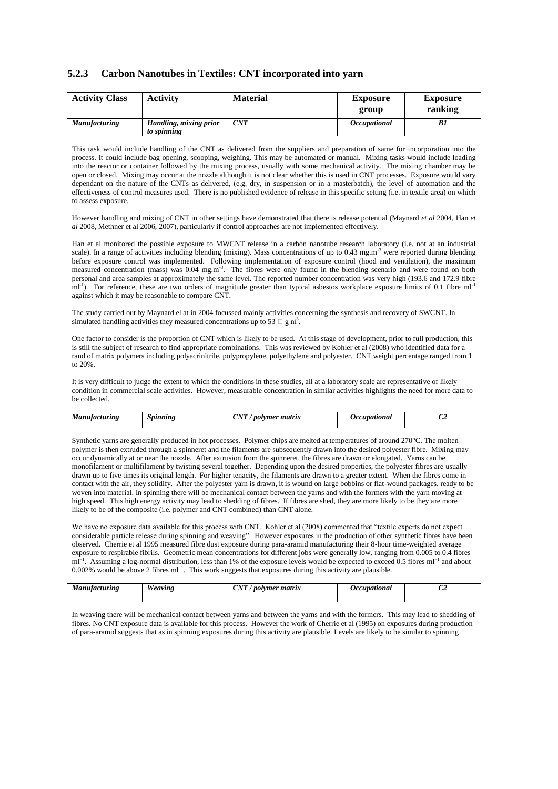# **5.2.3 Carbon Nanotubes in Textiles: CNT incorporated into yarn**

| <b>Activity Class</b>                                                                                                                                                                                                                         | <b>Activity</b>                                                                               | <b>Material</b>                                                                                                                                                                                                                                                                                                                                                                                                                                                                                                                                                                                                                                                                                                                                                                                                                                                                                                                                                                                                                                                                                                                                                                                                                                                                                                                                                                                                                                                                                                                                                                                                                                                                                                                                                                                                                                                                                                                                                                                                       | <b>Exposure</b><br>group | <b>Exposure</b><br>ranking |
|-----------------------------------------------------------------------------------------------------------------------------------------------------------------------------------------------------------------------------------------------|-----------------------------------------------------------------------------------------------|-----------------------------------------------------------------------------------------------------------------------------------------------------------------------------------------------------------------------------------------------------------------------------------------------------------------------------------------------------------------------------------------------------------------------------------------------------------------------------------------------------------------------------------------------------------------------------------------------------------------------------------------------------------------------------------------------------------------------------------------------------------------------------------------------------------------------------------------------------------------------------------------------------------------------------------------------------------------------------------------------------------------------------------------------------------------------------------------------------------------------------------------------------------------------------------------------------------------------------------------------------------------------------------------------------------------------------------------------------------------------------------------------------------------------------------------------------------------------------------------------------------------------------------------------------------------------------------------------------------------------------------------------------------------------------------------------------------------------------------------------------------------------------------------------------------------------------------------------------------------------------------------------------------------------------------------------------------------------------------------------------------------------|--------------------------|----------------------------|
| Manufacturing                                                                                                                                                                                                                                 | Handling, mixing prior<br>to spinning                                                         | CNT                                                                                                                                                                                                                                                                                                                                                                                                                                                                                                                                                                                                                                                                                                                                                                                                                                                                                                                                                                                                                                                                                                                                                                                                                                                                                                                                                                                                                                                                                                                                                                                                                                                                                                                                                                                                                                                                                                                                                                                                                   | Occupational             | B1                         |
| to assess exposure.                                                                                                                                                                                                                           |                                                                                               | This task would include handling of the CNT as delivered from the suppliers and preparation of same for incorporation into the<br>process. It could include bag opening, scooping, weighing. This may be automated or manual. Mixing tasks would include loading<br>into the reactor or container followed by the mixing process, usually with some mechanical activity. The mixing chamber may be<br>open or closed. Mixing may occur at the nozzle although it is not clear whether this is used in CNT processes. Exposure would vary<br>dependant on the nature of the CNTs as delivered, (e.g. dry, in suspension or in a masterbatch), the level of automation and the<br>effectiveness of control measures used. There is no published evidence of release in this specific setting (i.e. in textile area) on which                                                                                                                                                                                                                                                                                                                                                                                                                                                                                                                                                                                                                                                                                                                                                                                                                                                                                                                                                                                                                                                                                                                                                                                            |                          |                            |
| However handling and mixing of CNT in other settings have demonstrated that there is release potential (Maynard et al 2004, Han et<br>al 2008, Methner et al 2006, 2007), particularly if control approaches are not implemented effectively. |                                                                                               |                                                                                                                                                                                                                                                                                                                                                                                                                                                                                                                                                                                                                                                                                                                                                                                                                                                                                                                                                                                                                                                                                                                                                                                                                                                                                                                                                                                                                                                                                                                                                                                                                                                                                                                                                                                                                                                                                                                                                                                                                       |                          |                            |
|                                                                                                                                                                                                                                               | against which it may be reasonable to compare CNT.                                            | Han et al monitored the possible exposure to MWCNT release in a carbon nanotube research laboratory (i.e. not at an industrial<br>scale). In a range of activities including blending (mixing). Mass concentrations of up to 0.43 mg.m <sup>-3</sup> were reported during blending<br>before exposure control was implemented. Following implementation of exposure control (hood and ventilation), the maximum<br>measured concentration (mass) was 0.04 mg.m <sup>-3</sup> . The fibres were only found in the blending scenario and were found on both<br>personal and area samples at approximately the same level. The reported number concentration was very high (193.6 and 172.9 fibre<br>$ml^{-1}$ ). For reference, these are two orders of magnitude greater than typical asbestos workplace exposure limits of 0.1 fibre $ml^{-1}$                                                                                                                                                                                                                                                                                                                                                                                                                                                                                                                                                                                                                                                                                                                                                                                                                                                                                                                                                                                                                                                                                                                                                                        |                          |                            |
|                                                                                                                                                                                                                                               | simulated handling activities they measured concentrations up to 53 $\Box$ g m <sup>3</sup> . | The study carried out by Maynard el at in 2004 focussed mainly activities concerning the synthesis and recovery of SWCNT. In                                                                                                                                                                                                                                                                                                                                                                                                                                                                                                                                                                                                                                                                                                                                                                                                                                                                                                                                                                                                                                                                                                                                                                                                                                                                                                                                                                                                                                                                                                                                                                                                                                                                                                                                                                                                                                                                                          |                          |                            |
| to 20%.                                                                                                                                                                                                                                       |                                                                                               | One factor to consider is the proportion of CNT which is likely to be used. At this stage of development, prior to full production, this<br>is still the subject of research to find appropriate combinations. This was reviewed by Kohler et al (2008) who identified data for a<br>rand of matrix polymers including polyacrinitrile, polypropylene, polyethylene and polyester. CNT weight percentage ranged from 1                                                                                                                                                                                                                                                                                                                                                                                                                                                                                                                                                                                                                                                                                                                                                                                                                                                                                                                                                                                                                                                                                                                                                                                                                                                                                                                                                                                                                                                                                                                                                                                                |                          |                            |
| be collected.                                                                                                                                                                                                                                 |                                                                                               | It is very difficult to judge the extent to which the conditions in these studies, all at a laboratory scale are representative of likely<br>condition in commercial scale activities. However, measurable concentration in similar activities highlights the need for more data to                                                                                                                                                                                                                                                                                                                                                                                                                                                                                                                                                                                                                                                                                                                                                                                                                                                                                                                                                                                                                                                                                                                                                                                                                                                                                                                                                                                                                                                                                                                                                                                                                                                                                                                                   |                          |                            |
| Manufacturing                                                                                                                                                                                                                                 | <b>Spinning</b>                                                                               | CNT / polymer matrix                                                                                                                                                                                                                                                                                                                                                                                                                                                                                                                                                                                                                                                                                                                                                                                                                                                                                                                                                                                                                                                                                                                                                                                                                                                                                                                                                                                                                                                                                                                                                                                                                                                                                                                                                                                                                                                                                                                                                                                                  | <b>Occupational</b>      | C <sub>2</sub>             |
|                                                                                                                                                                                                                                               |                                                                                               | Synthetic yarns are generally produced in hot processes. Polymer chips are melted at temperatures of around 270 °C. The molten<br>polymer is then extruded through a spinneret and the filaments are subsequently drawn into the desired polyester fibre. Mixing may<br>occur dynamically at or near the nozzle. After extrusion from the spinneret, the fibres are drawn or elongated. Yarns can be<br>monofilament or multifilament by twisting several together. Depending upon the desired properties, the polyester fibres are usually<br>drawn up to five times its original length. For higher tenacity, the filaments are drawn to a greater extent. When the fibres come in<br>contact with the air, they solidify. After the polyester yarn is drawn, it is wound on large bobbins or flat-wound packages, ready to be<br>woven into material. In spinning there will be mechanical contact between the yarns and with the formers with the yarn moving at<br>high speed. This high energy activity may lead to shedding of fibres. If fibres are shed, they are more likely to be they are more<br>likely to be of the composite (i.e. polymer and CNT combined) than CNT alone.<br>We have no exposure data available for this process with CNT. Kohler et al (2008) commented that "textile experts do not expect<br>considerable particle release during spinning and weaving". However exposures in the production of other synthetic fibres have been<br>observed. Cherrie et al 1995 measured fibre dust exposure during para-aramid manufacturing their 8-hour time-weighted average<br>exposure to respirable fibrils. Geometric mean concentrations for different jobs were generally low, ranging from 0.005 to 0.4 fibres<br>$ml^{-1}$ . Assuming a log-normal distribution, less than 1% of the exposure levels would be expected to exceed 0.5 fibres $ml^{-1}$ and about<br>0.002% would be above 2 fibres $ml^{-1}$ . This work suggests that exposures during this activity are plausible. |                          |                            |
| <b>Manufacturing</b>                                                                                                                                                                                                                          | Weaving                                                                                       | $CNT$ / polymer matrix                                                                                                                                                                                                                                                                                                                                                                                                                                                                                                                                                                                                                                                                                                                                                                                                                                                                                                                                                                                                                                                                                                                                                                                                                                                                                                                                                                                                                                                                                                                                                                                                                                                                                                                                                                                                                                                                                                                                                                                                | Occupational             | C <sub>2</sub>             |

In weaving there will be mechanical contact between yarns and between the yarns and with the formers. This may lead to shedding of fibres. No CNT exposure data is available for this process. However the work of Cherrie et al (1995) on exposures during production of para-aramid suggests that as in spinning exposures during this activity are plausible. Levels are likely to be similar to spinning.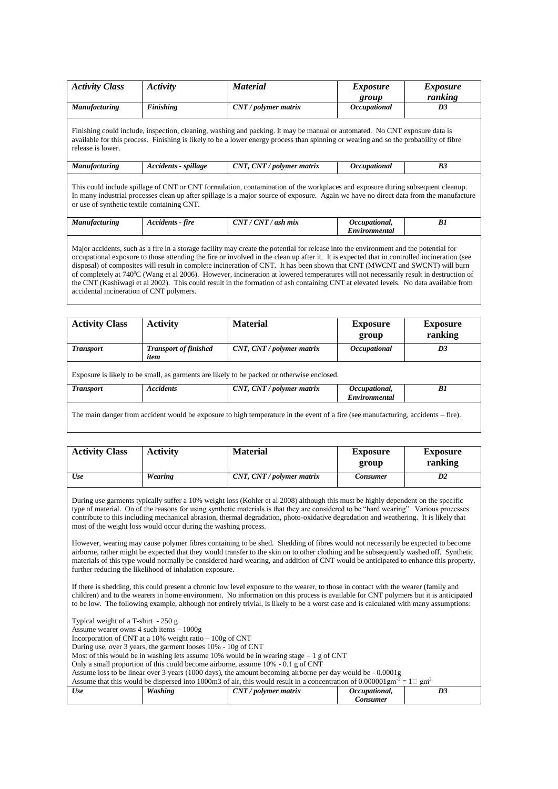| <b>Activity Class</b> | Activity                                                                                                                                                                                                                                                                                                               | <b>Material</b>                                                                                                                                                                                                                                                     | <i>Exposure</i><br>group       | <i>Exposure</i><br>ranking |  |  |
|-----------------------|------------------------------------------------------------------------------------------------------------------------------------------------------------------------------------------------------------------------------------------------------------------------------------------------------------------------|---------------------------------------------------------------------------------------------------------------------------------------------------------------------------------------------------------------------------------------------------------------------|--------------------------------|----------------------------|--|--|
| <b>Manufacturing</b>  | <b>Finishing</b>                                                                                                                                                                                                                                                                                                       | $CNT$ / polymer matrix                                                                                                                                                                                                                                              | Occupational                   | D3                         |  |  |
| release is lower.     |                                                                                                                                                                                                                                                                                                                        | Finishing could include, inspection, cleaning, washing and packing. It may be manual or automated. No CNT exposure data is<br>available for this process. Finishing is likely to be a lower energy process than spinning or wearing and so the probability of fibre |                                |                            |  |  |
| <b>Manufacturing</b>  | Accidents - spillage                                                                                                                                                                                                                                                                                                   | CNT, CNT / polymer matrix                                                                                                                                                                                                                                           | <i><b>Occupational</b></i>     | B <sub>3</sub>             |  |  |
|                       | This could include spillage of CNT or CNT formulation, contamination of the workplaces and exposure during subsequent cleanup.<br>In many industrial processes clean up after spillage is a major source of exposure. Again we have no direct data from the manufacture<br>or use of synthetic textile containing CNT. |                                                                                                                                                                                                                                                                     |                                |                            |  |  |
| <b>Manufacturing</b>  | Accidents - fire                                                                                                                                                                                                                                                                                                       | $CNT / CNT / ash$ mix                                                                                                                                                                                                                                               | Occupational,<br>Environmental | B1                         |  |  |
|                       | Major accidents, such as a fire in a storage facility may create the potential for release into the environment and the potential for<br>्रमंत्र के प्रति का सामने के लिए में से समाज के लिए मामले के प्रति के प्रति के प्रति के प्रति के समाज में में                                                                 |                                                                                                                                                                                                                                                                     |                                |                            |  |  |

occupational exposure to those attending the fire or involved in the clean up after it. It is expected that in controlled incineration (see disposal) of composites will result in complete incineration of CNT. It has been shown that CNT (MWCNT and SWCNT) will burn of completely at 740<sup>o</sup>C (Wang et al 2006). However, incineration at lowered temperatures will not necessarily result in destruction of the CNT (Kashiwagi et al 2002). This could result in the formation of ash containing CNT at elevated levels. No data available from accidental incineration of CNT polymers.

| <b>Activity Class</b> | <b>Activity</b>                      | <b>Material</b>                                                                            | <b>Exposure</b><br>group       | <b>Exposure</b><br>ranking |
|-----------------------|--------------------------------------|--------------------------------------------------------------------------------------------|--------------------------------|----------------------------|
| <b>Transport</b>      | <b>Transport of finished</b><br>item | CNT, CNT / polymer matrix                                                                  | <i><b>Occupational</b></i>     | D3                         |
|                       |                                      | Exposure is likely to be small, as garments are likely to be packed or otherwise enclosed. |                                |                            |
| <b>Transport</b>      | <b>Accidents</b>                     | CNT, CNT / polymer matrix                                                                  | Occupational,<br>Environmental | B1                         |
|                       |                                      |                                                                                            |                                |                            |

The main danger from accident would be exposure to high temperature in the event of a fire (see manufacturing, accidents – fire).

| <b>Activity Class</b> | <b>Activity</b> | <b>Material</b>           | <b>Exposure</b><br>group | <b>Exposure</b><br>ranking |
|-----------------------|-----------------|---------------------------|--------------------------|----------------------------|
| Use                   | Wearing         | CNT, CNT / polymer matrix | Consumer                 | D2                         |

During use garments typically suffer a 10% weight loss (Kohler et al 2008) although this must be highly dependent on the specific type of material. On of the reasons for using synthetic materials is that they are considered to be "hard wearing". Various processes contribute to this including mechanical abrasion, thermal degradation, photo-oxidative degradation and weathering. It is likely that most of the weight loss would occur during the washing process.

However, wearing may cause polymer fibres containing to be shed. Shedding of fibres would not necessarily be expected to become airborne, rather might be expected that they would transfer to the skin on to other clothing and be subsequently washed off. Synthetic materials of this type would normally be considered hard wearing, and addition of CNT would be anticipated to enhance this property, further reducing the likelihood of inhalation exposure.

If there is shedding, this could present a chronic low level exposure to the wearer, to those in contact with the wearer (family and children) and to the wearers in home environment. No information on this process is available for CNT polymers but it is anticipated to be low. The following example, although not entirely trivial, is likely to be a worst case and is calculated with many assumptions:

Typical weight of a T-shirt - 250 g Assume wearer owns 4 such items – 1000g Incorporation of CNT at a 10% weight ratio – 100g of CNT During use, over 3 years, the garment looses 10% - 10g of CNT Most of this would be in washing lets assume  $10\%$  would be in wearing stage  $-1$  g of CNT Only a small proportion of this could become airborne, assume 10% - 0.1 g of CNT Assume loss to be linear over 3 years (1000 days), the amount becoming airborne per day would be - 0.0001g Assume that this would be dispersed into 1000m3 of air, this would result in a concentration of 0.000001gm  $1 \square$  om<sup>3</sup> *Use Washing CNT / polymer matrix Occupational, Consumer D3*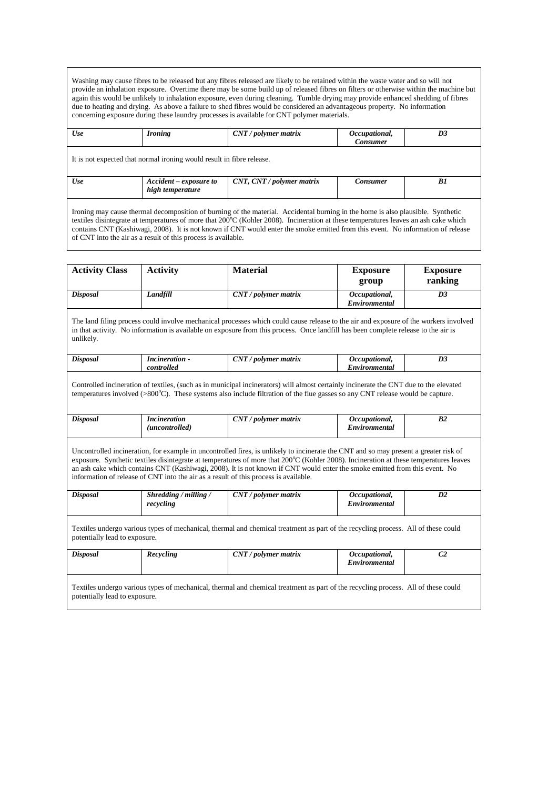Washing may cause fibres to be released but any fibres released are likely to be retained within the waste water and so will not provide an inhalation exposure. Overtime there may be some build up of released fibres on filters or otherwise within the machine but again this would be unlikely to inhalation exposure, even during cleaning. Tumble drying may provide enhanced shedding of fibres due to heating and drying. As above a failure to shed fibres would be considered an advantageous property. No information concerning exposure during these laundry processes is available for CNT polymer materials.

| Use | <i>Ironing</i>                                                        | $CNT$ / polymer matrix                                                                                                          | Occupational,<br><b>Consumer</b> | D3 |
|-----|-----------------------------------------------------------------------|---------------------------------------------------------------------------------------------------------------------------------|----------------------------------|----|
|     | It is not expected that normal ironing would result in fibre release. |                                                                                                                                 |                                  |    |
| Use | Accident – exposure to<br>high temperature                            | $CNT$ , $CNT$ / polymer matrix                                                                                                  | Consumer                         | B1 |
|     |                                                                       | Ironing may cause thermal decomposition of burning of the meterial. Accidental burning in the home is also plaugible. Synthetic |                                  |    |

Ironing may cause thermal decomposition of burning of the material. Accidental burning in the home is also plausible. Synthetic textiles disintegrate at temperatures of more that 200°C (Kohler 2008). Incineration at these temperatures leaves an ash cake which contains CNT (Kashiwagi, 2008). It is not known if CNT would enter the smoke emitted from this event. No information of release of CNT into the air as a result of this process is available.

| <b>Activity Class</b>         | <b>Activity</b>                                                                      | <b>Material</b>                                                                                                                                                                                                                                                                                                                                                                                             | <b>Exposure</b><br>group              | <b>Exposure</b><br>ranking |
|-------------------------------|--------------------------------------------------------------------------------------|-------------------------------------------------------------------------------------------------------------------------------------------------------------------------------------------------------------------------------------------------------------------------------------------------------------------------------------------------------------------------------------------------------------|---------------------------------------|----------------------------|
| <b>Disposal</b>               | Landfill                                                                             | $CNT$ / polymer matrix                                                                                                                                                                                                                                                                                                                                                                                      | Occupational,<br>Environmental        | D <sub>3</sub>             |
| unlikely.                     |                                                                                      | The land filing process could involve mechanical processes which could cause release to the air and exposure of the workers involved<br>in that activity. No information is available on exposure from this process. Once landfill has been complete release to the air is                                                                                                                                  |                                       |                            |
| <b>Disposal</b>               | <b>Incineration</b> -<br>controlled                                                  | $CNT$ / polymer matrix                                                                                                                                                                                                                                                                                                                                                                                      | Occupational,<br>Environmental        | D <sub>3</sub>             |
|                               |                                                                                      | Controlled incineration of textiles, (such as in municipal incinerators) will almost certainly incinerate the CNT due to the elevated<br>temperatures involved $(>800^{\circ}C)$ . These systems also include filtration of the flue gasses so any CNT release would be capture.                                                                                                                            |                                       |                            |
| <b>Disposal</b>               | <i>Incineration</i><br>(uncontrolled)                                                | $CNT$ / polymer matrix                                                                                                                                                                                                                                                                                                                                                                                      | Occupational,<br>Environmental        | B <sub>2</sub>             |
|                               | information of release of CNT into the air as a result of this process is available. | Uncontrolled incineration, for example in uncontrolled fires, is unlikely to incinerate the CNT and so may present a greater risk of<br>exposure. Synthetic textiles disintegrate at temperatures of more that 200°C (Kohler 2008). Incineration at these temperatures leaves<br>an ash cake which contains CNT (Kashiwagi, 2008). It is not known if CNT would enter the smoke emitted from this event. No |                                       |                            |
| <b>Disposal</b>               | Shredding / milling /<br>recycling                                                   | $CNT$ / polymer matrix                                                                                                                                                                                                                                                                                                                                                                                      | Occupational,<br>Environmental        | D2                         |
| potentially lead to exposure. |                                                                                      | Textiles undergo various types of mechanical, thermal and chemical treatment as part of the recycling process. All of these could                                                                                                                                                                                                                                                                           |                                       |                            |
| <b>Disposal</b>               | Recycling                                                                            | $CNT$ / polymer matrix                                                                                                                                                                                                                                                                                                                                                                                      | Occupational,<br><b>Environmental</b> | C <sub>2</sub>             |

Textiles undergo various types of mechanical, thermal and chemical treatment as part of the recycling process. All of these could potentially lead to exposure.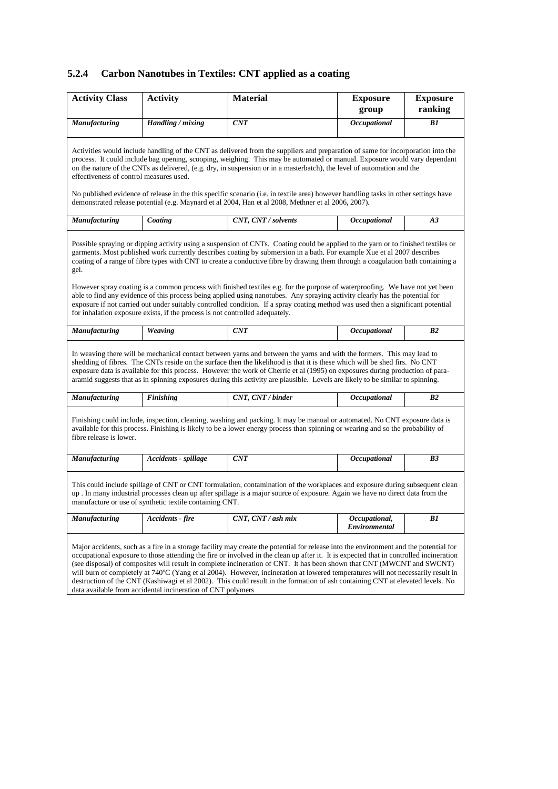# **5.2.4 Carbon Nanotubes in Textiles: CNT applied as a coating**

| <b>Activity Class</b>                   | <b>Activity</b>                                                              | <b>Material</b>                                                                                                                                                                                                                                                                                                                                                                                                                                                                                                                                                                                                                                                                                                                                                                                     | <b>Exposure</b><br>group       | <b>Exposure</b><br>ranking |
|-----------------------------------------|------------------------------------------------------------------------------|-----------------------------------------------------------------------------------------------------------------------------------------------------------------------------------------------------------------------------------------------------------------------------------------------------------------------------------------------------------------------------------------------------------------------------------------------------------------------------------------------------------------------------------------------------------------------------------------------------------------------------------------------------------------------------------------------------------------------------------------------------------------------------------------------------|--------------------------------|----------------------------|
| Manufacturing                           | Handling / mixing                                                            | <b>CNT</b>                                                                                                                                                                                                                                                                                                                                                                                                                                                                                                                                                                                                                                                                                                                                                                                          | Occupational                   | B1                         |
| effectiveness of control measures used. |                                                                              | Activities would include handling of the CNT as delivered from the suppliers and preparation of same for incorporation into the<br>process. It could include bag opening, scooping, weighing. This may be automated or manual. Exposure would vary dependant<br>on the nature of the CNTs as delivered, (e.g. dry, in suspension or in a masterbatch), the level of automation and the<br>No published evidence of release in the this specific scenario (i.e. in textile area) however handling tasks in other settings have<br>demonstrated release potential (e.g. Maynard et al 2004, Han et al 2008, Methner et al 2006, 2007).                                                                                                                                                                |                                |                            |
| Manufacturing                           | Coating                                                                      | CNT, CNT / solvents                                                                                                                                                                                                                                                                                                                                                                                                                                                                                                                                                                                                                                                                                                                                                                                 | Occupational                   | A3                         |
| gel.                                    | for inhalation exposure exists, if the process is not controlled adequately. | Possible spraying or dipping activity using a suspension of CNTs. Coating could be applied to the yarn or to finished textiles or<br>garments. Most published work currently describes coating by submersion in a bath. For example Xue et al 2007 describes<br>coating of a range of fibre types with CNT to create a conductive fibre by drawing them through a coagulation bath containing a<br>However spray coating is a common process with finished textiles e.g. for the purpose of waterproofing. We have not yet been<br>able to find any evidence of this process being applied using nanotubes. Any spraying activity clearly has the potential for<br>exposure if not carried out under suitably controlled condition. If a spray coating method was used then a significant potential |                                |                            |
| Manufacturing                           | Weaving                                                                      | CNT                                                                                                                                                                                                                                                                                                                                                                                                                                                                                                                                                                                                                                                                                                                                                                                                 | Occupational                   | B <sub>2</sub>             |
|                                         |                                                                              | In weaving there will be mechanical contact between yarns and between the yarns and with the formers. This may lead to<br>shedding of fibres. The CNTs reside on the surface then the likelihood is that it is these which will be shed firs. No CNT<br>exposure data is available for this process. However the work of Cherrie et al (1995) on exposures during production of para-<br>aramid suggests that as in spinning exposures during this activity are plausible. Levels are likely to be similar to spinning.                                                                                                                                                                                                                                                                             |                                |                            |
| Manufacturing                           | <b>Finishing</b>                                                             | CNT, CNT / binder                                                                                                                                                                                                                                                                                                                                                                                                                                                                                                                                                                                                                                                                                                                                                                                   | Occupational                   | B2                         |
| fibre release is lower.                 |                                                                              | Finishing could include, inspection, cleaning, washing and packing. It may be manual or automated. No CNT exposure data is<br>available for this process. Finishing is likely to be a lower energy process than spinning or wearing and so the probability of                                                                                                                                                                                                                                                                                                                                                                                                                                                                                                                                       |                                |                            |
| Manufacturing                           | Accidents - spillage                                                         | CNT                                                                                                                                                                                                                                                                                                                                                                                                                                                                                                                                                                                                                                                                                                                                                                                                 | Occupational                   | B <sub>3</sub>             |
|                                         | manufacture or use of synthetic textile containing CNT.                      | This could include spillage of CNT or CNT formulation, contamination of the workplaces and exposure during subsequent clean<br>up. In many industrial processes clean up after spillage is a major source of exposure. Again we have no direct data from the                                                                                                                                                                                                                                                                                                                                                                                                                                                                                                                                        |                                |                            |
| Manufacturing                           | Accidents - fire                                                             | $CNT$ , $CNT$ / ash mix                                                                                                                                                                                                                                                                                                                                                                                                                                                                                                                                                                                                                                                                                                                                                                             | Occupational,<br>Environmental | B1                         |
|                                         |                                                                              | Major accidents, such as a fire in a storage facility may create the potential for release into the environment and the potential for<br>occupational exposure to those attending the fire or involved in the clean up after it. It is expected that in controlled incineration<br>(see disposal) of composites will result in complete incineration of CNT. It has been shown that CNT (MWCNT and SWCNT)<br>will burn of completely at 740°C (Yang et al 2004). However, incineration at lowered temperatures will not necessarily result in<br>destruction of the CNT (Kashiwagi et al 2002). This could result in the formation of ash containing CNT at elevated levels. No                                                                                                                     |                                |                            |

data available from accidental incineration of CNT polymers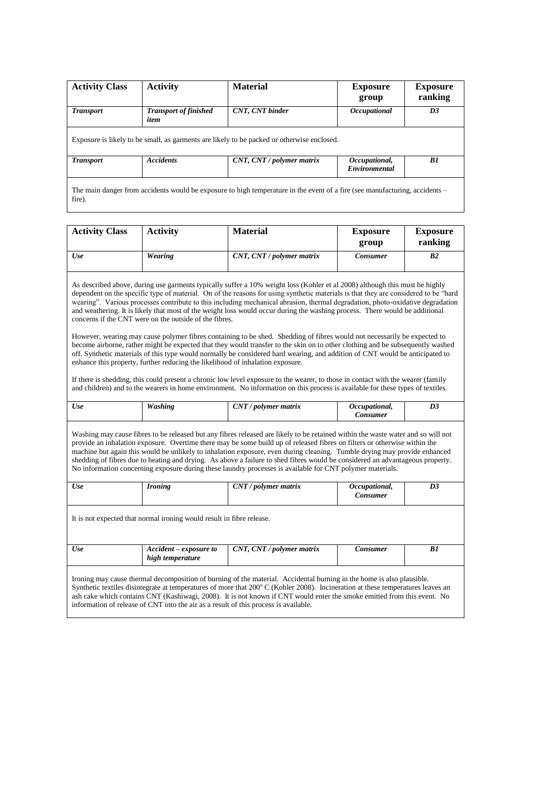| <b>Activity Class</b> | <b>Activity</b>                      | <b>Material</b>                                                                            | <b>Exposure</b><br>group       | <b>Exposure</b><br>ranking |
|-----------------------|--------------------------------------|--------------------------------------------------------------------------------------------|--------------------------------|----------------------------|
| <b>Transport</b>      | <b>Transport of finished</b><br>item | CNT, CNT binder                                                                            | <i><b>Occupational</b></i>     | D3                         |
|                       |                                      | Exposure is likely to be small, as garments are likely to be packed or otherwise enclosed. |                                |                            |
| <b>Transport</b>      | <b>Accidents</b>                     | CNT, CNT / polymer matrix                                                                  | Occupational,<br>Environmental | B1                         |
|                       |                                      |                                                                                            |                                |                            |

The main danger from accidents would be exposure to high temperature in the event of a fire (see manufacturing, accidents – fire).

| <b>Activity Class</b> | Activity | <b>Material</b>           | <b>Exposure</b><br>group | <b>Exposure</b><br>ranking |
|-----------------------|----------|---------------------------|--------------------------|----------------------------|
| Use                   | Wearing  | CNT, CNT / polymer matrix | Consumer                 | B2                         |

As described above, during use garments typically suffer a 10% weight loss (Kohler et al 2008) although this must be highly dependent on the specific type of material. On of the reasons for using synthetic materials is that they are considered to be "hard wearing". Various processes contribute to this including mechanical abrasion, thermal degradation, photo-oxidative degradation and weathering. It is likely that most of the weight loss would occur during the washing process. There would be additional concerns if the CNT were on the outside of the fibres.

However, wearing may cause polymer fibres containing to be shed. Shedding of fibres would not necessarily be expected to become airborne, rather might be expected that they would transfer to the skin on to other clothing and be subsequently washed off. Synthetic materials of this type would normally be considered hard wearing, and addition of CNT would be anticipated to enhance this property, further reducing the likelihood of inhalation exposure.

If there is shedding, this could present a chronic low level exposure to the wearer, to those in contact with the wearer (family and children) and to the wearers in home environment. No information on this process is available for these types of textiles.

| Use | <b>Washing</b>                                                        | $CNT$ / polymer matrix                                                                                                                                                                                                                                                                                                                                                                                                                                                                                                                                                                                                                   | Occupational,<br><b>Consumer</b> | D <sub>3</sub> |
|-----|-----------------------------------------------------------------------|------------------------------------------------------------------------------------------------------------------------------------------------------------------------------------------------------------------------------------------------------------------------------------------------------------------------------------------------------------------------------------------------------------------------------------------------------------------------------------------------------------------------------------------------------------------------------------------------------------------------------------------|----------------------------------|----------------|
|     |                                                                       | Washing may cause fibres to be released but any fibres released are likely to be retained within the waste water and so will not<br>provide an inhalation exposure. Overtime there may be some build up of released fibres on filters or otherwise within the<br>machine but again this would be unlikely to inhalation exposure, even during cleaning. Tumble drying may provide enhanced<br>shedding of fibres due to heating and drying. As above a failure to shed fibres would be considered an advantageous property.<br>No information concerning exposure during these laundry processes is available for CNT polymer materials. |                                  |                |
| Use | <b>Ironing</b>                                                        | $CNT$ / polymer matrix                                                                                                                                                                                                                                                                                                                                                                                                                                                                                                                                                                                                                   | Occupational,<br><b>Consumer</b> | D3             |
|     | It is not expected that normal ironing would result in fibre release. |                                                                                                                                                                                                                                                                                                                                                                                                                                                                                                                                                                                                                                          |                                  |                |

ash cake which contains CNT (Kashiwagi, 2008). It is not known if CNT would enter the smoke emitted from this event. No information of release of CNT into the air as a result of this process is available.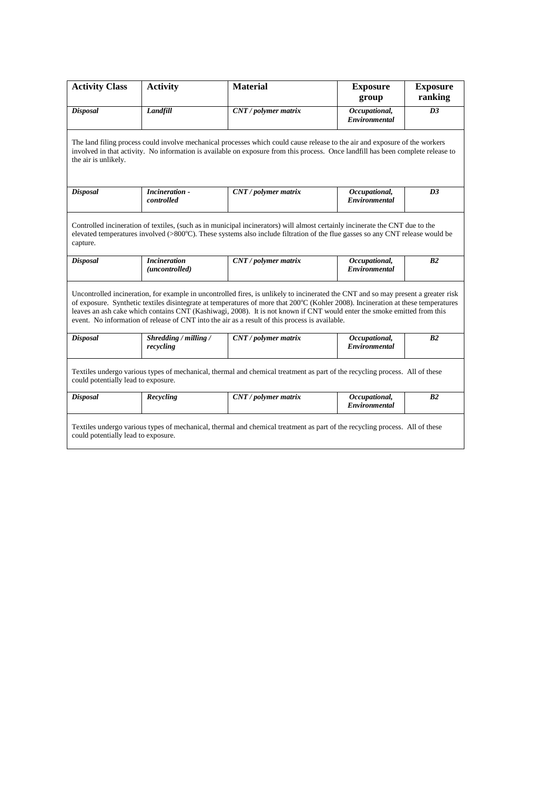| <b>Activity Class</b>                                                                                                                                                                                                                                                                                                                                                                                                                                                                                | <b>Activity</b>                                                                                                                                                                                                                                                         | <b>Material</b>        | <b>Exposure</b><br>group              | <b>Exposure</b><br>ranking |  |  |  |  |
|------------------------------------------------------------------------------------------------------------------------------------------------------------------------------------------------------------------------------------------------------------------------------------------------------------------------------------------------------------------------------------------------------------------------------------------------------------------------------------------------------|-------------------------------------------------------------------------------------------------------------------------------------------------------------------------------------------------------------------------------------------------------------------------|------------------------|---------------------------------------|----------------------------|--|--|--|--|
| <b>Disposal</b>                                                                                                                                                                                                                                                                                                                                                                                                                                                                                      | Landfill                                                                                                                                                                                                                                                                | CNT / polymer matrix   | Occupational,<br><b>Environmental</b> | D <sub>3</sub>             |  |  |  |  |
| The land filing process could involve mechanical processes which could cause release to the air and exposure of the workers<br>involved in that activity. No information is available on exposure from this process. Once landfill has been complete release to<br>the air is unlikely.                                                                                                                                                                                                              |                                                                                                                                                                                                                                                                         |                        |                                       |                            |  |  |  |  |
| <b>Disposal</b>                                                                                                                                                                                                                                                                                                                                                                                                                                                                                      | <b>Incineration</b> -<br>controlled                                                                                                                                                                                                                                     | CNT / polymer matrix   | Occupational,<br>Environmental        | D <sub>3</sub>             |  |  |  |  |
| capture.                                                                                                                                                                                                                                                                                                                                                                                                                                                                                             | Controlled incineration of textiles, (such as in municipal incinerators) will almost certainly incinerate the CNT due to the<br>elevated temperatures involved $(>800^{\circ}C)$ . These systems also include filtration of the flue gasses so any CNT release would be |                        |                                       |                            |  |  |  |  |
| <b>Disposal</b>                                                                                                                                                                                                                                                                                                                                                                                                                                                                                      | <b>Incineration</b><br>(uncontrolled)                                                                                                                                                                                                                                   | CNT / polymer matrix   | Occupational,<br>Environmental        | B <sub>2</sub>             |  |  |  |  |
| Uncontrolled incineration, for example in uncontrolled fires, is unlikely to incinerated the CNT and so may present a greater risk<br>of exposure. Synthetic textiles disintegrate at temperatures of more that 200°C (Kohler 2008). Incineration at these temperatures<br>leaves an ash cake which contains CNT (Kashiwagi, 2008). It is not known if CNT would enter the smoke emitted from this<br>event. No information of release of CNT into the air as a result of this process is available. |                                                                                                                                                                                                                                                                         |                        |                                       |                            |  |  |  |  |
| <b>Disposal</b>                                                                                                                                                                                                                                                                                                                                                                                                                                                                                      | Shredding / milling /<br>recycling                                                                                                                                                                                                                                      | CNT / polymer matrix   | Occupational,<br>Environmental        | B <sub>2</sub>             |  |  |  |  |
| Textiles undergo various types of mechanical, thermal and chemical treatment as part of the recycling process. All of these<br>could potentially lead to exposure.                                                                                                                                                                                                                                                                                                                                   |                                                                                                                                                                                                                                                                         |                        |                                       |                            |  |  |  |  |
| <b>Disposal</b>                                                                                                                                                                                                                                                                                                                                                                                                                                                                                      | Recycling                                                                                                                                                                                                                                                               | $CNT$ / polymer matrix | Occupational,<br>Environmental        | B <sub>2</sub>             |  |  |  |  |
| Textiles undergo various types of mechanical, thermal and chemical treatment as part of the recycling process. All of these<br>could potentially lead to exposure.                                                                                                                                                                                                                                                                                                                                   |                                                                                                                                                                                                                                                                         |                        |                                       |                            |  |  |  |  |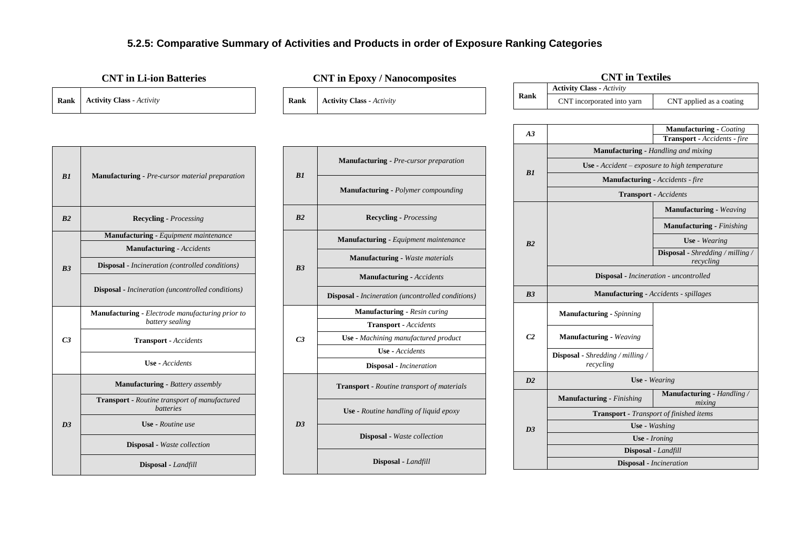# **5.2.5: Comparative Summary of Activities and Products in order of Exposure Ranking Categories**

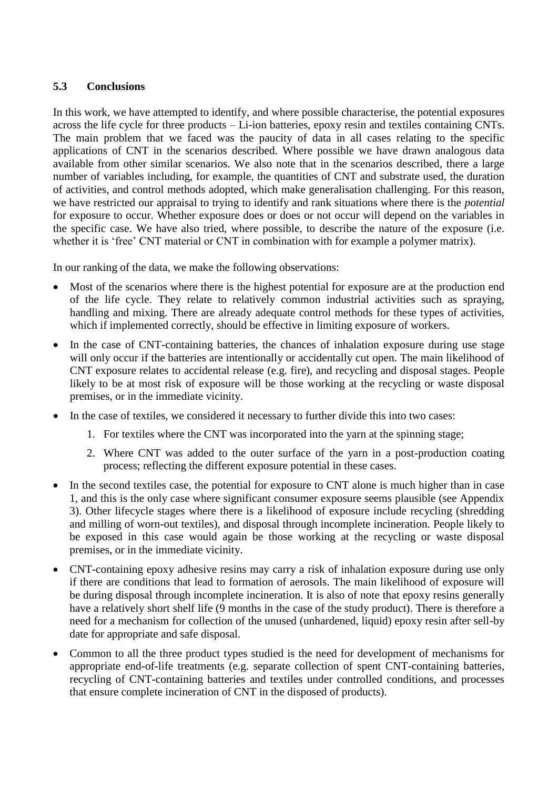# **5.3 Conclusions**

In this work, we have attempted to identify, and where possible characterise, the potential exposures across the life cycle for three products – Li-ion batteries, epoxy resin and textiles containing CNTs. The main problem that we faced was the paucity of data in all cases relating to the specific applications of CNT in the scenarios described. Where possible we have drawn analogous data available from other similar scenarios. We also note that in the scenarios described, there a large number of variables including, for example, the quantities of CNT and substrate used, the duration of activities, and control methods adopted, which make generalisation challenging. For this reason, we have restricted our appraisal to trying to identify and rank situations where there is the *potential*  for exposure to occur. Whether exposure does or does or not occur will depend on the variables in the specific case. We have also tried, where possible, to describe the nature of the exposure (i.e. whether it is 'free' CNT material or CNT in combination with for example a polymer matrix).

In our ranking of the data, we make the following observations:

- Most of the scenarios where there is the highest potential for exposure are at the production end of the life cycle. They relate to relatively common industrial activities such as spraying, handling and mixing. There are already adequate control methods for these types of activities, which if implemented correctly, should be effective in limiting exposure of workers.
- In the case of CNT-containing batteries, the chances of inhalation exposure during use stage will only occur if the batteries are intentionally or accidentally cut open. The main likelihood of CNT exposure relates to accidental release (e.g. fire), and recycling and disposal stages. People likely to be at most risk of exposure will be those working at the recycling or waste disposal premises, or in the immediate vicinity.
- In the case of textiles, we considered it necessary to further divide this into two cases:
	- 1. For textiles where the CNT was incorporated into the yarn at the spinning stage;
	- 2. Where CNT was added to the outer surface of the yarn in a post-production coating process; reflecting the different exposure potential in these cases.
- In the second textiles case, the potential for exposure to CNT alone is much higher than in case 1, and this is the only case where significant consumer exposure seems plausible (see Appendix 3). Other lifecycle stages where there is a likelihood of exposure include recycling (shredding and milling of worn-out textiles), and disposal through incomplete incineration. People likely to be exposed in this case would again be those working at the recycling or waste disposal premises, or in the immediate vicinity.
- CNT-containing epoxy adhesive resins may carry a risk of inhalation exposure during use only if there are conditions that lead to formation of aerosols. The main likelihood of exposure will be during disposal through incomplete incineration. It is also of note that epoxy resins generally have a relatively short shelf life (9 months in the case of the study product). There is therefore a need for a mechanism for collection of the unused (unhardened, liquid) epoxy resin after sell-by date for appropriate and safe disposal.
- Common to all the three product types studied is the need for development of mechanisms for appropriate end-of-life treatments (e.g. separate collection of spent CNT-containing batteries, recycling of CNT-containing batteries and textiles under controlled conditions, and processes that ensure complete incineration of CNT in the disposed of products).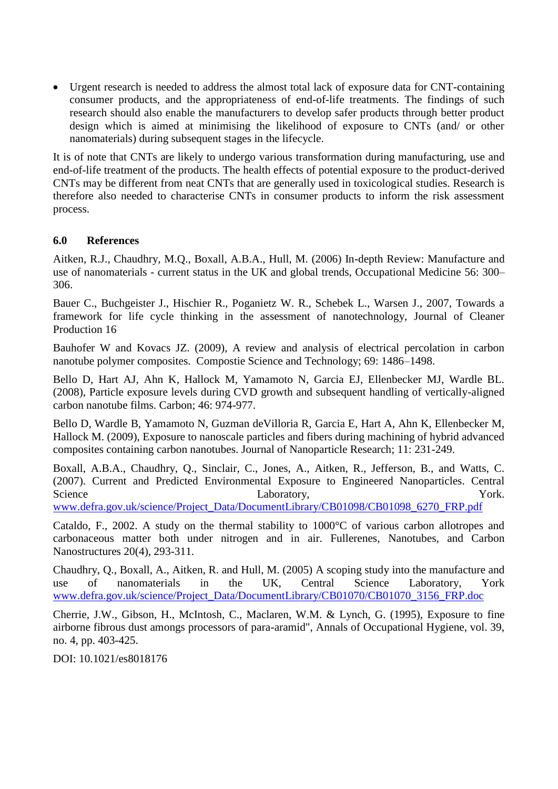Urgent research is needed to address the almost total lack of exposure data for CNT-containing consumer products, and the appropriateness of end-of-life treatments. The findings of such research should also enable the manufacturers to develop safer products through better product design which is aimed at minimising the likelihood of exposure to CNTs (and/ or other nanomaterials) during subsequent stages in the lifecycle.

It is of note that CNTs are likely to undergo various transformation during manufacturing, use and end-of-life treatment of the products. The health effects of potential exposure to the product-derived CNTs may be different from neat CNTs that are generally used in toxicological studies. Research is therefore also needed to characterise CNTs in consumer products to inform the risk assessment process.

# **6.0 References**

Aitken, R.J., Chaudhry, M.Q., Boxall, A.B.A., Hull, M. (2006) In-depth Review: Manufacture and use of nanomaterials - current status in the UK and global trends, Occupational Medicine 56: 300– 306.

Bauer C., Buchgeister J., Hischier R., Poganietz W. R., Schebek L., Warsen J., 2007, Towards a framework for life cycle thinking in the assessment of nanotechnology, Journal of Cleaner Production 16

Bauhofer W and Kovacs JZ. (2009), A review and analysis of electrical percolation in carbon nanotube polymer composites. Compostie Science and Technology; 69: 1486–1498.

Bello D, Hart AJ, Ahn K, Hallock M, Yamamoto N, Garcia EJ, Ellenbecker MJ, Wardle BL. (2008), Particle exposure levels during CVD growth and subsequent handling of vertically-aligned carbon nanotube films. Carbon; 46: 974-977.

Bello D, Wardle B, Yamamoto N, Guzman deVilloria R, Garcia E, Hart A, Ahn K, Ellenbecker M, Hallock M. (2009), Exposure to nanoscale particles and fibers during machining of hybrid advanced composites containing carbon nanotubes. Journal of Nanoparticle Research; 11: 231-249.

Boxall, A.B.A., Chaudhry, Q., Sinclair, C., Jones, A., Aitken, R., Jefferson, B., and Watts, C. (2007). Current and Predicted Environmental Exposure to Engineered Nanoparticles. Central Science **Laboratory**, **Example 20** Laboratory, **Example 20** York.

[www.defra.gov.uk/science/Project\\_Data/DocumentLibrary/CB01098/CB01098\\_6270\\_FRP.pdf](http://www.defra.gov.uk/science/Project_Data/DocumentLibrary/CB01098/CB01098_6270_FRP.pdf)

Cataldo, F., 2002. A study on the thermal stability to 1000°C of various carbon allotropes and carbonaceous matter both under nitrogen and in air. Fullerenes, Nanotubes, and Carbon Nanostructures 20(4), 293-311.

Chaudhry, Q., Boxall, A., Aitken, R. and Hull, M. (2005) A scoping study into the manufacture and use of nanomaterials in the UK, Central Science Laboratory, York [www.defra.gov.uk/science/Project\\_Data/DocumentLibrary/CB01070/CB01070\\_3156\\_FRP.doc](http://www.defra.gov.uk/science/Project_Data/DocumentLibrary/CB01070/CB01070_3156_FRP.doc)

Cherrie, J.W., Gibson, H., McIntosh, C., Maclaren, W.M. & Lynch, G. (1995), Exposure to fine airborne fibrous dust amongs processors of para-aramid", Annals of Occupational Hygiene, vol. 39, no. 4, pp. 403-425.

DOI: 10.1021/es8018176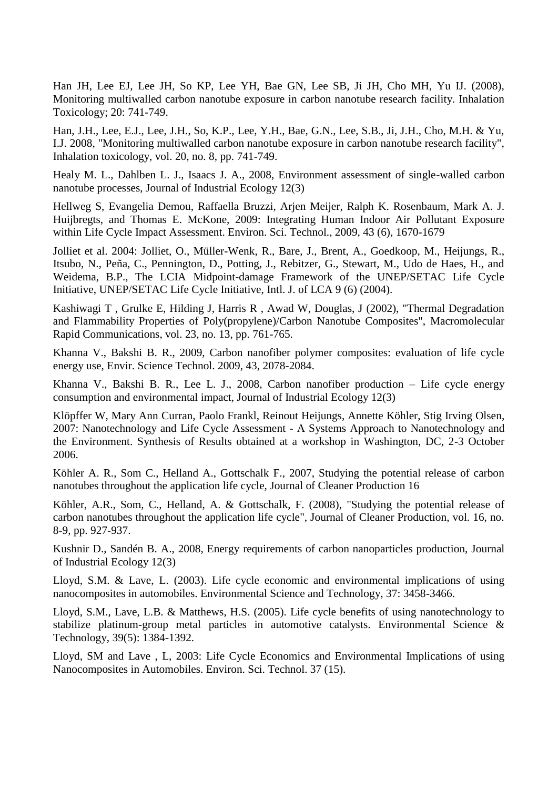Han JH, Lee EJ, Lee JH, So KP, Lee YH, Bae GN, Lee SB, Ji JH, Cho MH, Yu IJ. (2008), Monitoring multiwalled carbon nanotube exposure in carbon nanotube research facility. Inhalation Toxicology; 20: 741-749.

Han, J.H., Lee, E.J., Lee, J.H., So, K.P., Lee, Y.H., Bae, G.N., Lee, S.B., Ji, J.H., Cho, M.H. & Yu, I.J. 2008, "Monitoring multiwalled carbon nanotube exposure in carbon nanotube research facility", Inhalation toxicology, vol. 20, no. 8, pp. 741-749.

Healy M. L., Dahlben L. J., Isaacs J. A., 2008, Environment assessment of single-walled carbon nanotube processes, Journal of Industrial Ecology 12(3)

Hellweg S, Evangelia Demou, Raffaella Bruzzi, Arjen Meijer, Ralph K. Rosenbaum, Mark A. J. Huijbregts, and Thomas E. McKone, 2009: Integrating Human Indoor Air Pollutant Exposure within Life Cycle Impact Assessment. Environ. Sci. Technol., 2009, 43 (6), 1670-1679

Jolliet et al. 2004: Jolliet, O., Müller-Wenk, R., Bare, J., Brent, A., Goedkoop, M., Heijungs, R., Itsubo, N., Peña, C., Pennington, D., Potting, J., Rebitzer, G., Stewart, M., Udo de Haes, H., and Weidema, B.P., The LCIA Midpoint-damage Framework of the UNEP/SETAC Life Cycle Initiative, UNEP/SETAC Life Cycle Initiative, Intl. J. of LCA 9 (6) (2004).

Kashiwagi T , Grulke E, Hilding J, Harris R , Awad W, Douglas, J (2002), "Thermal Degradation and Flammability Properties of Poly(propylene)/Carbon Nanotube Composites", Macromolecular Rapid Communications, vol. 23, no. 13, pp. 761-765.

Khanna V., Bakshi B. R., 2009, Carbon nanofiber polymer composites: evaluation of life cycle energy use, Envir. Science Technol. 2009, 43, 2078-2084.

Khanna V., Bakshi B. R., Lee L. J., 2008, Carbon nanofiber production – Life cycle energy consumption and environmental impact, Journal of Industrial Ecology 12(3)

Klöpffer W, Mary Ann Curran, Paolo Frankl, Reinout Heijungs, Annette Köhler, Stig Irving Olsen, 2007: Nanotechnology and Life Cycle Assessment - A Systems Approach to Nanotechnology and the Environment. Synthesis of Results obtained at a workshop in Washington, DC, 2-3 October 2006.

Köhler A. R., Som C., Helland A., Gottschalk F., 2007, Studying the potential release of carbon nanotubes throughout the application life cycle, Journal of Cleaner Production 16

Köhler, A.R., Som, C., Helland, A. & Gottschalk, F. (2008), "Studying the potential release of carbon nanotubes throughout the application life cycle", Journal of Cleaner Production, vol. 16, no. 8-9, pp. 927-937.

Kushnir D., Sandén B. A., 2008, Energy requirements of carbon nanoparticles production, Journal of Industrial Ecology 12(3)

Lloyd, S.M. & Lave, L. (2003). Life cycle economic and environmental implications of using nanocomposites in automobiles. Environmental Science and Technology, 37: 3458-3466.

Lloyd, S.M., Lave, L.B. & Matthews, H.S. (2005). Life cycle benefits of using nanotechnology to stabilize platinum-group metal particles in automotive catalysts. Environmental Science & Technology, 39(5): 1384-1392.

Lloyd, SM and Lave , L, 2003: Life Cycle Economics and Environmental Implications of using Nanocomposites in Automobiles. Environ. Sci. Technol. 37 (15).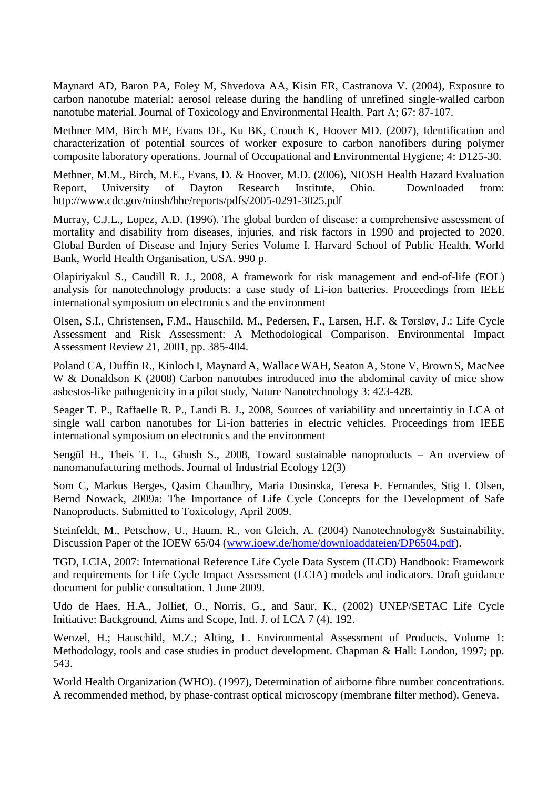Maynard AD, Baron PA, Foley M, Shvedova AA, Kisin ER, Castranova V. (2004), Exposure to carbon nanotube material: aerosol release during the handling of unrefined single-walled carbon nanotube material. Journal of Toxicology and Environmental Health. Part A; 67: 87-107.

Methner MM, Birch ME, Evans DE, Ku BK, Crouch K, Hoover MD. (2007), Identification and characterization of potential sources of worker exposure to carbon nanofibers during polymer composite laboratory operations. Journal of Occupational and Environmental Hygiene; 4: D125-30.

Methner, M.M., Birch, M.E., Evans, D. & Hoover, M.D. (2006), NIOSH Health Hazard Evaluation Report, University of Dayton Research Institute, Ohio. Downloaded from: http://www.cdc.gov/niosh/hhe/reports/pdfs/2005-0291-3025.pdf

Murray, C.J.L., Lopez, A.D. (1996). The global burden of disease: a comprehensive assessment of mortality and disability from diseases, injuries, and risk factors in 1990 and projected to 2020. Global Burden of Disease and Injury Series Volume I. Harvard School of Public Health, World Bank, World Health Organisation, USA. 990 p.

Olapiriyakul S., Caudill R. J., 2008, A framework for risk management and end-of-life (EOL) analysis for nanotechnology products: a case study of Li-ion batteries. Proceedings from IEEE international symposium on electronics and the environment

Olsen, S.I., Christensen, F.M., Hauschild, M., Pedersen, F., Larsen, H.F. & Tørsløv, J.: [Life Cycle](file:///E:\sioInternetEIAR21.pdf)  [Assessment and Risk Assessment: A Methodological Comparison.](file:///E:\sioInternetEIAR21.pdf) Environmental Impact Assessment Review 21, 2001, pp. 385-404.

Poland CA, Duffin R., Kinloch I, Maynard A, Wallace WAH, Seaton A, Stone V, Brown S, MacNee W & Donaldson K (2008) Carbon nanotubes introduced into the abdominal cavity of mice show asbestos-like pathogenicity in a pilot study, Nature Nanotechnology 3: 423-428.

Seager T. P., Raffaelle R. P., Landi B. J., 2008, Sources of variability and uncertaintiy in LCA of single wall carbon nanotubes for Li-ion batteries in electric vehicles. Proceedings from IEEE international symposium on electronics and the environment

Sengül H., Theis T. L., Ghosh S., 2008, Toward sustainable nanoproducts – An overview of nanomanufacturing methods. Journal of Industrial Ecology 12(3)

Som C, Markus Berges, Qasim Chaudhry, Maria Dusinska, Teresa F. Fernandes, Stig I. Olsen, Bernd Nowack, 2009a: The Importance of Life Cycle Concepts for the Development of Safe Nanoproducts. Submitted to Toxicology, April 2009.

Steinfeldt, M., Petschow, U., Haum, R., von Gleich, A. (2004) Nanotechnology& Sustainability, Discussion Paper of the IOEW 65/04 [\(www.ioew.de/home/downloaddateien/DP6504.pdf\)](http://www.ioew.de/home/downloaddateien/DP6504.pdf).

TGD, LCIA, 2007: International Reference Life Cycle Data System (ILCD) Handbook: Framework and requirements for Life Cycle Impact Assessment (LCIA) models and indicators. Draft guidance document for public consultation. 1 June 2009.

Udo de Haes, H.A., Jolliet, O., Norris, G., and Saur, K., (2002) UNEP/SETAC Life Cycle Initiative: Background, Aims and Scope, Intl. J. of LCA 7 (4), 192.

Wenzel, H.; Hauschild, M.Z.; Alting, L. Environmental Assessment of Products. Volume 1: Methodology, tools and case studies in product development. Chapman & Hall: London, 1997; pp. 543.

World Health Organization (WHO). (1997), Determination of airborne fibre number concentrations. A recommended method, by phase-contrast optical microscopy (membrane filter method). Geneva.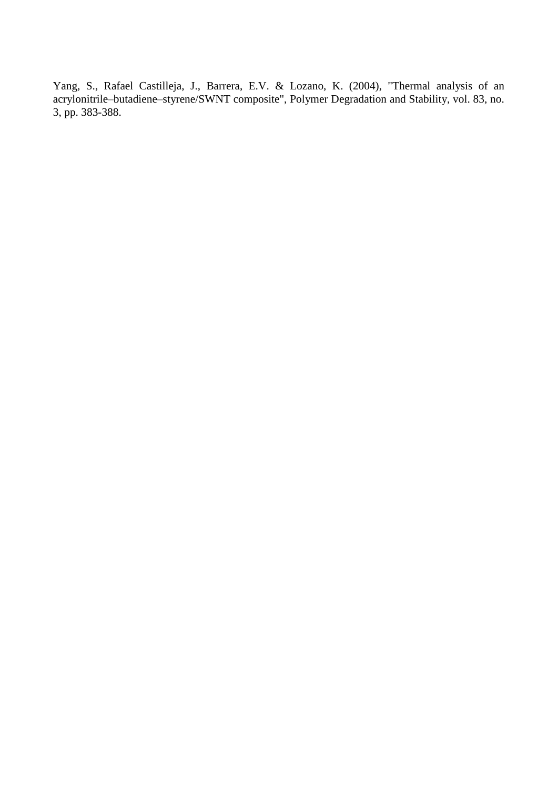Yang, S., Rafael Castilleja, J., Barrera, E.V. & Lozano, K. (2004), "Thermal analysis of an acrylonitrile–butadiene–styrene/SWNT composite", Polymer Degradation and Stability, vol. 83, no. 3, pp. 383-388.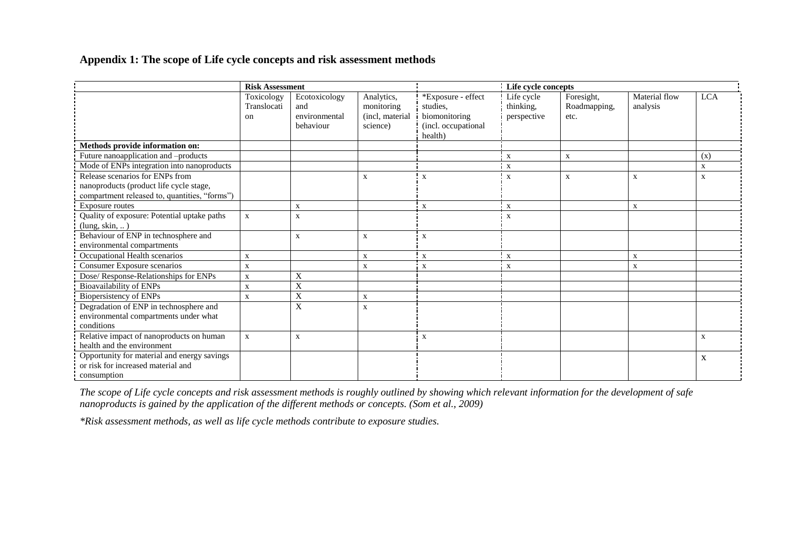**Appendix 1: The scope of Life cycle concepts and risk assessment methods**

|                                                                                                                             | <b>Risk Assessment</b>          |                                                    |                                                         |                                                                                   | Life cycle concepts                    |                                    |                           |             |
|-----------------------------------------------------------------------------------------------------------------------------|---------------------------------|----------------------------------------------------|---------------------------------------------------------|-----------------------------------------------------------------------------------|----------------------------------------|------------------------------------|---------------------------|-------------|
|                                                                                                                             | Toxicology<br>Translocati<br>on | Ecotoxicology<br>and<br>environmental<br>behaviour | Analytics,<br>monitoring<br>(incl. material<br>science) | *Exposure - effect<br>studies,<br>biomonitoring<br>(incl. occupational<br>health) | Life cycle<br>thinking,<br>perspective | Foresight,<br>Roadmapping,<br>etc. | Material flow<br>analysis | <b>LCA</b>  |
| Methods provide information on:                                                                                             |                                 |                                                    |                                                         |                                                                                   |                                        |                                    |                           |             |
| Future nanoapplication and -products                                                                                        |                                 |                                                    |                                                         |                                                                                   | X                                      | $\mathbf{x}$                       |                           | (x)         |
| Mode of ENPs integration into nanoproducts                                                                                  |                                 |                                                    |                                                         |                                                                                   | i X                                    |                                    |                           | $\mathbf X$ |
| Release scenarios for ENPs from<br>nanoproducts (product life cycle stage,<br>compartment released to, quantities, "forms") |                                 |                                                    | $\mathbf X$                                             | $\overline{\mathbf{x}}$                                                           | $\boldsymbol{\mathrm{x}}$              | $\mathbf X$                        | X                         | X           |
| Exposure routes                                                                                                             |                                 | X                                                  |                                                         | X                                                                                 | X                                      |                                    | $\mathbf{x}$              |             |
| Quality of exposure: Potential uptake paths<br>(lung, skin, )                                                               | $\mathbf X$                     | $\mathbf{x}$                                       |                                                         |                                                                                   | $\mathbf{x}$                           |                                    |                           |             |
| Behaviour of ENP in technosphere and<br>environmental compartments                                                          |                                 | $\mathbf X$                                        | $\mathbf X$                                             | $\mathbf X$                                                                       |                                        |                                    |                           |             |
| Occupational Health scenarios                                                                                               | $\mathbf X$                     |                                                    | $\mathbf X$                                             | $\mathbf X$                                                                       | $\mathbf x$                            |                                    | $\mathbf X$               |             |
| Consumer Exposure scenarios                                                                                                 | $\mathbf X$                     |                                                    | X                                                       | $\mathbf{x}$                                                                      | $\mathbf{x}$                           |                                    | X                         |             |
| Dose/ Response-Relationships for ENPs                                                                                       | $\mathbf X$                     | X                                                  |                                                         |                                                                                   |                                        |                                    |                           |             |
| Bioavailability of ENPs                                                                                                     | $\mathbf X$                     | X                                                  |                                                         |                                                                                   |                                        |                                    |                           |             |
| Biopersistency of ENPs                                                                                                      | $\mathbf{X}$                    | X                                                  | X                                                       |                                                                                   |                                        |                                    |                           |             |
| Degradation of ENP in technosphere and<br>environmental compartments under what<br>conditions                               |                                 | $\boldsymbol{\mathrm{X}}$                          | X                                                       |                                                                                   |                                        |                                    |                           |             |
| Relative impact of nanoproducts on human<br>health and the environment                                                      | $\mathbf X$                     | X                                                  |                                                         | $\mathbf X$                                                                       |                                        |                                    |                           | $\mathbf X$ |
| Opportunity for material and energy savings<br>or risk for increased material and<br>consumption                            |                                 |                                                    |                                                         |                                                                                   |                                        |                                    |                           | X           |

*The scope of Life cycle concepts and risk assessment methods is roughly outlined by showing which relevant information for the development of safe nanoproducts is gained by the application of the different methods or concepts. (Som et al., 2009)*

*\*Risk assessment methods, as well as life cycle methods contribute to exposure studies.*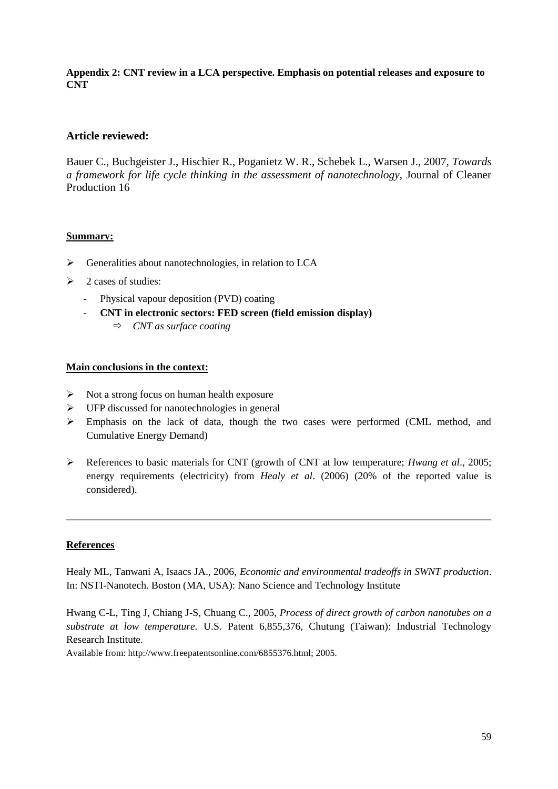### **Appendix 2: CNT review in a LCA perspective. Emphasis on potential releases and exposure to CNT**

# **Article reviewed:**

Bauer C., Buchgeister J., Hischier R., Poganietz W. R., Schebek L., Warsen J., 2007, *Towards a framework for life cycle thinking in the assessment of nanotechnology*, Journal of Cleaner Production 16

# **Summary:**

- $\triangleright$  Generalities about nanotechnologies, in relation to LCA
- $\geq 2$  cases of studies:
	- Physical vapour deposition (PVD) coating
	- **CNT in electronic sectors: FED screen (field emission display)**
		- *CNT as surface coating*

### **Main conclusions in the context:**

- $\triangleright$  Not a strong focus on human health exposure
- $\triangleright$  UFP discussed for nanotechnologies in general
- $\triangleright$  Emphasis on the lack of data, though the two cases were performed (CML method, and Cumulative Energy Demand)
- References to basic materials for CNT (growth of CNT at low temperature; *Hwang et al*., 2005; energy requirements (electricity) from *Healy et al*. (2006) (20% of the reported value is considered).

# **References**

Healy ML, Tanwani A, Isaacs JA., 2006, *Economic and environmental tradeoffs in SWNT production*. In: NSTI-Nanotech. Boston (MA, USA): Nano Science and Technology Institute

Hwang C-L, Ting J, Chiang J-S, Chuang C., 2005, *Process of direct growth of carbon nanotubes on a substrate at low temperature.* U.S. Patent 6,855,376, Chutung (Taiwan): Industrial Technology Research Institute.

Available from: http://www.freepatentsonline.com/6855376.html; 2005.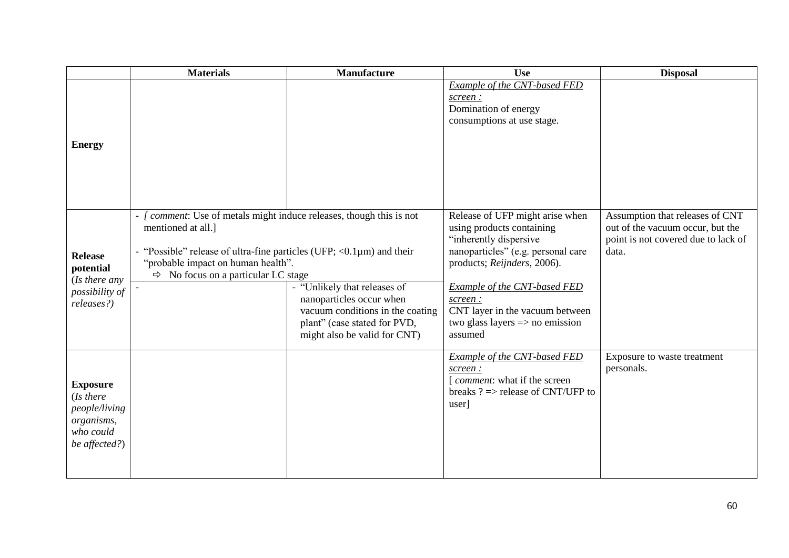|                                                                                           | <b>Materials</b>                                                                                                                                                                                                                                                                                                                                                                                                                              | Manufacture | <b>Use</b>                                                                                                                                                                                                                                                                                         | <b>Disposal</b>                                                                                                     |
|-------------------------------------------------------------------------------------------|-----------------------------------------------------------------------------------------------------------------------------------------------------------------------------------------------------------------------------------------------------------------------------------------------------------------------------------------------------------------------------------------------------------------------------------------------|-------------|----------------------------------------------------------------------------------------------------------------------------------------------------------------------------------------------------------------------------------------------------------------------------------------------------|---------------------------------------------------------------------------------------------------------------------|
| <b>Energy</b>                                                                             |                                                                                                                                                                                                                                                                                                                                                                                                                                               |             | Example of the CNT-based FED<br>screen:<br>Domination of energy<br>consumptions at use stage.                                                                                                                                                                                                      |                                                                                                                     |
| <b>Release</b><br>potential<br>(Is there any<br>possibility of<br>releases?)              | - [ comment: Use of metals might induce releases, though this is not<br>mentioned at all.]<br>"Possible" release of ultra-fine particles (UFP; $\langle 0.1 \mu m \rangle$ and their<br>"probable impact on human health".<br>$\Rightarrow$ No focus on a particular LC stage<br>- "Unlikely that releases of<br>nanoparticles occur when<br>vacuum conditions in the coating<br>plant" (case stated for PVD,<br>might also be valid for CNT) |             | Release of UFP might arise when<br>using products containing<br>"inherently dispersive<br>nanoparticles" (e.g. personal care<br>products; Reijnders, 2006).<br>Example of the CNT-based FED<br>screen:<br>CNT layer in the vacuum between<br>two glass layers $\Rightarrow$ no emission<br>assumed | Assumption that releases of CNT<br>out of the vacuum occur, but the<br>point is not covered due to lack of<br>data. |
| <b>Exposure</b><br>(Is there<br>people/living<br>organisms,<br>who could<br>be affected?) |                                                                                                                                                                                                                                                                                                                                                                                                                                               |             | Example of the CNT-based FED<br>screen:<br>[ <i>comment</i> : what if the screen<br>breaks $? \Rightarrow$ release of CNT/UFP to<br>user]                                                                                                                                                          | Exposure to waste treatment<br>personals.                                                                           |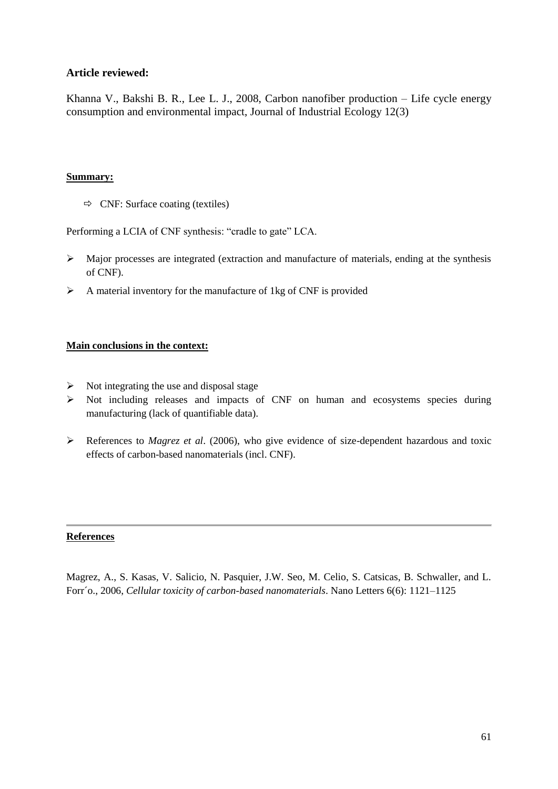Khanna V., Bakshi B. R., Lee L. J., 2008, Carbon nanofiber production – Life cycle energy consumption and environmental impact, Journal of Industrial Ecology 12(3)

### **Summary:**

 $\Rightarrow$  CNF: Surface coating (textiles)

Performing a LCIA of CNF synthesis: "cradle to gate" LCA.

- $\triangleright$  Major processes are integrated (extraction and manufacture of materials, ending at the synthesis of CNF).
- $\triangleright$  A material inventory for the manufacture of 1 kg of CNF is provided

# **Main conclusions in the context:**

- $\triangleright$  Not integrating the use and disposal stage
- $\triangleright$  Not including releases and impacts of CNF on human and ecosystems species during manufacturing (lack of quantifiable data).
- References to *Magrez et al*. (2006), who give evidence of size-dependent hazardous and toxic effects of carbon-based nanomaterials (incl. CNF).

#### **References**

Magrez, A., S. Kasas, V. Salicio, N. Pasquier, J.W. Seo, M. Celio, S. Catsicas, B. Schwaller, and L. Forr´o., 2006, *Cellular toxicity of carbon-based nanomaterials*. Nano Letters 6(6): 1121–1125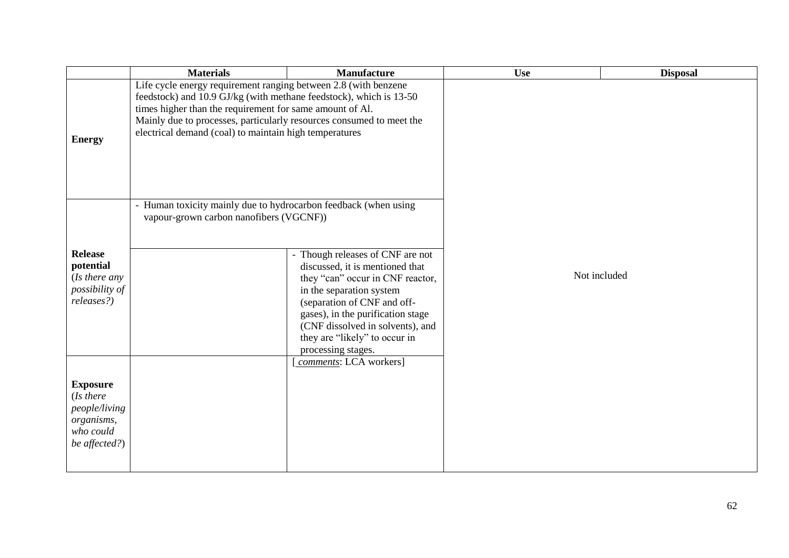|                                                                                           | <b>Materials</b>                                                                                                                                                                                                                                                                                                                    | <b>Manufacture</b>                                                                                                                                                                                                                                                                                 | <b>Use</b>   | <b>Disposal</b> |
|-------------------------------------------------------------------------------------------|-------------------------------------------------------------------------------------------------------------------------------------------------------------------------------------------------------------------------------------------------------------------------------------------------------------------------------------|----------------------------------------------------------------------------------------------------------------------------------------------------------------------------------------------------------------------------------------------------------------------------------------------------|--------------|-----------------|
| <b>Energy</b>                                                                             | Life cycle energy requirement ranging between 2.8 (with benzene<br>feedstock) and 10.9 GJ/kg (with methane feedstock), which is 13-50<br>times higher than the requirement for same amount of Al.<br>Mainly due to processes, particularly resources consumed to meet the<br>electrical demand (coal) to maintain high temperatures |                                                                                                                                                                                                                                                                                                    |              |                 |
| <b>Release</b><br>potential<br>(Is there any<br>possibility of<br>releases?)              | - Human toxicity mainly due to hydrocarbon feedback (when using<br>vapour-grown carbon nanofibers (VGCNF))                                                                                                                                                                                                                          | - Though releases of CNF are not<br>discussed, it is mentioned that<br>they "can" occur in CNF reactor,<br>in the separation system<br>(separation of CNF and off-<br>gases), in the purification stage<br>(CNF dissolved in solvents), and<br>they are "likely" to occur in<br>processing stages. | Not included |                 |
| <b>Exposure</b><br>(Is there<br>people/living<br>organisms,<br>who could<br>be affected?) |                                                                                                                                                                                                                                                                                                                                     | comments: LCA workers]                                                                                                                                                                                                                                                                             |              |                 |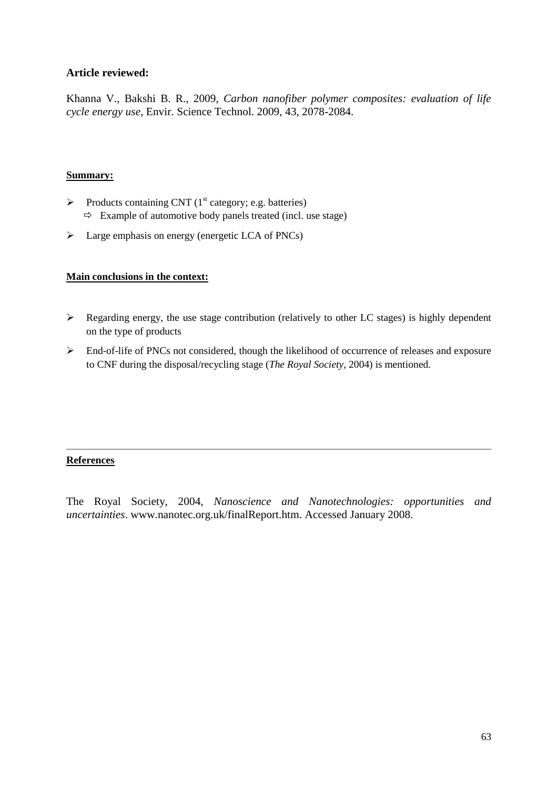Khanna V., Bakshi B. R., 2009, *Carbon nanofiber polymer composites: evaluation of life cycle energy use*, Envir. Science Technol. 2009, 43, 2078-2084.

### **Summary:**

- $\triangleright$  Products containing CNT (1<sup>st</sup> category; e.g. batteries)  $\Rightarrow$  Example of automotive body panels treated (incl. use stage)
- $\triangleright$  Large emphasis on energy (energetic LCA of PNCs)

# **Main conclusions in the context:**

- $\triangleright$  Regarding energy, the use stage contribution (relatively to other LC stages) is highly dependent on the type of products
- $\triangleright$  End-of-life of PNCs not considered, though the likelihood of occurrence of releases and exposure to CNF during the disposal/recycling stage (*The Royal Society*, 2004) is mentioned.

# **References**

The Royal Society, 2004, *Nanoscience and Nanotechnologies: opportunities and uncertainties*. www.nanotec.org.uk/finalReport.htm. Accessed January 2008.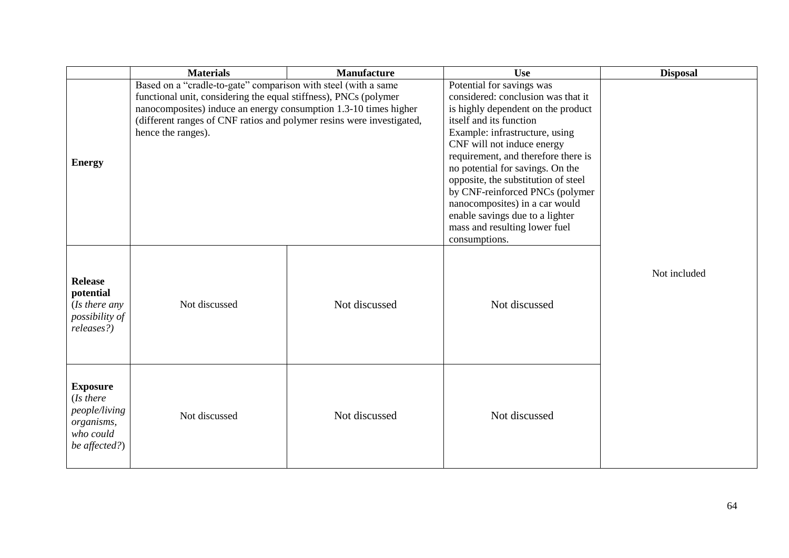|                                                                                           | <b>Materials</b><br><b>Manufacture</b>                                                                                                                                                                                                                                                                |               | <b>Use</b>                                                                                                                                                                                                                                                                                                                                                                                                                                                                   | <b>Disposal</b> |
|-------------------------------------------------------------------------------------------|-------------------------------------------------------------------------------------------------------------------------------------------------------------------------------------------------------------------------------------------------------------------------------------------------------|---------------|------------------------------------------------------------------------------------------------------------------------------------------------------------------------------------------------------------------------------------------------------------------------------------------------------------------------------------------------------------------------------------------------------------------------------------------------------------------------------|-----------------|
| <b>Energy</b>                                                                             | Based on a "cradle-to-gate" comparison with steel (with a same<br>functional unit, considering the equal stiffness), PNCs (polymer<br>nanocomposites) induce an energy consumption 1.3-10 times higher<br>(different ranges of CNF ratios and polymer resins were investigated,<br>hence the ranges). |               | Potential for savings was<br>considered: conclusion was that it<br>is highly dependent on the product<br>itself and its function<br>Example: infrastructure, using<br>CNF will not induce energy<br>requirement, and therefore there is<br>no potential for savings. On the<br>opposite, the substitution of steel<br>by CNF-reinforced PNCs (polymer<br>nanocomposites) in a car would<br>enable savings due to a lighter<br>mass and resulting lower fuel<br>consumptions. |                 |
| <b>Release</b><br>potential<br>(Is there any)<br>possibility of<br>releases?)             | Not discussed                                                                                                                                                                                                                                                                                         | Not discussed | Not discussed                                                                                                                                                                                                                                                                                                                                                                                                                                                                | Not included    |
| <b>Exposure</b><br>(Is there<br>people/living<br>organisms,<br>who could<br>be affected?) | Not discussed                                                                                                                                                                                                                                                                                         | Not discussed | Not discussed                                                                                                                                                                                                                                                                                                                                                                                                                                                                |                 |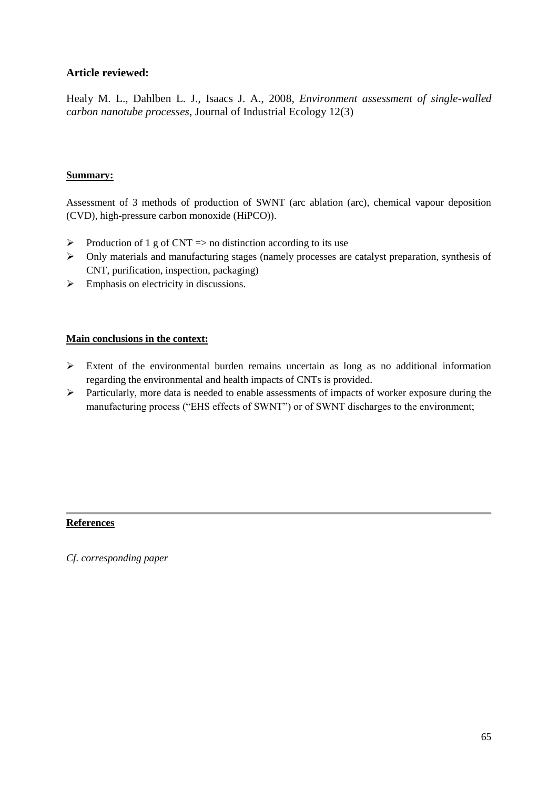Healy M. L., Dahlben L. J., Isaacs J. A., 2008, *Environment assessment of single-walled carbon nanotube processes*, Journal of Industrial Ecology 12(3)

# **Summary:**

Assessment of 3 methods of production of SWNT (arc ablation (arc), chemical vapour deposition (CVD), high-pressure carbon monoxide (HiPCO)).

- $\triangleright$  Production of 1 g of CNT = > no distinction according to its use
- Only materials and manufacturing stages (namely processes are catalyst preparation, synthesis of CNT, purification, inspection, packaging)
- $\triangleright$  Emphasis on electricity in discussions.

# **Main conclusions in the context:**

- Extent of the environmental burden remains uncertain as long as no additional information regarding the environmental and health impacts of CNTs is provided.
- Particularly, more data is needed to enable assessments of impacts of worker exposure during the manufacturing process ("EHS effects of SWNT") or of SWNT discharges to the environment;

# **References**

*Cf. corresponding paper*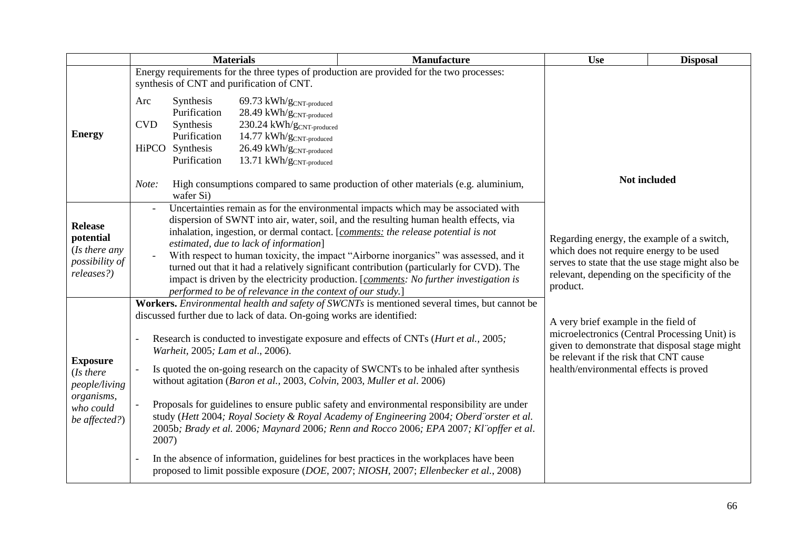|                            |            | <b>Materials</b>                  |                                                                                                                                                            | <b>Manufacture</b>                                                                          | <b>Use</b>                                                                               | <b>Disposal</b> |
|----------------------------|------------|-----------------------------------|------------------------------------------------------------------------------------------------------------------------------------------------------------|---------------------------------------------------------------------------------------------|------------------------------------------------------------------------------------------|-----------------|
|                            |            |                                   |                                                                                                                                                            | Energy requirements for the three types of production are provided for the two processes:   |                                                                                          |                 |
|                            |            |                                   | synthesis of CNT and purification of CNT.                                                                                                                  |                                                                                             |                                                                                          |                 |
|                            | Arc        | Synthesis                         | 69.73 $kWh/g_{CNT-produced}$                                                                                                                               |                                                                                             |                                                                                          |                 |
|                            |            | Purification                      | $28.49\;kWh/g_{\rm CNT\text{-}produced}$                                                                                                                   |                                                                                             |                                                                                          |                 |
|                            | <b>CVD</b> | Synthesis                         | $230.24 \;kWh/g_{CNT\text{-produced}}$                                                                                                                     |                                                                                             |                                                                                          |                 |
| <b>Energy</b>              |            | Purification                      | $14.77~\text{kWh/g}_{\text{CNT-produced}}$                                                                                                                 |                                                                                             |                                                                                          |                 |
|                            |            | HiPCO Synthesis                   | $26.49$ kWh/ $g_{\text{CNT-produced}}$                                                                                                                     |                                                                                             |                                                                                          |                 |
|                            |            | Purification                      | 13.71 kWh/g <sub>CNT-produced</sub>                                                                                                                        |                                                                                             |                                                                                          |                 |
|                            | Note:      | wafer Si)                         | High consumptions compared to same production of other materials (e.g. aluminium,                                                                          |                                                                                             | Not included                                                                             |                 |
|                            |            |                                   |                                                                                                                                                            | Uncertainties remain as for the environmental impacts which may be associated with          |                                                                                          |                 |
| <b>Release</b>             |            |                                   |                                                                                                                                                            | dispersion of SWNT into air, water, soil, and the resulting human health effects, via       |                                                                                          |                 |
| potential                  |            |                                   |                                                                                                                                                            | inhalation, ingestion, or dermal contact. [comments: the release potential is not           | Regarding energy, the example of a switch,                                               |                 |
| (Is there any              |            |                                   | estimated, due to lack of information]                                                                                                                     |                                                                                             | which does not require energy to be used                                                 |                 |
| possibility of             |            |                                   |                                                                                                                                                            | With respect to human toxicity, the impact "Airborne inorganics" was assessed, and it       | serves to state that the use stage might also be                                         |                 |
| releases?)                 |            |                                   |                                                                                                                                                            | turned out that it had a relatively significant contribution (particularly for CVD). The    | relevant, depending on the specificity of the                                            |                 |
|                            |            |                                   | impact is driven by the electricity production. [comments: No further investigation is                                                                     | product.                                                                                    |                                                                                          |                 |
|                            |            |                                   | performed to be of relevance in the context of our study.]<br>Workers. Environmental health and safety of SWCNTs is mentioned several times, but cannot be |                                                                                             |                                                                                          |                 |
|                            |            |                                   | discussed further due to lack of data. On-going works are identified:                                                                                      |                                                                                             |                                                                                          |                 |
|                            |            |                                   |                                                                                                                                                            |                                                                                             | A very brief example in the field of                                                     |                 |
|                            |            |                                   | Research is conducted to investigate exposure and effects of CNTs ( <i>Hurt et al.</i> , 2005;                                                             | microelectronics (Central Processing Unit) is                                               |                                                                                          |                 |
|                            |            | Warheit, 2005; Lam et al., 2006). |                                                                                                                                                            |                                                                                             | given to demonstrate that disposal stage might<br>be relevant if the risk that CNT cause |                 |
| <b>Exposure</b>            |            |                                   |                                                                                                                                                            | Is quoted the on-going research on the capacity of SWCNTs to be inhaled after synthesis     | health/environmental effects is proved                                                   |                 |
| (Is there<br>people/living |            |                                   |                                                                                                                                                            | without agitation (Baron et al., 2003, Colvin, 2003, Muller et al. 2006)                    |                                                                                          |                 |
| organisms,                 |            |                                   |                                                                                                                                                            |                                                                                             |                                                                                          |                 |
| who could                  |            |                                   |                                                                                                                                                            | Proposals for guidelines to ensure public safety and environmental responsibility are under |                                                                                          |                 |
| be affected?)              |            |                                   |                                                                                                                                                            | study (Hett 2004; Royal Society & Royal Academy of Engineering 2004; Oberd orster et al.    |                                                                                          |                 |
|                            |            |                                   |                                                                                                                                                            | 2005b; Brady et al. 2006; Maynard 2006; Renn and Rocco 2006; EPA 2007; Kl'opffer et al.     |                                                                                          |                 |
|                            | 2007)      |                                   |                                                                                                                                                            |                                                                                             |                                                                                          |                 |
|                            |            |                                   |                                                                                                                                                            | In the absence of information, guidelines for best practices in the workplaces have been    |                                                                                          |                 |
|                            |            |                                   |                                                                                                                                                            | proposed to limit possible exposure (DOE, 2007; NIOSH, 2007; Ellenbecker et al., 2008)      |                                                                                          |                 |
|                            |            |                                   |                                                                                                                                                            |                                                                                             |                                                                                          |                 |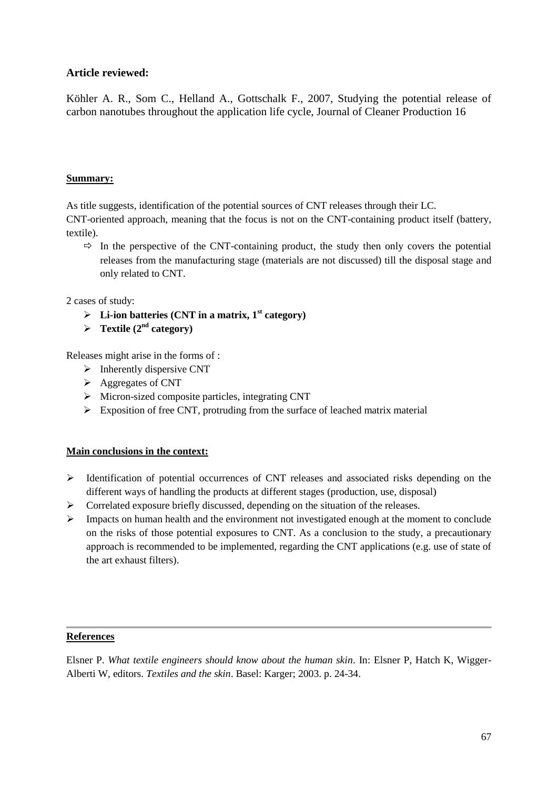Köhler A. R., Som C., Helland A., Gottschalk F., 2007, Studying the potential release of carbon nanotubes throughout the application life cycle, Journal of Cleaner Production 16

# **Summary:**

As title suggests, identification of the potential sources of CNT releases through their LC.

CNT-oriented approach, meaning that the focus is not on the CNT-containing product itself (battery, textile).

 $\Rightarrow$  In the perspective of the CNT-containing product, the study then only covers the potential releases from the manufacturing stage (materials are not discussed) till the disposal stage and only related to CNT.

2 cases of study:

- $\triangleright$  Li-ion batteries (CNT in a matrix, 1<sup>st</sup> category)
- $\triangleright$  **Textile** (2<sup>nd</sup> category)

Releases might arise in the forms of :

- $\triangleright$  Inherently dispersive CNT
- $\triangleright$  Aggregates of CNT
- $\triangleright$  Micron-sized composite particles, integrating CNT
- $\triangleright$  Exposition of free CNT, protruding from the surface of leached matrix material

#### **Main conclusions in the context:**

- $\triangleright$  Identification of potential occurrences of CNT releases and associated risks depending on the different ways of handling the products at different stages (production, use, disposal)
- Correlated exposure briefly discussed, depending on the situation of the releases.
- $\triangleright$  Impacts on human health and the environment not investigated enough at the moment to conclude on the risks of those potential exposures to CNT. As a conclusion to the study, a precautionary approach is recommended to be implemented, regarding the CNT applications (e.g. use of state of the art exhaust filters).

#### **References**

Elsner P. *What textile engineers should know about the human skin*. In: Elsner P, Hatch K, Wigger-Alberti W, editors. *Textiles and the skin*. Basel: Karger; 2003. p. 24-34.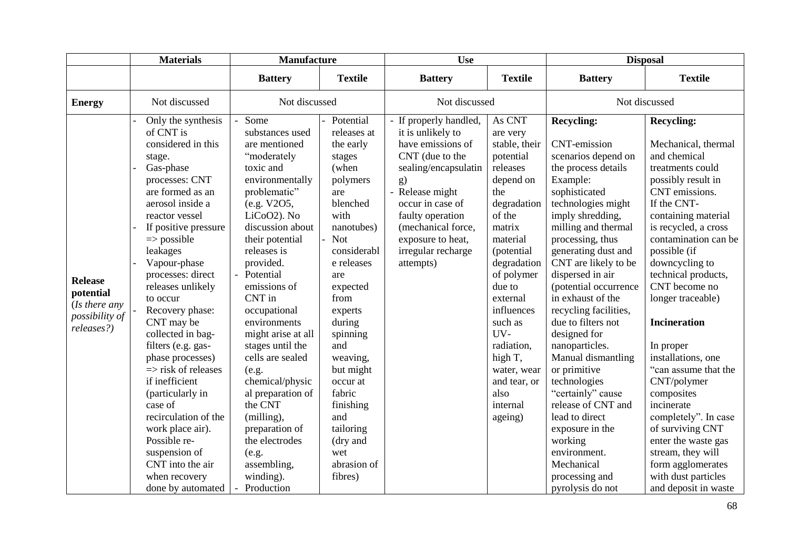|                                                                               | <b>Materials</b>                                                                                                                                                                                                                                                                                                                                                                                                                                                                                                                                                                                                       | <b>Manufacture</b>                                                                                                                                                                                                                                                                                                                                                                                                                                                                                             |                                                                                                                                                                                                                                                                                                                                                          | <b>Use</b>                                                                                                                                                                                                                                               |                                                                                                                                                                                                                                                                                                                         | <b>Disposal</b>                                                                                                                                                                                                                                                                                                                                                                                                                                                                                                                                                                                                                 |                                                                                                                                                                                                                                                                                                                                                                                                                                                                                                                                                                                                    |  |
|-------------------------------------------------------------------------------|------------------------------------------------------------------------------------------------------------------------------------------------------------------------------------------------------------------------------------------------------------------------------------------------------------------------------------------------------------------------------------------------------------------------------------------------------------------------------------------------------------------------------------------------------------------------------------------------------------------------|----------------------------------------------------------------------------------------------------------------------------------------------------------------------------------------------------------------------------------------------------------------------------------------------------------------------------------------------------------------------------------------------------------------------------------------------------------------------------------------------------------------|----------------------------------------------------------------------------------------------------------------------------------------------------------------------------------------------------------------------------------------------------------------------------------------------------------------------------------------------------------|----------------------------------------------------------------------------------------------------------------------------------------------------------------------------------------------------------------------------------------------------------|-------------------------------------------------------------------------------------------------------------------------------------------------------------------------------------------------------------------------------------------------------------------------------------------------------------------------|---------------------------------------------------------------------------------------------------------------------------------------------------------------------------------------------------------------------------------------------------------------------------------------------------------------------------------------------------------------------------------------------------------------------------------------------------------------------------------------------------------------------------------------------------------------------------------------------------------------------------------|----------------------------------------------------------------------------------------------------------------------------------------------------------------------------------------------------------------------------------------------------------------------------------------------------------------------------------------------------------------------------------------------------------------------------------------------------------------------------------------------------------------------------------------------------------------------------------------------------|--|
|                                                                               |                                                                                                                                                                                                                                                                                                                                                                                                                                                                                                                                                                                                                        | <b>Battery</b>                                                                                                                                                                                                                                                                                                                                                                                                                                                                                                 | <b>Textile</b>                                                                                                                                                                                                                                                                                                                                           | <b>Battery</b>                                                                                                                                                                                                                                           | <b>Textile</b>                                                                                                                                                                                                                                                                                                          | <b>Battery</b>                                                                                                                                                                                                                                                                                                                                                                                                                                                                                                                                                                                                                  | <b>Textile</b>                                                                                                                                                                                                                                                                                                                                                                                                                                                                                                                                                                                     |  |
| <b>Energy</b>                                                                 | Not discussed                                                                                                                                                                                                                                                                                                                                                                                                                                                                                                                                                                                                          | Not discussed                                                                                                                                                                                                                                                                                                                                                                                                                                                                                                  |                                                                                                                                                                                                                                                                                                                                                          |                                                                                                                                                                                                                                                          | Not discussed                                                                                                                                                                                                                                                                                                           |                                                                                                                                                                                                                                                                                                                                                                                                                                                                                                                                                                                                                                 | Not discussed                                                                                                                                                                                                                                                                                                                                                                                                                                                                                                                                                                                      |  |
| <b>Release</b><br>potential<br>(Is there any)<br>possibility of<br>releases?) | Only the synthesis<br>of CNT is<br>considered in this<br>stage.<br>Gas-phase<br>processes: CNT<br>are formed as an<br>aerosol inside a<br>reactor vessel<br>If positive pressure<br>$\Rightarrow$ possible<br>leakages<br>Vapour-phase<br>processes: direct<br>releases unlikely<br>to occur<br>Recovery phase:<br>CNT may be<br>collected in bag-<br>filters (e.g. gas-<br>phase processes)<br>$\Rightarrow$ risk of releases<br>if inefficient<br>(particularly in<br>case of<br>recirculation of the<br>work place air).<br>Possible re-<br>suspension of<br>CNT into the air<br>when recovery<br>done by automated | Some<br>substances used<br>are mentioned<br>"moderately<br>toxic and<br>environmentally<br>problematic"<br>(e.g. V2O5,<br>LiCoO2). No<br>discussion about<br>their potential<br>releases is<br>provided.<br>Potential<br>emissions of<br>CNT in<br>occupational<br>environments<br>might arise at all<br>stages until the<br>cells are sealed<br>(e.g.<br>chemical/physic<br>al preparation of<br>the CNT<br>(milling),<br>preparation of<br>the electrodes<br>(e.g.<br>assembling,<br>winding).<br>Production | Potential<br>releases at<br>the early<br>stages<br>(when<br>polymers<br>are<br>blenched<br>with<br>nanotubes)<br><b>Not</b><br>considerabl<br>e releases<br>are<br>expected<br>from<br>experts<br>during<br>spinning<br>and<br>weaving,<br>but might<br>occur at<br>fabric<br>finishing<br>and<br>tailoring<br>(dry and<br>wet<br>abrasion of<br>fibres) | If properly handled,<br>it is unlikely to<br>have emissions of<br>CNT (due to the<br>sealing/encapsulatin<br>g)<br>- Release might<br>occur in case of<br>faulty operation<br>(mechanical force,<br>exposure to heat,<br>irregular recharge<br>attempts) | As CNT<br>are very<br>stable, their<br>potential<br>releases<br>depend on<br>the<br>degradation<br>of the<br>matrix<br>material<br>(potential<br>degradation<br>of polymer<br>due to<br>external<br>influences<br>such as<br>UV-<br>radiation,<br>high T,<br>water, wear<br>and tear, or<br>also<br>internal<br>ageing) | <b>Recycling:</b><br><b>CNT-emission</b><br>scenarios depend on<br>the process details<br>Example:<br>sophisticated<br>technologies might<br>imply shredding,<br>milling and thermal<br>processing, thus<br>generating dust and<br>CNT are likely to be<br>dispersed in air<br>(potential occurrence<br>in exhaust of the<br>recycling facilities,<br>due to filters not<br>designed for<br>nanoparticles.<br>Manual dismantling<br>or primitive<br>technologies<br>"certainly" cause<br>release of CNT and<br>lead to direct<br>exposure in the<br>working<br>environment.<br>Mechanical<br>processing and<br>pyrolysis do not | <b>Recycling:</b><br>Mechanical, thermal<br>and chemical<br>treatments could<br>possibly result in<br>CNT emissions.<br>If the CNT-<br>containing material<br>is recycled, a cross<br>contamination can be<br>possible (if<br>downcycling to<br>technical products,<br>CNT become no<br>longer traceable)<br><b>Incineration</b><br>In proper<br>installations, one<br>"can assume that the<br>CNT/polymer<br>composites<br>incinerate<br>completely". In case<br>of surviving CNT<br>enter the waste gas<br>stream, they will<br>form agglomerates<br>with dust particles<br>and deposit in waste |  |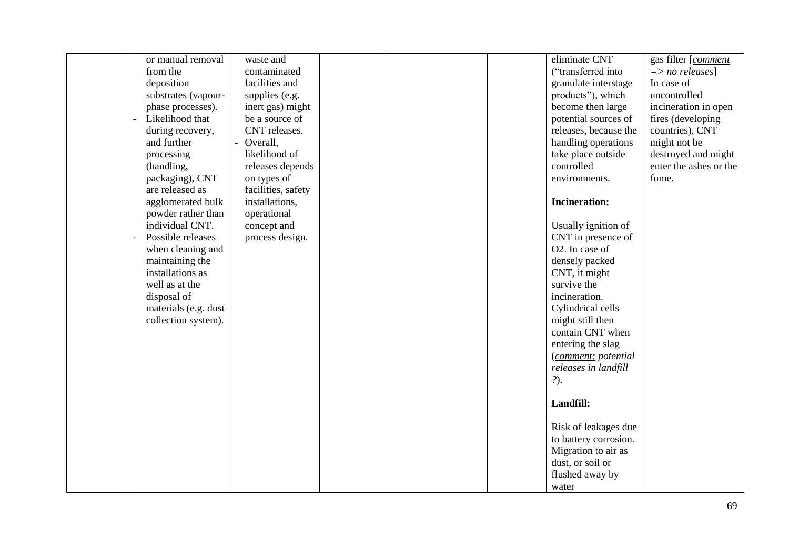| or manual removal    | waste and          |  | eliminate CNT         | gas filter [comment        |
|----------------------|--------------------|--|-----------------------|----------------------------|
| from the             | contaminated       |  | ("transferred into    | $\Rightarrow$ no releases] |
| deposition           | facilities and     |  | granulate interstage  | In case of                 |
| substrates (vapour-  | supplies (e.g.     |  | products"), which     | uncontrolled               |
|                      |                    |  |                       |                            |
| phase processes).    | inert gas) might   |  | become then large     | incineration in open       |
| Likelihood that      | be a source of     |  | potential sources of  | fires (developing          |
| during recovery,     | CNT releases.      |  | releases, because the | countries), CNT            |
| and further          | - Overall,         |  | handling operations   | might not be               |
| processing           | likelihood of      |  | take place outside    | destroyed and might        |
| (handling,           | releases depends   |  | controlled            | enter the ashes or the     |
| packaging), CNT      | on types of        |  | environments.         | fume.                      |
| are released as      | facilities, safety |  |                       |                            |
| agglomerated bulk    | installations,     |  | <b>Incineration:</b>  |                            |
| powder rather than   | operational        |  |                       |                            |
| individual CNT.      | concept and        |  | Usually ignition of   |                            |
| Possible releases    | process design.    |  | CNT in presence of    |                            |
| when cleaning and    |                    |  | O2. In case of        |                            |
| maintaining the      |                    |  | densely packed        |                            |
| installations as     |                    |  | CNT, it might         |                            |
| well as at the       |                    |  | survive the           |                            |
| disposal of          |                    |  | incineration.         |                            |
| materials (e.g. dust |                    |  | Cylindrical cells     |                            |
| collection system).  |                    |  | might still then      |                            |
|                      |                    |  | contain CNT when      |                            |
|                      |                    |  | entering the slag     |                            |
|                      |                    |  | (comment: potential   |                            |
|                      |                    |  | releases in landfill  |                            |
|                      |                    |  | ?).                   |                            |
|                      |                    |  |                       |                            |
|                      |                    |  | Landfill:             |                            |
|                      |                    |  |                       |                            |
|                      |                    |  | Risk of leakages due  |                            |
|                      |                    |  | to battery corrosion. |                            |
|                      |                    |  | Migration to air as   |                            |
|                      |                    |  |                       |                            |
|                      |                    |  | dust, or soil or      |                            |
|                      |                    |  | flushed away by       |                            |
|                      |                    |  | water                 |                            |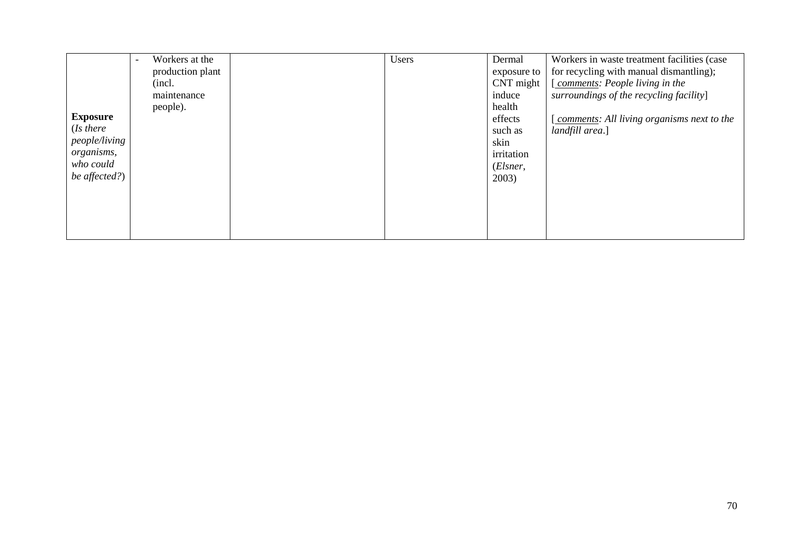|                 | Workers at the<br>$\overline{\phantom{a}}$ | Users | Dermal      | Workers in waste treatment facilities (case |
|-----------------|--------------------------------------------|-------|-------------|---------------------------------------------|
|                 | production plant                           |       | exposure to | for recycling with manual dismantling);     |
|                 | (incl.                                     |       | CNT might   | [comments: People living in the             |
|                 | maintenance                                |       | induce      | surroundings of the recycling facility]     |
|                 | people).                                   |       | health      |                                             |
| <b>Exposure</b> |                                            |       | effects     | comments: All living organisms next to the  |
| (Is there       |                                            |       | such as     | landfill area.]                             |
| people/living   |                                            |       | skin        |                                             |
| organisms,      |                                            |       | irritation  |                                             |
| who could       |                                            |       | (Elsner,    |                                             |
| be affected?)   |                                            |       | 2003)       |                                             |
|                 |                                            |       |             |                                             |
|                 |                                            |       |             |                                             |
|                 |                                            |       |             |                                             |
|                 |                                            |       |             |                                             |
|                 |                                            |       |             |                                             |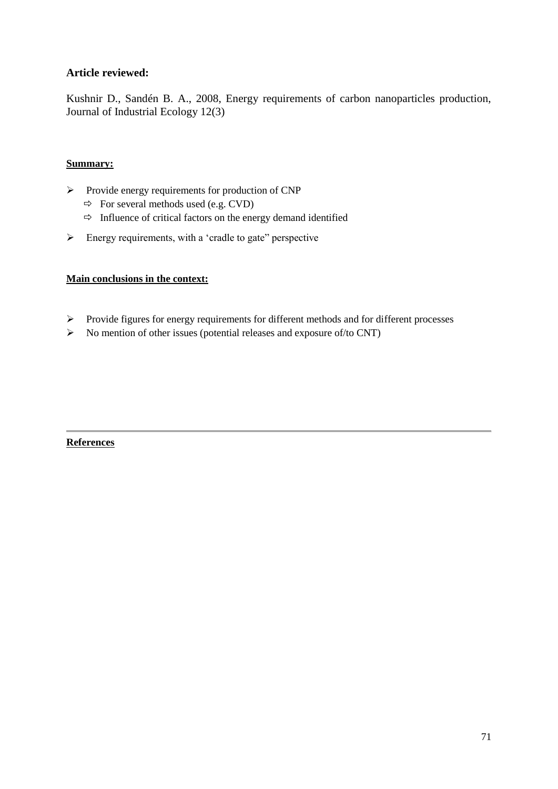Kushnir D., Sandén B. A., 2008, Energy requirements of carbon nanoparticles production, Journal of Industrial Ecology 12(3)

# **Summary:**

- $\triangleright$  Provide energy requirements for production of CNP
	- $\Rightarrow$  For several methods used (e.g. CVD)
	- $\Rightarrow$  Influence of critical factors on the energy demand identified
- $\triangleright$  Energy requirements, with a 'cradle to gate'' perspective

### **Main conclusions in the context:**

- Provide figures for energy requirements for different methods and for different processes
- $\triangleright$  No mention of other issues (potential releases and exposure of/to CNT)

# **References**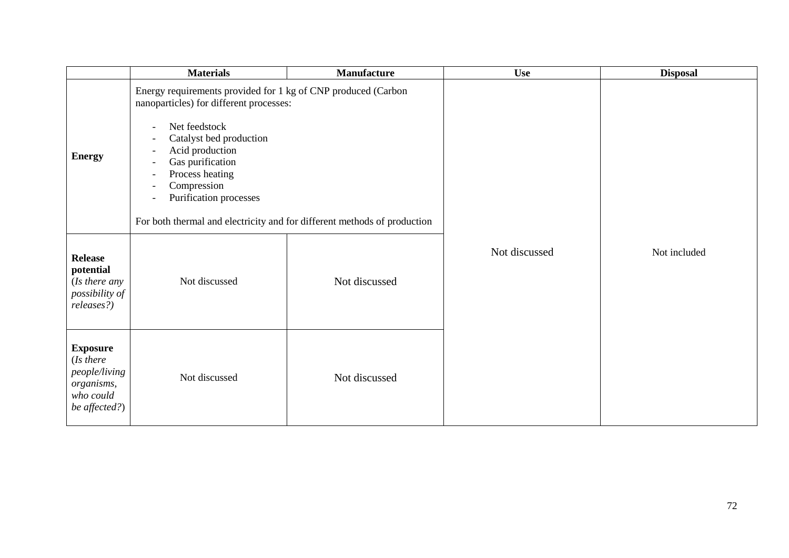|                                                                                           | <b>Materials</b>                                                                                                                                                                                                                                                                                                                                                                                                                                                                                                                        | <b>Manufacture</b> | <b>Use</b>    | <b>Disposal</b> |
|-------------------------------------------------------------------------------------------|-----------------------------------------------------------------------------------------------------------------------------------------------------------------------------------------------------------------------------------------------------------------------------------------------------------------------------------------------------------------------------------------------------------------------------------------------------------------------------------------------------------------------------------------|--------------------|---------------|-----------------|
| <b>Energy</b>                                                                             | Energy requirements provided for 1 kg of CNP produced (Carbon<br>nanoparticles) for different processes:<br>Net feedstock<br>$\overline{\phantom{a}}$<br>Catalyst bed production<br>$\overline{\phantom{a}}$<br>Acid production<br>$\overline{\phantom{a}}$<br>Gas purification<br>$\overline{\phantom{a}}$<br>Process heating<br>$\overline{\phantom{a}}$<br>Compression<br>$\overline{\phantom{a}}$<br>Purification processes<br>$\overline{\phantom{a}}$<br>For both thermal and electricity and for different methods of production |                    |               |                 |
| <b>Release</b><br>potential<br>(Is there any<br>possibility of<br>releases?)              | Not discussed                                                                                                                                                                                                                                                                                                                                                                                                                                                                                                                           | Not discussed      | Not discussed | Not included    |
| <b>Exposure</b><br>(Is there<br>people/living<br>organisms,<br>who could<br>be affected?) | Not discussed                                                                                                                                                                                                                                                                                                                                                                                                                                                                                                                           | Not discussed      |               |                 |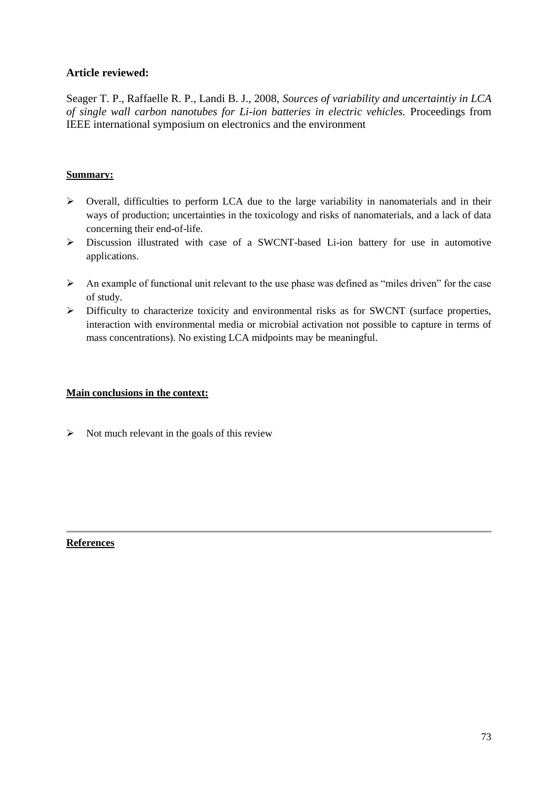Seager T. P., Raffaelle R. P., Landi B. J., 2008, *Sources of variability and uncertaintiy in LCA of single wall carbon nanotubes for Li-ion batteries in electric vehicles.* Proceedings from IEEE international symposium on electronics and the environment

# **Summary:**

- $\triangleright$  Overall, difficulties to perform LCA due to the large variability in nanomaterials and in their ways of production; uncertainties in the toxicology and risks of nanomaterials, and a lack of data concerning their end-of-life.
- Discussion illustrated with case of a SWCNT-based Li-ion battery for use in automotive applications.
- $\triangleright$  An example of functional unit relevant to the use phase was defined as "miles driven" for the case of study.
- Difficulty to characterize toxicity and environmental risks as for SWCNT (surface properties, interaction with environmental media or microbial activation not possible to capture in terms of mass concentrations). No existing LCA midpoints may be meaningful.

# **Main conclusions in the context:**

 $\triangleright$  Not much relevant in the goals of this review

# **References**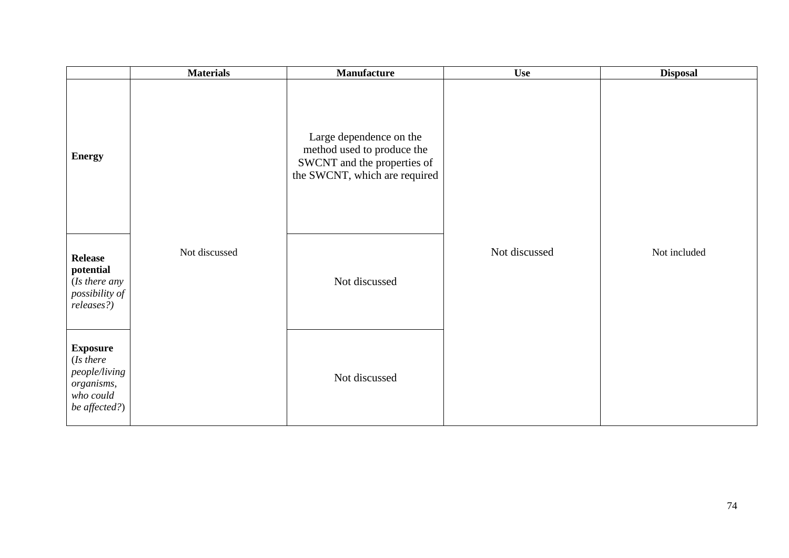|                                                                                           | <b>Materials</b> | <b>Manufacture</b>                                                                                                    | <b>Use</b>    | <b>Disposal</b> |
|-------------------------------------------------------------------------------------------|------------------|-----------------------------------------------------------------------------------------------------------------------|---------------|-----------------|
| <b>Energy</b>                                                                             |                  | Large dependence on the<br>method used to produce the<br>SWCNT and the properties of<br>the SWCNT, which are required |               |                 |
| <b>Release</b><br>potential<br>(Is there any<br>possibility of<br>releases?)              | Not discussed    | Not discussed                                                                                                         | Not discussed | Not included    |
| <b>Exposure</b><br>(Is there<br>people/living<br>organisms,<br>who could<br>be affected?) |                  | Not discussed                                                                                                         |               |                 |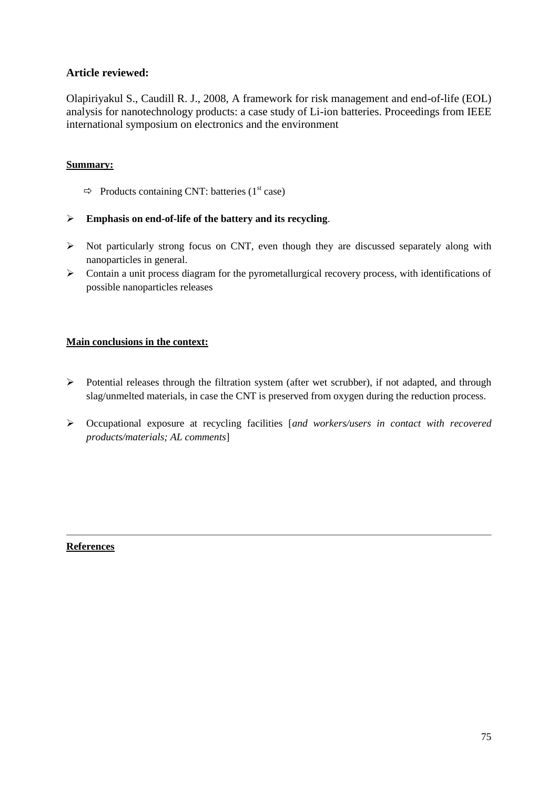Olapiriyakul S., Caudill R. J., 2008, A framework for risk management and end-of-life (EOL) analysis for nanotechnology products: a case study of Li-ion batteries. Proceedings from IEEE international symposium on electronics and the environment

# **Summary:**

- $\Rightarrow$  Products containing CNT: batteries (1<sup>st</sup> case)
- **Emphasis on end-of-life of the battery and its recycling**.
- $\triangleright$  Not particularly strong focus on CNT, even though they are discussed separately along with nanoparticles in general.
- $\triangleright$  Contain a unit process diagram for the pyrometallurgical recovery process, with identifications of possible nanoparticles releases

### **Main conclusions in the context:**

- Potential releases through the filtration system (after wet scrubber), if not adapted, and through slag/unmelted materials, in case the CNT is preserved from oxygen during the reduction process.
- Occupational exposure at recycling facilities [*and workers/users in contact with recovered products/materials; AL comments*]

# **References**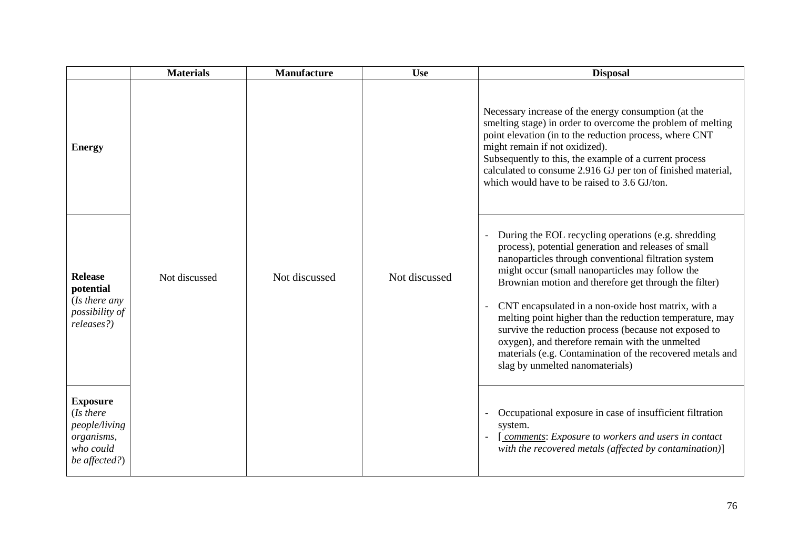|                                                                                           | <b>Materials</b> | <b>Manufacture</b> | <b>Use</b>    | <b>Disposal</b>                                                                                                                                                                                                                                                                                                                                                                                                                                                                                                                                                                                                |
|-------------------------------------------------------------------------------------------|------------------|--------------------|---------------|----------------------------------------------------------------------------------------------------------------------------------------------------------------------------------------------------------------------------------------------------------------------------------------------------------------------------------------------------------------------------------------------------------------------------------------------------------------------------------------------------------------------------------------------------------------------------------------------------------------|
| <b>Energy</b>                                                                             |                  |                    |               | Necessary increase of the energy consumption (at the<br>smelting stage) in order to overcome the problem of melting<br>point elevation (in to the reduction process, where CNT<br>might remain if not oxidized).<br>Subsequently to this, the example of a current process<br>calculated to consume 2.916 GJ per ton of finished material,<br>which would have to be raised to 3.6 GJ/ton.                                                                                                                                                                                                                     |
| <b>Release</b><br>potential<br>(Is there any<br>possibility of<br>releases?)              | Not discussed    | Not discussed      | Not discussed | During the EOL recycling operations (e.g. shredding<br>process), potential generation and releases of small<br>nanoparticles through conventional filtration system<br>might occur (small nanoparticles may follow the<br>Brownian motion and therefore get through the filter)<br>CNT encapsulated in a non-oxide host matrix, with a<br>melting point higher than the reduction temperature, may<br>survive the reduction process (because not exposed to<br>oxygen), and therefore remain with the unmelted<br>materials (e.g. Contamination of the recovered metals and<br>slag by unmelted nanomaterials) |
| <b>Exposure</b><br>(Is there<br>people/living<br>organisms,<br>who could<br>be affected?) |                  |                    |               | Occupational exposure in case of insufficient filtration<br>system.<br>comments: Exposure to workers and users in contact<br>with the recovered metals (affected by contamination)]                                                                                                                                                                                                                                                                                                                                                                                                                            |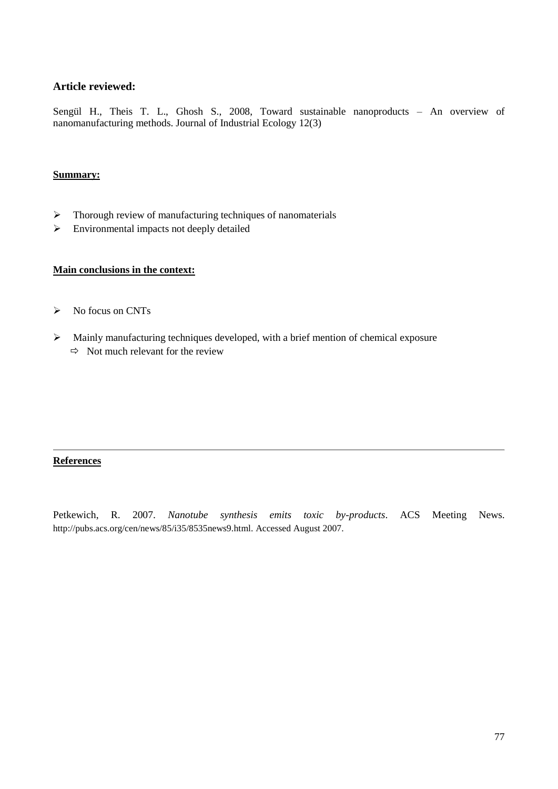Sengül H., Theis T. L., Ghosh S., 2008, Toward sustainable nanoproducts – An overview of nanomanufacturing methods. Journal of Industrial Ecology 12(3)

#### **Summary:**

- $\triangleright$  Thorough review of manufacturing techniques of nanomaterials
- Environmental impacts not deeply detailed

#### **Main conclusions in the context:**

- $\triangleright$  No focus on CNTs
- Mainly manufacturing techniques developed, with a brief mention of chemical exposure  $\Rightarrow$  Not much relevant for the review

### **References**

Petkewich, R. 2007. *Nanotube synthesis emits toxic by-products*. ACS Meeting News. http://pubs.acs.org/cen/news/85/i35/8535news9.html. Accessed August 2007.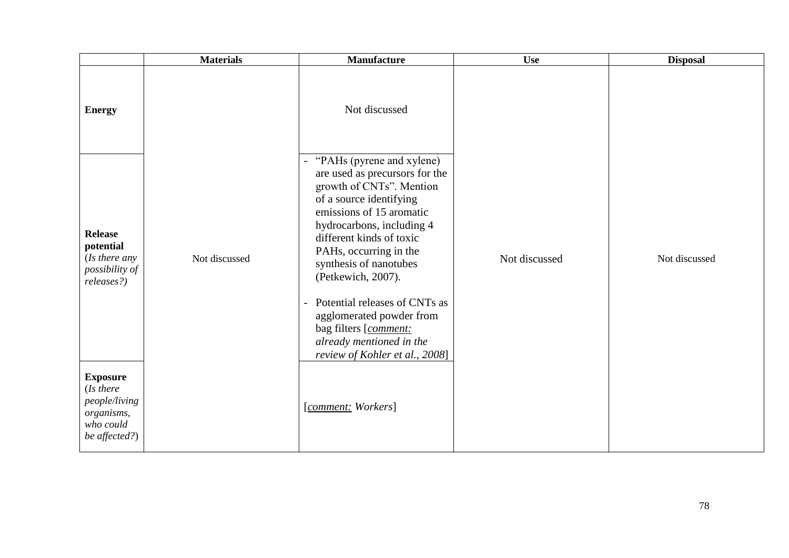|                                                                                           | <b>Materials</b> | Manufacture                                                                                                                                                                                                                                                                                                                                                                                                                                                       | <b>Use</b>    | <b>Disposal</b> |
|-------------------------------------------------------------------------------------------|------------------|-------------------------------------------------------------------------------------------------------------------------------------------------------------------------------------------------------------------------------------------------------------------------------------------------------------------------------------------------------------------------------------------------------------------------------------------------------------------|---------------|-----------------|
| <b>Energy</b>                                                                             |                  | Not discussed                                                                                                                                                                                                                                                                                                                                                                                                                                                     |               |                 |
| <b>Release</b><br>potential<br>(Is there any<br>possibility of<br>releases?)              | Not discussed    | "PAHs (pyrene and xylene)<br>$\overline{\phantom{0}}$<br>are used as precursors for the<br>growth of CNTs". Mention<br>of a source identifying<br>emissions of 15 aromatic<br>hydrocarbons, including 4<br>different kinds of toxic<br>PAHs, occurring in the<br>synthesis of nanotubes<br>(Petkewich, 2007).<br>Potential releases of CNTs as<br>agglomerated powder from<br>bag filters [comment:<br>already mentioned in the<br>review of Kohler et al., 2008] | Not discussed | Not discussed   |
| <b>Exposure</b><br>(Is there<br>people/living<br>organisms,<br>who could<br>be affected?) |                  | [comment: Workers]                                                                                                                                                                                                                                                                                                                                                                                                                                                |               |                 |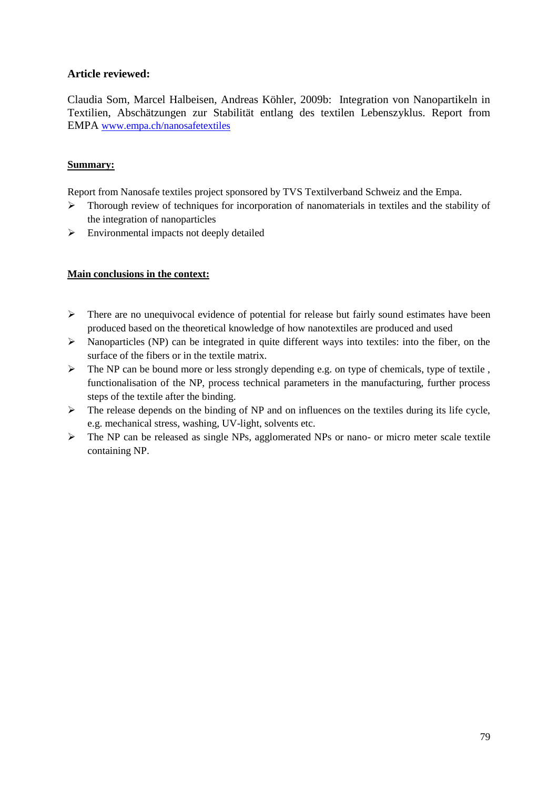Claudia Som, Marcel Halbeisen, Andreas Köhler, 2009b: Integration von Nanopartikeln in Textilien, Abschätzungen zur Stabilität entlang des textilen Lebenszyklus. Report from EMPA [www.empa.ch/nanosafetextiles](http://www.empa.ch/nanosafetextiles)

# **Summary:**

Report from Nanosafe textiles project sponsored by TVS Textilverband Schweiz and the Empa.

- > Thorough review of techniques for incorporation of nanomaterials in textiles and the stability of the integration of nanoparticles
- $\triangleright$  Environmental impacts not deeply detailed

# **Main conclusions in the context:**

- $\triangleright$  There are no unequivocal evidence of potential for release but fairly sound estimates have been produced based on the theoretical knowledge of how nanotextiles are produced and used
- $\triangleright$  Nanoparticles (NP) can be integrated in quite different ways into textiles: into the fiber, on the surface of the fibers or in the textile matrix.
- $\triangleright$  The NP can be bound more or less strongly depending e.g. on type of chemicals, type of textile, functionalisation of the NP, process technical parameters in the manufacturing, further process steps of the textile after the binding.
- $\triangleright$  The release depends on the binding of NP and on influences on the textiles during its life cycle, e.g. mechanical stress, washing, UV-light, solvents etc.
- $\triangleright$  The NP can be released as single NPs, agglomerated NPs or nano- or micro meter scale textile containing NP.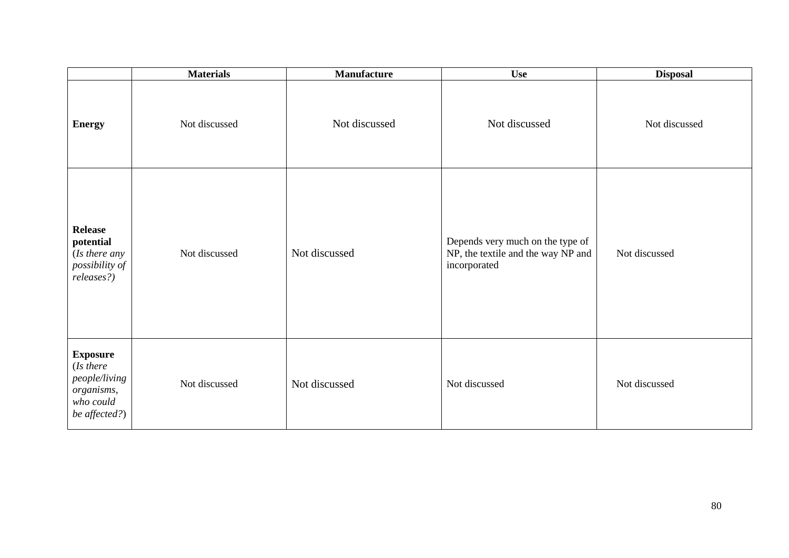|                                                                                           | <b>Materials</b> | <b>Manufacture</b> | <b>Use</b>                                                                             | <b>Disposal</b> |
|-------------------------------------------------------------------------------------------|------------------|--------------------|----------------------------------------------------------------------------------------|-----------------|
| <b>Energy</b>                                                                             | Not discussed    | Not discussed      | Not discussed                                                                          | Not discussed   |
| <b>Release</b><br>potential<br>(Is there any<br>possibility of<br>releases?)              | Not discussed    | Not discussed      | Depends very much on the type of<br>NP, the textile and the way NP and<br>incorporated | Not discussed   |
| <b>Exposure</b><br>(Is there<br>people/living<br>organisms,<br>who could<br>be affected?) | Not discussed    | Not discussed      | Not discussed                                                                          | Not discussed   |